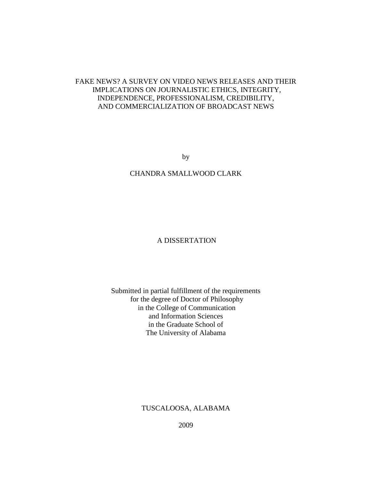## FAKE NEWS? A SURVEY ON VIDEO NEWS RELEASES AND THEIR IMPLICATIONS ON JOURNALISTIC ETHICS, INTEGRITY, INDEPENDENCE, PROFESSIONALISM, CREDIBILITY, AND COMMERCIALIZATION OF BROADCAST NEWS

by

## CHANDRA SMALLWOOD CLARK

## A DISSERTATION

## Submitted in partial fulfillment of the requirements for the degree of Doctor of Philosophy in the College of Communication and Information Sciences in the Graduate School of The University of Alabama

## TUSCALOOSA, ALABAMA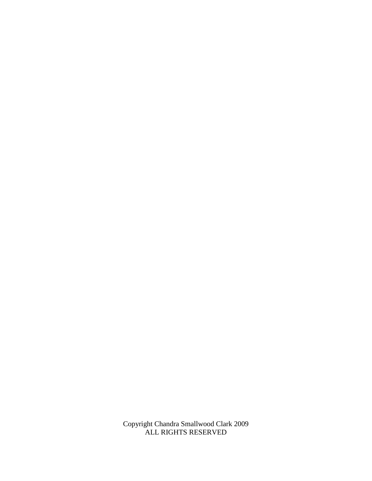Copyright Chandra Smallwood Clark 2009 ALL RIGHTS RESERVED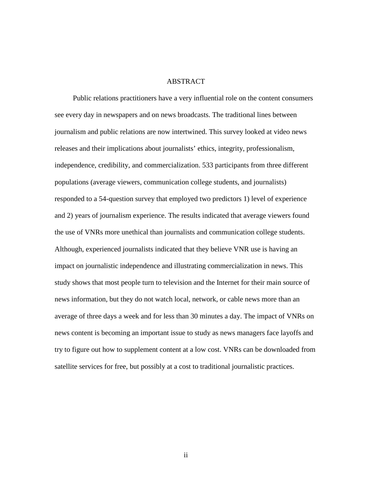### **ABSTRACT**

 Public relations practitioners have a very influential role on the content consumers see every day in newspapers and on news broadcasts. The traditional lines between journalism and public relations are now intertwined. This survey looked at video news releases and their implications about journalists' ethics, integrity, professionalism, independence, credibility, and commercialization. 533 participants from three different populations (average viewers, communication college students, and journalists) responded to a 54-question survey that employed two predictors 1) level of experience and 2) years of journalism experience. The results indicated that average viewers found the use of VNRs more unethical than journalists and communication college students. Although, experienced journalists indicated that they believe VNR use is having an impact on journalistic independence and illustrating commercialization in news. This study shows that most people turn to television and the Internet for their main source of news information, but they do not watch local, network, or cable news more than an average of three days a week and for less than 30 minutes a day. The impact of VNRs on news content is becoming an important issue to study as news managers face layoffs and try to figure out how to supplement content at a low cost. VNRs can be downloaded from satellite services for free, but possibly at a cost to traditional journalistic practices.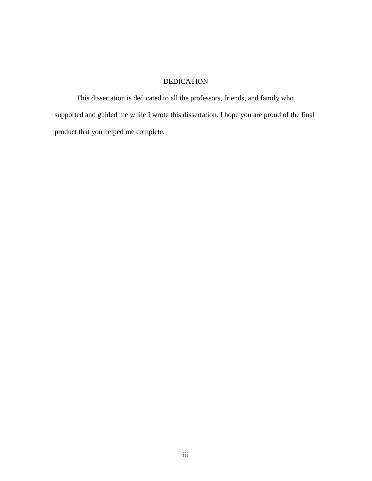# DEDICATION

 This dissertation is dedicated to all the professors, friends, and family who supported and guided me while I wrote this dissertation. I hope you are proud of the final product that you helped me complete.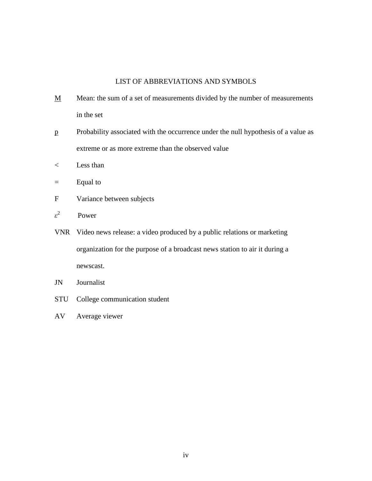## LIST OF ABBREVIATIONS AND SYMBOLS

- $M$  Mean: the sum of a set of measurements divided by the number of measurements in the set
- p Probability associated with the occurrence under the null hypothesis of a value as extreme or as more extreme than the observed value
- < Less than
- = Equal to
- F Variance between subjects
- $\varepsilon^2$ Power
- VNR Video news release: a video produced by a public relations or marketing organization for the purpose of a broadcast news station to air it during a newscast.
- JN Journalist
- STU College communication student
- AV Average viewer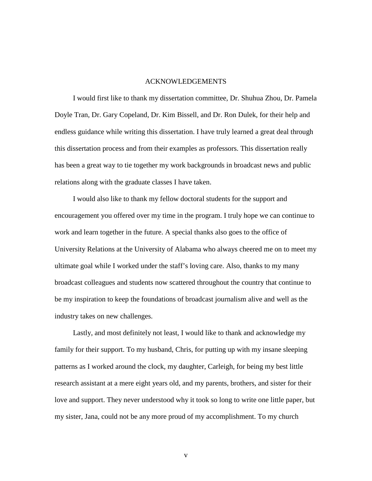## ACKNOWLEDGEMENTS

 I would first like to thank my dissertation committee, Dr. Shuhua Zhou, Dr. Pamela Doyle Tran, Dr. Gary Copeland, Dr. Kim Bissell, and Dr. Ron Dulek, for their help and endless guidance while writing this dissertation. I have truly learned a great deal through this dissertation process and from their examples as professors. This dissertation really has been a great way to tie together my work backgrounds in broadcast news and public relations along with the graduate classes I have taken.

I would also like to thank my fellow doctoral students for the support and encouragement you offered over my time in the program. I truly hope we can continue to work and learn together in the future. A special thanks also goes to the office of University Relations at the University of Alabama who always cheered me on to meet my ultimate goal while I worked under the staff's loving care. Also, thanks to my many broadcast colleagues and students now scattered throughout the country that continue to be my inspiration to keep the foundations of broadcast journalism alive and well as the industry takes on new challenges.

Lastly, and most definitely not least, I would like to thank and acknowledge my family for their support. To my husband, Chris, for putting up with my insane sleeping patterns as I worked around the clock, my daughter, Carleigh, for being my best little research assistant at a mere eight years old, and my parents, brothers, and sister for their love and support. They never understood why it took so long to write one little paper, but my sister, Jana, could not be any more proud of my accomplishment. To my church

v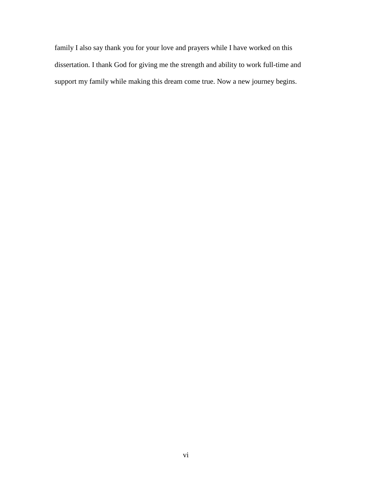family I also say thank you for your love and prayers while I have worked on this dissertation. I thank God for giving me the strength and ability to work full-time and support my family while making this dream come true. Now a new journey begins.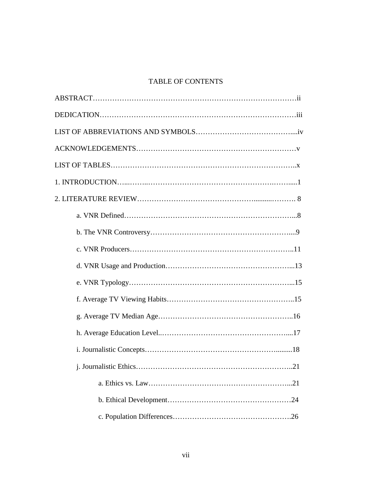# TABLE OF CONTENTS

| .21 |
|-----|
|     |
|     |
|     |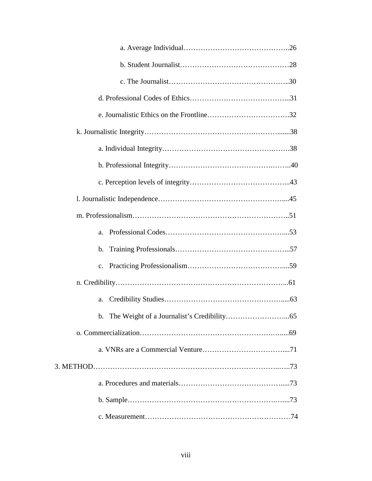| a.             |
|----------------|
| $\mathbf{b}$ . |
| $\mathbf{c}$ . |
|                |
| a.             |
|                |
|                |
|                |
|                |
|                |
|                |
|                |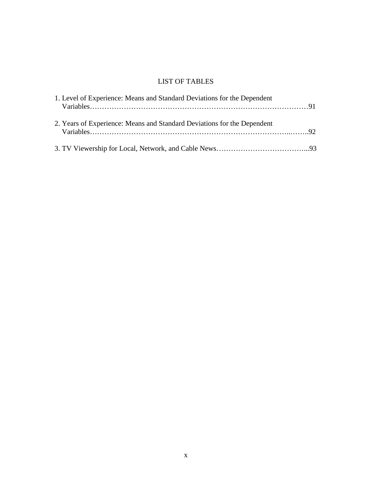# LIST OF TABLES

| 1. Level of Experience: Means and Standard Deviations for the Dependent |  |
|-------------------------------------------------------------------------|--|
| 2. Years of Experience: Means and Standard Deviations for the Dependent |  |
|                                                                         |  |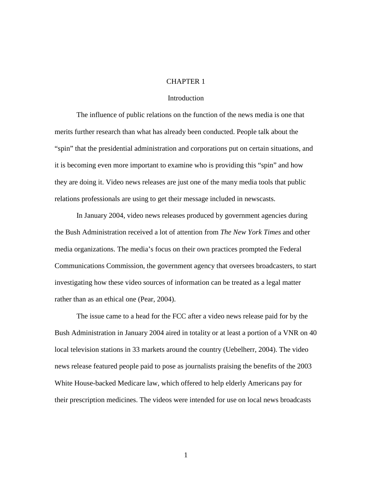### CHAPTER 1

#### **Introduction**

The influence of public relations on the function of the news media is one that merits further research than what has already been conducted. People talk about the "spin" that the presidential administration and corporations put on certain situations, and it is becoming even more important to examine who is providing this "spin" and how they are doing it. Video news releases are just one of the many media tools that public relations professionals are using to get their message included in newscasts.

In January 2004, video news releases produced by government agencies during the Bush Administration received a lot of attention from *The New York Times* and other media organizations. The media's focus on their own practices prompted the Federal Communications Commission, the government agency that oversees broadcasters, to start investigating how these video sources of information can be treated as a legal matter rather than as an ethical one (Pear, 2004).

The issue came to a head for the FCC after a video news release paid for by the Bush Administration in January 2004 aired in totality or at least a portion of a VNR on 40 local television stations in 33 markets around the country (Uebelherr, 2004). The video news release featured people paid to pose as journalists praising the benefits of the 2003 White House-backed Medicare law, which offered to help elderly Americans pay for their prescription medicines. The videos were intended for use on local news broadcasts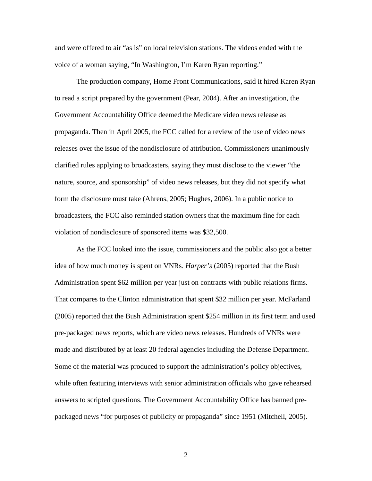and were offered to air "as is" on local television stations. The videos ended with the voice of a woman saying, "In Washington, I'm Karen Ryan reporting."

The production company, Home Front Communications, said it hired Karen Ryan to read a script prepared by the government (Pear, 2004). After an investigation, the Government Accountability Office deemed the Medicare video news release as propaganda. Then in April 2005, the FCC called for a review of the use of video news releases over the issue of the nondisclosure of attribution. Commissioners unanimously clarified rules applying to broadcasters, saying they must disclose to the viewer "the nature, source, and sponsorship" of video news releases, but they did not specify what form the disclosure must take (Ahrens, 2005; Hughes, 2006). In a public notice to broadcasters, the FCC also reminded station owners that the maximum fine for each violation of nondisclosure of sponsored items was \$32,500.

As the FCC looked into the issue, commissioners and the public also got a better idea of how much money is spent on VNRs. *Harper's* (2005) reported that the Bush Administration spent \$62 million per year just on contracts with public relations firms. That compares to the Clinton administration that spent \$32 million per year. McFarland (2005) reported that the Bush Administration spent \$254 million in its first term and used pre-packaged news reports, which are video news releases. Hundreds of VNRs were made and distributed by at least 20 federal agencies including the Defense Department. Some of the material was produced to support the administration's policy objectives, while often featuring interviews with senior administration officials who gave rehearsed answers to scripted questions. The Government Accountability Office has banned prepackaged news "for purposes of publicity or propaganda" since 1951 (Mitchell, 2005).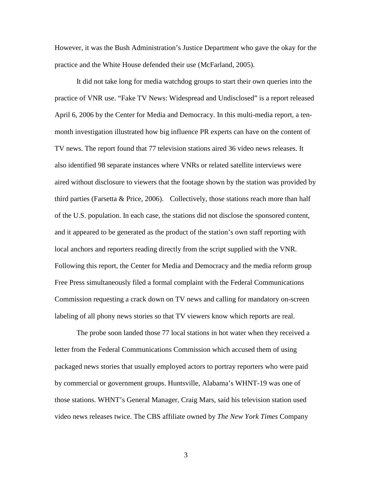However, it was the Bush Administration's Justice Department who gave the okay for the practice and the White House defended their use (McFarland, 2005).

It did not take long for media watchdog groups to start their own queries into the practice of VNR use. "Fake TV News: Widespread and Undisclosed" is a report released April 6, 2006 by the Center for Media and Democracy. In this multi-media report, a tenmonth investigation illustrated how big influence PR experts can have on the content of TV news. The report found that 77 television stations aired 36 video news releases. It also identified 98 separate instances where VNRs or related satellite interviews were aired without disclosure to viewers that the footage shown by the station was provided by third parties (Farsetta & Price, 2006). Collectively, those stations reach more than half of the U.S. population. In each case, the stations did not disclose the sponsored content, and it appeared to be generated as the product of the station's own staff reporting with local anchors and reporters reading directly from the script supplied with the VNR. Following this report, the Center for Media and Democracy and the media reform group Free Press simultaneously filed a formal complaint with the Federal Communications Commission requesting a crack down on TV news and calling for mandatory on-screen labeling of all phony news stories so that TV viewers know which reports are real.

The probe soon landed those 77 local stations in hot water when they received a letter from the Federal Communications Commission which accused them of using packaged news stories that usually employed actors to portray reporters who were paid by commercial or government groups. Huntsville, Alabama's WHNT-19 was one of those stations. WHNT's General Manager, Craig Mars, said his television station used video news releases twice. The CBS affiliate owned by *The New York Times* Company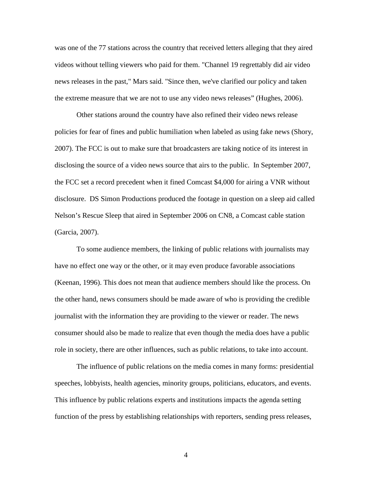was one of the 77 stations across the country that received letters alleging that they aired videos without telling viewers who paid for them. "Channel 19 regrettably did air video news releases in the past," Mars said. "Since then, we've clarified our policy and taken the extreme measure that we are not to use any video news releases" (Hughes, 2006).

Other stations around the country have also refined their video news release policies for fear of fines and public humiliation when labeled as using fake news (Shory, 2007). The FCC is out to make sure that broadcasters are taking notice of its interest in disclosing the source of a video news source that airs to the public. In September 2007, the FCC set a record precedent when it fined Comcast \$4,000 for airing a VNR without disclosure. DS Simon Productions produced the footage in question on a sleep aid called Nelson's Rescue Sleep that aired in September 2006 on CN8, a Comcast cable station (Garcia, 2007).

To some audience members, the linking of public relations with journalists may have no effect one way or the other, or it may even produce favorable associations (Keenan, 1996). This does not mean that audience members should like the process. On the other hand, news consumers should be made aware of who is providing the credible journalist with the information they are providing to the viewer or reader. The news consumer should also be made to realize that even though the media does have a public role in society, there are other influences, such as public relations, to take into account.

The influence of public relations on the media comes in many forms: presidential speeches, lobbyists, health agencies, minority groups, politicians, educators, and events. This influence by public relations experts and institutions impacts the agenda setting function of the press by establishing relationships with reporters, sending press releases,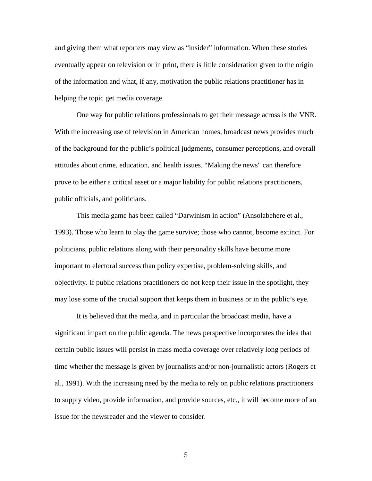and giving them what reporters may view as "insider" information. When these stories eventually appear on television or in print, there is little consideration given to the origin of the information and what, if any, motivation the public relations practitioner has in helping the topic get media coverage.

One way for public relations professionals to get their message across is the VNR. With the increasing use of television in American homes, broadcast news provides much of the background for the public's political judgments, consumer perceptions, and overall attitudes about crime, education, and health issues. "Making the news" can therefore prove to be either a critical asset or a major liability for public relations practitioners, public officials, and politicians.

This media game has been called "Darwinism in action" (Ansolabehere et al., 1993). Those who learn to play the game survive; those who cannot, become extinct. For politicians, public relations along with their personality skills have become more important to electoral success than policy expertise, problem-solving skills, and objectivity. If public relations practitioners do not keep their issue in the spotlight, they may lose some of the crucial support that keeps them in business or in the public's eye.

It is believed that the media, and in particular the broadcast media, have a significant impact on the public agenda. The news perspective incorporates the idea that certain public issues will persist in mass media coverage over relatively long periods of time whether the message is given by journalists and/or non-journalistic actors (Rogers et al., 1991). With the increasing need by the media to rely on public relations practitioners to supply video, provide information, and provide sources, etc., it will become more of an issue for the newsreader and the viewer to consider.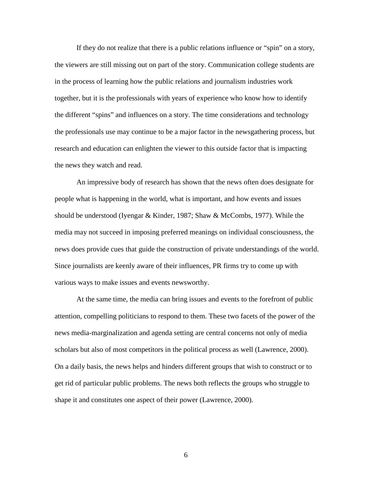If they do not realize that there is a public relations influence or "spin" on a story, the viewers are still missing out on part of the story. Communication college students are in the process of learning how the public relations and journalism industries work together, but it is the professionals with years of experience who know how to identify the different "spins" and influences on a story. The time considerations and technology the professionals use may continue to be a major factor in the newsgathering process, but research and education can enlighten the viewer to this outside factor that is impacting the news they watch and read.

An impressive body of research has shown that the news often does designate for people what is happening in the world, what is important, and how events and issues should be understood (Iyengar & Kinder, 1987; Shaw & McCombs, 1977). While the media may not succeed in imposing preferred meanings on individual consciousness, the news does provide cues that guide the construction of private understandings of the world. Since journalists are keenly aware of their influences, PR firms try to come up with various ways to make issues and events newsworthy.

At the same time, the media can bring issues and events to the forefront of public attention, compelling politicians to respond to them. These two facets of the power of the news media-marginalization and agenda setting are central concerns not only of media scholars but also of most competitors in the political process as well (Lawrence, 2000). On a daily basis, the news helps and hinders different groups that wish to construct or to get rid of particular public problems. The news both reflects the groups who struggle to shape it and constitutes one aspect of their power (Lawrence, 2000).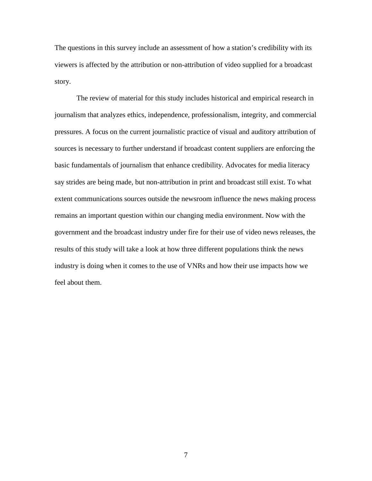The questions in this survey include an assessment of how a station's credibility with its viewers is affected by the attribution or non-attribution of video supplied for a broadcast story.

The review of material for this study includes historical and empirical research in journalism that analyzes ethics, independence, professionalism, integrity, and commercial pressures. A focus on the current journalistic practice of visual and auditory attribution of sources is necessary to further understand if broadcast content suppliers are enforcing the basic fundamentals of journalism that enhance credibility. Advocates for media literacy say strides are being made, but non-attribution in print and broadcast still exist. To what extent communications sources outside the newsroom influence the news making process remains an important question within our changing media environment. Now with the government and the broadcast industry under fire for their use of video news releases, the results of this study will take a look at how three different populations think the news industry is doing when it comes to the use of VNRs and how their use impacts how we feel about them.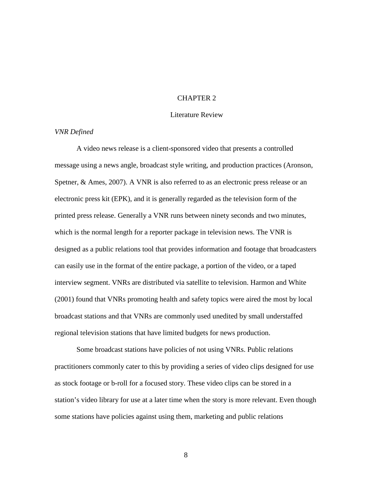#### CHAPTER 2

#### Literature Review

#### *VNR Defined*

A video news release is a client-sponsored video that presents a controlled message using a news angle, broadcast style writing, and production practices (Aronson, Spetner, & Ames, 2007). A VNR is also referred to as an electronic press release or an electronic press kit (EPK), and it is generally regarded as the television form of the printed press release. Generally a VNR runs between ninety seconds and two minutes, which is the normal length for a reporter package in television news. The VNR is designed as a public relations tool that provides information and footage that broadcasters can easily use in the format of the entire package, a portion of the video, or a taped interview segment. VNRs are distributed via satellite to television. Harmon and White (2001) found that VNRs promoting health and safety topics were aired the most by local broadcast stations and that VNRs are commonly used unedited by small understaffed regional television stations that have limited budgets for news production.

 Some broadcast stations have policies of not using VNRs. Public relations practitioners commonly cater to this by providing a series of video clips designed for use as stock footage or b-roll for a focused story. These video clips can be stored in a station's video library for use at a later time when the story is more relevant. Even though some stations have policies against using them, marketing and public relations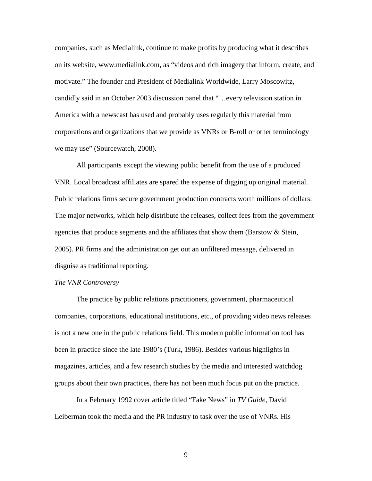companies, such as Medialink, continue to make profits by producing what it describes on its website, www.medialink.com, as "videos and rich imagery that inform, create, and motivate." The founder and President of Medialink Worldwide, Larry Moscowitz, candidly said in an October 2003 discussion panel that "…every television station in America with a newscast has used and probably uses regularly this material from corporations and organizations that we provide as VNRs or B-roll or other terminology we may use" (Sourcewatch, 2008).

 All participants except the viewing public benefit from the use of a produced VNR. Local broadcast affiliates are spared the expense of digging up original material. Public relations firms secure government production contracts worth millions of dollars. The major networks, which help distribute the releases, collect fees from the government agencies that produce segments and the affiliates that show them (Barstow & Stein, 2005). PR firms and the administration get out an unfiltered message, delivered in disguise as traditional reporting.

#### *The VNR Controversy*

 The practice by public relations practitioners, government, pharmaceutical companies, corporations, educational institutions, etc., of providing video news releases is not a new one in the public relations field. This modern public information tool has been in practice since the late 1980's (Turk, 1986). Besides various highlights in magazines, articles, and a few research studies by the media and interested watchdog groups about their own practices, there has not been much focus put on the practice.

 In a February 1992 cover article titled "Fake News" in *TV Guide*, David Leiberman took the media and the PR industry to task over the use of VNRs. His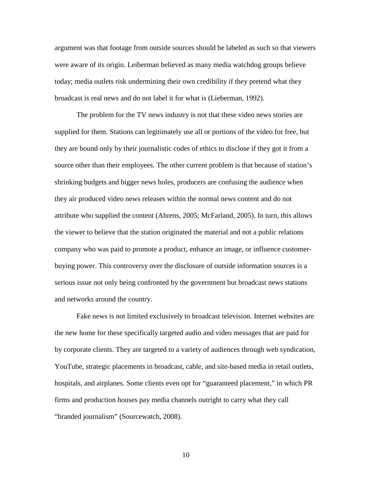argument was that footage from outside sources should be labeled as such so that viewers were aware of its origin. Leiberman believed as many media watchdog groups believe today; media outlets risk undermining their own credibility if they pretend what they broadcast is real news and do not label it for what is (Lieberman, 1992).

 The problem for the TV news industry is not that these video news stories are supplied for them. Stations can legitimately use all or portions of the video for free, but they are bound only by their journalistic codes of ethics to disclose if they got it from a source other than their employees. The other current problem is that because of station's shrinking budgets and bigger news holes, producers are confusing the audience when they air produced video news releases within the normal news content and do not attribute who supplied the content (Ahrens, 2005; McFarland, 2005). In turn, this allows the viewer to believe that the station originated the material and not a public relations company who was paid to promote a product, enhance an image, or influence customerbuying power. This controversy over the disclosure of outside information sources is a serious issue not only being confronted by the government but broadcast news stations and networks around the country.

 Fake news is not limited exclusively to broadcast television. Internet websites are the new home for these specifically targeted audio and video messages that are paid for by corporate clients. They are targeted to a variety of audiences through web syndication, YouTube, strategic placements in broadcast, cable, and site-based media in retail outlets, hospitals, and airplanes. Some clients even opt for "guaranteed placement," in which PR firms and production houses pay media channels outright to carry what they call "branded journalism" (Sourcewatch, 2008).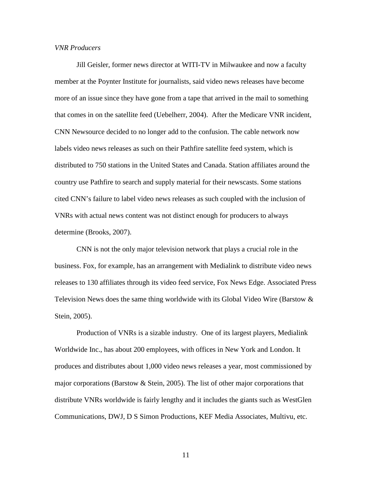#### *VNR Producers*

 Jill Geisler, former news director at WITI-TV in Milwaukee and now a faculty member at the Poynter Institute for journalists, said video news releases have become more of an issue since they have gone from a tape that arrived in the mail to something that comes in on the satellite feed (Uebelherr, 2004). After the Medicare VNR incident, CNN Newsource decided to no longer add to the confusion. The cable network now labels video news releases as such on their Pathfire satellite feed system, which is distributed to 750 stations in the United States and Canada. Station affiliates around the country use Pathfire to search and supply material for their newscasts. Some stations cited CNN's failure to label video news releases as such coupled with the inclusion of VNRs with actual news content was not distinct enough for producers to always determine (Brooks, 2007).

 CNN is not the only major television network that plays a crucial role in the business. Fox, for example, has an arrangement with Medialink to distribute video news releases to 130 affiliates through its video feed service, Fox News Edge. Associated Press Television News does the same thing worldwide with its Global Video Wire (Barstow & Stein, 2005).

 Production of VNRs is a sizable industry. One of its largest players, Medialink Worldwide Inc., has about 200 employees, with offices in New York and London. It produces and distributes about 1,000 video news releases a year, most commissioned by major corporations (Barstow & Stein, 2005). The list of other major corporations that distribute VNRs worldwide is fairly lengthy and it includes the giants such as WestGlen Communications, DWJ, D S Simon Productions, KEF Media Associates, Multivu, etc.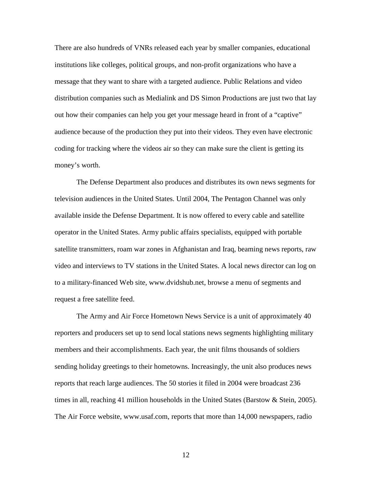There are also hundreds of VNRs released each year by smaller companies, educational institutions like colleges, political groups, and non-profit organizations who have a message that they want to share with a targeted audience. Public Relations and video distribution companies such as Medialink and DS Simon Productions are just two that lay out how their companies can help you get your message heard in front of a "captive" audience because of the production they put into their videos. They even have electronic coding for tracking where the videos air so they can make sure the client is getting its money's worth.

 The Defense Department also produces and distributes its own news segments for television audiences in the United States. Until 2004, The Pentagon Channel was only available inside the Defense Department. It is now offered to every cable and satellite operator in the United States. Army public affairs specialists, equipped with portable satellite transmitters, roam war zones in Afghanistan and Iraq, beaming news reports, raw video and interviews to TV stations in the United States. A local news director can log on to a military-financed Web site, www.dvidshub.net, browse a menu of segments and request a free satellite feed.

 The Army and Air Force Hometown News Service is a unit of approximately 40 reporters and producers set up to send local stations news segments highlighting military members and their accomplishments. Each year, the unit films thousands of soldiers sending holiday greetings to their hometowns. Increasingly, the unit also produces news reports that reach large audiences. The 50 stories it filed in 2004 were broadcast 236 times in all, reaching 41 million households in the United States (Barstow & Stein, 2005). The Air Force website, www.usaf.com, reports that more than 14,000 newspapers, radio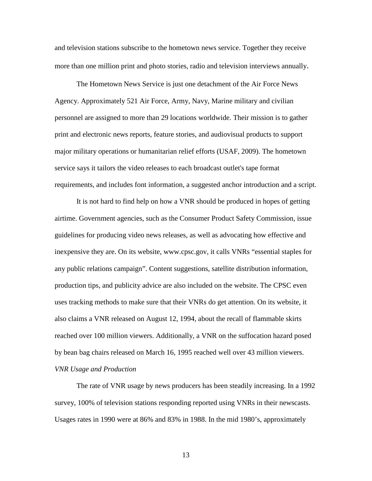and television stations subscribe to the hometown news service. Together they receive more than one million print and photo stories, radio and television interviews annually.

 The Hometown News Service is just one detachment of the Air Force News Agency. Approximately 521 Air Force, Army, Navy, Marine military and civilian personnel are assigned to more than 29 locations worldwide. Their mission is to gather print and electronic news reports, feature stories, and audiovisual products to support major military operations or humanitarian relief efforts (USAF, 2009). The hometown service says it tailors the video releases to each broadcast outlet's tape format requirements, and includes font information, a suggested anchor introduction and a script.

 It is not hard to find help on how a VNR should be produced in hopes of getting airtime. Government agencies, such as the Consumer Product Safety Commission, issue guidelines for producing video news releases, as well as advocating how effective and inexpensive they are. On its website, www.cpsc.gov, it calls VNRs "essential staples for any public relations campaign". Content suggestions, satellite distribution information, production tips, and publicity advice are also included on the website. The CPSC even uses tracking methods to make sure that their VNRs do get attention. On its website, it also claims a VNR released on August 12, 1994, about the recall of flammable skirts reached over 100 million viewers. Additionally, a VNR on the suffocation hazard posed by bean bag chairs released on March 16, 1995 reached well over 43 million viewers. *VNR Usage and Production* 

 The rate of VNR usage by news producers has been steadily increasing. In a 1992 survey, 100% of television stations responding reported using VNRs in their newscasts. Usages rates in 1990 were at 86% and 83% in 1988. In the mid 1980's, approximately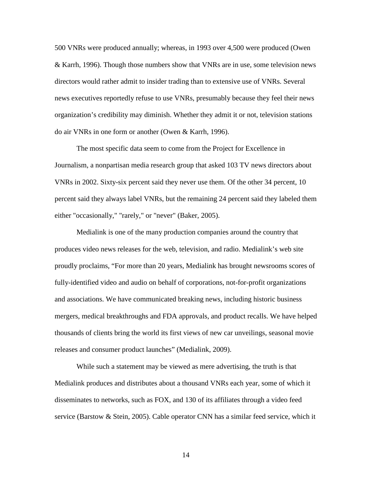500 VNRs were produced annually; whereas, in 1993 over 4,500 were produced (Owen & Karrh, 1996). Though those numbers show that VNRs are in use, some television news directors would rather admit to insider trading than to extensive use of VNRs. Several news executives reportedly refuse to use VNRs, presumably because they feel their news organization's credibility may diminish. Whether they admit it or not, television stations do air VNRs in one form or another (Owen & Karrh, 1996).

 The most specific data seem to come from the Project for Excellence in Journalism, a nonpartisan media research group that asked 103 TV news directors about VNRs in 2002. Sixty-six percent said they never use them. Of the other 34 percent, 10 percent said they always label VNRs, but the remaining 24 percent said they labeled them either "occasionally," "rarely," or "never" (Baker, 2005).

 Medialink is one of the many production companies around the country that produces video news releases for the web, television, and radio. Medialink's web site proudly proclaims, "For more than 20 years, Medialink has brought newsrooms scores of fully-identified video and audio on behalf of corporations, not-for-profit organizations and associations. We have communicated breaking news, including historic business mergers, medical breakthroughs and FDA approvals, and product recalls. We have helped thousands of clients bring the world its first views of new car unveilings, seasonal movie releases and consumer product launches" (Medialink, 2009).

 While such a statement may be viewed as mere advertising, the truth is that Medialink produces and distributes about a thousand VNRs each year, some of which it disseminates to networks, such as FOX, and 130 of its affiliates through a video feed service (Barstow & Stein, 2005). Cable operator CNN has a similar feed service, which it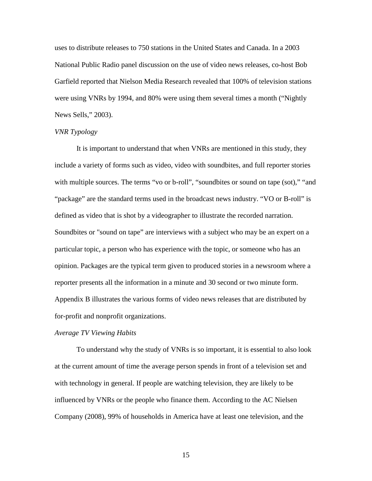uses to distribute releases to 750 stations in the United States and Canada. In a 2003 National Public Radio panel discussion on the use of video news releases, co-host Bob Garfield reported that Nielson Media Research revealed that 100% of television stations were using VNRs by 1994, and 80% were using them several times a month ("Nightly News Sells," 2003).

#### *VNR Typology*

 It is important to understand that when VNRs are mentioned in this study, they include a variety of forms such as video, video with soundbites, and full reporter stories with multiple sources. The terms "vo or b-roll", "soundbites or sound on tape (sot)," "and "package" are the standard terms used in the broadcast news industry. "VO or B-roll" is defined as video that is shot by a videographer to illustrate the recorded narration. Soundbites or "sound on tape" are interviews with a subject who may be an expert on a particular topic, a person who has experience with the topic, or someone who has an opinion. Packages are the typical term given to produced stories in a newsroom where a reporter presents all the information in a minute and 30 second or two minute form. Appendix B illustrates the various forms of video news releases that are distributed by for-profit and nonprofit organizations.

#### *Average TV Viewing Habits*

To understand why the study of VNRs is so important, it is essential to also look at the current amount of time the average person spends in front of a television set and with technology in general. If people are watching television, they are likely to be influenced by VNRs or the people who finance them. According to the AC Nielsen Company (2008), 99% of households in America have at least one television, and the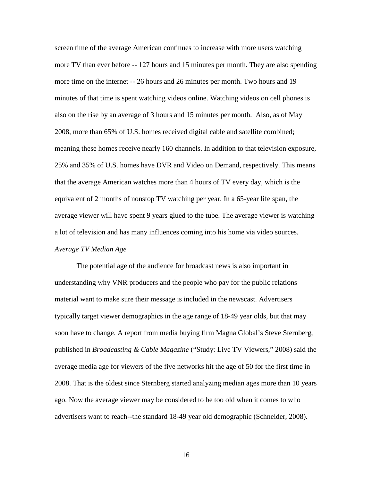screen time of the average American continues to increase with more users watching more TV than ever before -- 127 hours and 15 minutes per month. They are also spending more time on the internet -- 26 hours and 26 minutes per month. Two hours and 19 minutes of that time is spent watching videos online. Watching videos on cell phones is also on the rise by an average of 3 hours and 15 minutes per month. Also, as of May 2008, more than 65% of U.S. homes received digital cable and satellite combined; meaning these homes receive nearly 160 channels. In addition to that television exposure, 25% and 35% of U.S. homes have DVR and Video on Demand, respectively. This means that the average American watches more than 4 hours of TV every day, which is the equivalent of 2 months of nonstop TV watching per year. In a 65-year life span, the average viewer will have spent 9 years glued to the tube. The average viewer is watching a lot of television and has many influences coming into his home via video sources. *Average TV Median Age* 

The potential age of the audience for broadcast news is also important in understanding why VNR producers and the people who pay for the public relations material want to make sure their message is included in the newscast. Advertisers typically target viewer demographics in the age range of 18-49 year olds, but that may soon have to change. A report from media buying firm Magna Global's Steve Sternberg, published in *Broadcasting & Cable Magazine* ("Study: Live TV Viewers," 2008) said the average media age for viewers of the five networks hit the age of 50 for the first time in 2008. That is the oldest since Sternberg started analyzing median ages more than 10 years ago. Now the average viewer may be considered to be too old when it comes to who advertisers want to reach--the standard 18-49 year old demographic (Schneider, 2008).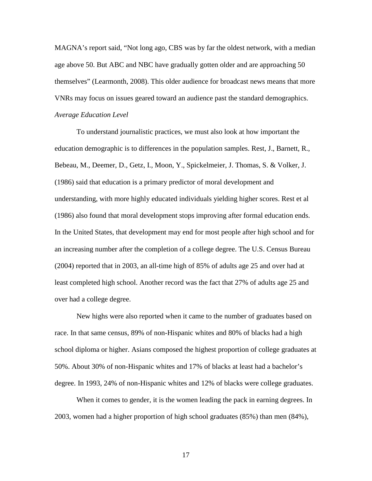MAGNA's report said, "Not long ago, CBS was by far the oldest network, with a median age above 50. But ABC and NBC have gradually gotten older and are approaching 50 themselves" (Learmonth, 2008). This older audience for broadcast news means that more VNRs may focus on issues geared toward an audience past the standard demographics. *Average Education Level* 

 To understand journalistic practices, we must also look at how important the education demographic is to differences in the population samples. Rest, J., Barnett, R., Bebeau, M., Deemer, D., Getz, I., Moon, Y., Spickelmeier, J. Thomas, S. & Volker, J. (1986) said that education is a primary predictor of moral development and understanding, with more highly educated individuals yielding higher scores. Rest et al (1986) also found that moral development stops improving after formal education ends. In the United States, that development may end for most people after high school and for an increasing number after the completion of a college degree. The U.S. Census Bureau (2004) reported that in 2003, an all-time high of 85% of adults age 25 and over had at least completed high school. Another record was the fact that 27% of adults age 25 and over had a college degree.

 New highs were also reported when it came to the number of graduates based on race. In that same census, 89% of non-Hispanic whites and 80% of blacks had a high school diploma or higher. Asians composed the highest proportion of college graduates at 50%. About 30% of non-Hispanic whites and 17% of blacks at least had a bachelor's degree. In 1993, 24% of non-Hispanic whites and 12% of blacks were college graduates.

 When it comes to gender, it is the women leading the pack in earning degrees. In 2003, women had a higher proportion of high school graduates (85%) than men (84%),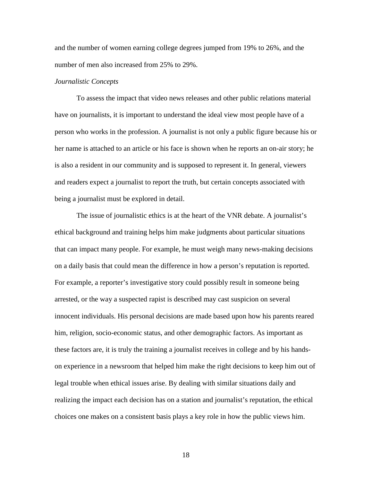and the number of women earning college degrees jumped from 19% to 26%, and the number of men also increased from 25% to 29%.

#### *Journalistic Concepts*

 To assess the impact that video news releases and other public relations material have on journalists, it is important to understand the ideal view most people have of a person who works in the profession. A journalist is not only a public figure because his or her name is attached to an article or his face is shown when he reports an on-air story; he is also a resident in our community and is supposed to represent it. In general, viewers and readers expect a journalist to report the truth, but certain concepts associated with being a journalist must be explored in detail.

 The issue of journalistic ethics is at the heart of the VNR debate. A journalist's ethical background and training helps him make judgments about particular situations that can impact many people. For example, he must weigh many news-making decisions on a daily basis that could mean the difference in how a person's reputation is reported. For example, a reporter's investigative story could possibly result in someone being arrested, or the way a suspected rapist is described may cast suspicion on several innocent individuals. His personal decisions are made based upon how his parents reared him, religion, socio-economic status, and other demographic factors. As important as these factors are, it is truly the training a journalist receives in college and by his handson experience in a newsroom that helped him make the right decisions to keep him out of legal trouble when ethical issues arise. By dealing with similar situations daily and realizing the impact each decision has on a station and journalist's reputation, the ethical choices one makes on a consistent basis plays a key role in how the public views him.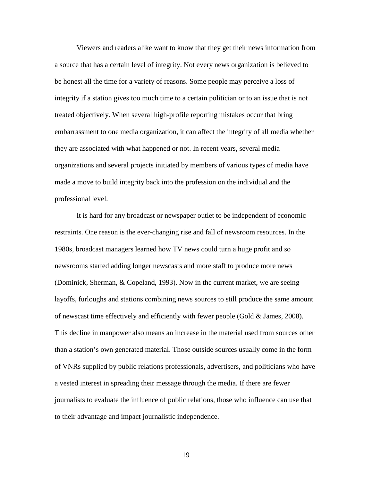Viewers and readers alike want to know that they get their news information from a source that has a certain level of integrity. Not every news organization is believed to be honest all the time for a variety of reasons. Some people may perceive a loss of integrity if a station gives too much time to a certain politician or to an issue that is not treated objectively. When several high-profile reporting mistakes occur that bring embarrassment to one media organization, it can affect the integrity of all media whether they are associated with what happened or not. In recent years, several media organizations and several projects initiated by members of various types of media have made a move to build integrity back into the profession on the individual and the professional level.

 It is hard for any broadcast or newspaper outlet to be independent of economic restraints. One reason is the ever-changing rise and fall of newsroom resources. In the 1980s, broadcast managers learned how TV news could turn a huge profit and so newsrooms started adding longer newscasts and more staff to produce more news (Dominick, Sherman, & Copeland, 1993). Now in the current market, we are seeing layoffs, furloughs and stations combining news sources to still produce the same amount of newscast time effectively and efficiently with fewer people (Gold & James, 2008). This decline in manpower also means an increase in the material used from sources other than a station's own generated material. Those outside sources usually come in the form of VNRs supplied by public relations professionals, advertisers, and politicians who have a vested interest in spreading their message through the media. If there are fewer journalists to evaluate the influence of public relations, those who influence can use that to their advantage and impact journalistic independence.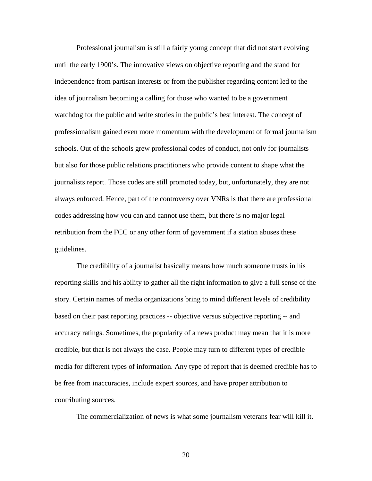Professional journalism is still a fairly young concept that did not start evolving until the early 1900's. The innovative views on objective reporting and the stand for independence from partisan interests or from the publisher regarding content led to the idea of journalism becoming a calling for those who wanted to be a government watchdog for the public and write stories in the public's best interest. The concept of professionalism gained even more momentum with the development of formal journalism schools. Out of the schools grew professional codes of conduct, not only for journalists but also for those public relations practitioners who provide content to shape what the journalists report. Those codes are still promoted today, but, unfortunately, they are not always enforced. Hence, part of the controversy over VNRs is that there are professional codes addressing how you can and cannot use them, but there is no major legal retribution from the FCC or any other form of government if a station abuses these guidelines.

 The credibility of a journalist basically means how much someone trusts in his reporting skills and his ability to gather all the right information to give a full sense of the story. Certain names of media organizations bring to mind different levels of credibility based on their past reporting practices -- objective versus subjective reporting -- and accuracy ratings. Sometimes, the popularity of a news product may mean that it is more credible, but that is not always the case. People may turn to different types of credible media for different types of information. Any type of report that is deemed credible has to be free from inaccuracies, include expert sources, and have proper attribution to contributing sources.

The commercialization of news is what some journalism veterans fear will kill it.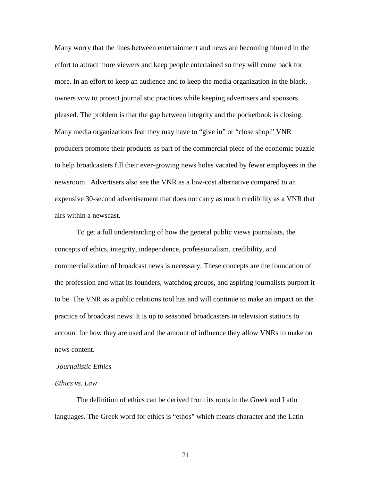Many worry that the lines between entertainment and news are becoming blurred in the effort to attract more viewers and keep people entertained so they will come back for more. In an effort to keep an audience and to keep the media organization in the black, owners vow to protect journalistic practices while keeping advertisers and sponsors pleased. The problem is that the gap between integrity and the pocketbook is closing. Many media organizations fear they may have to "give in" or "close shop." VNR producers promote their products as part of the commercial piece of the economic puzzle to help broadcasters fill their ever-growing news holes vacated by fewer employees in the newsroom. Advertisers also see the VNR as a low-cost alternative compared to an expensive 30-second advertisement that does not carry as much credibility as a VNR that airs within a newscast.

 To get a full understanding of how the general public views journalists, the concepts of ethics, integrity, independence, professionalism, credibility, and commercialization of broadcast news is necessary. These concepts are the foundation of the profession and what its founders, watchdog groups, and aspiring journalists purport it to be. The VNR as a public relations tool has and will continue to make an impact on the practice of broadcast news. It is up to seasoned broadcasters in television stations to account for how they are used and the amount of influence they allow VNRs to make on news content.

### *Journalistic Ethics*

#### *Ethics vs. Law*

 The definition of ethics can be derived from its roots in the Greek and Latin languages. The Greek word for ethics is "ethos" which means character and the Latin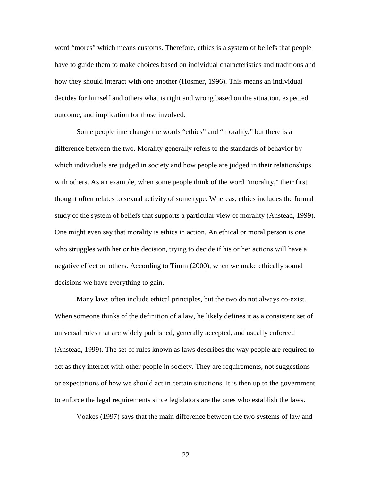word "mores" which means customs. Therefore, ethics is a system of beliefs that people have to guide them to make choices based on individual characteristics and traditions and how they should interact with one another (Hosmer, 1996). This means an individual decides for himself and others what is right and wrong based on the situation, expected outcome, and implication for those involved.

 Some people interchange the words "ethics" and "morality," but there is a difference between the two. Morality generally refers to the standards of behavior by which individuals are judged in society and how people are judged in their relationships with others. As an example, when some people think of the word "morality," their first thought often relates to sexual activity of some type. Whereas; ethics includes the formal study of the system of beliefs that supports a particular view of morality (Anstead, 1999). One might even say that morality is ethics in action. An ethical or moral person is one who struggles with her or his decision, trying to decide if his or her actions will have a negative effect on others. According to Timm (2000), when we make ethically sound decisions we have everything to gain.

 Many laws often include ethical principles, but the two do not always co-exist. When someone thinks of the definition of a law, he likely defines it as a consistent set of universal rules that are widely published, generally accepted, and usually enforced (Anstead, 1999). The set of rules known as laws describes the way people are required to act as they interact with other people in society. They are requirements, not suggestions or expectations of how we should act in certain situations. It is then up to the government to enforce the legal requirements since legislators are the ones who establish the laws.

Voakes (1997) says that the main difference between the two systems of law and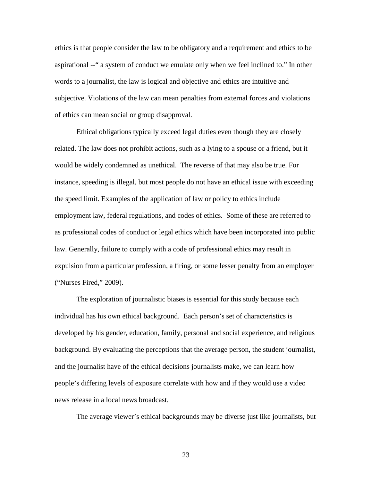ethics is that people consider the law to be obligatory and a requirement and ethics to be aspirational --" a system of conduct we emulate only when we feel inclined to." In other words to a journalist, the law is logical and objective and ethics are intuitive and subjective. Violations of the law can mean penalties from external forces and violations of ethics can mean social or group disapproval.

 Ethical obligations typically exceed legal duties even though they are closely related. The law does not prohibit actions, such as a lying to a spouse or a friend, but it would be widely condemned as unethical. The reverse of that may also be true. For instance, speeding is illegal, but most people do not have an ethical issue with exceeding the speed limit. Examples of the application of law or policy to ethics include employment law, federal regulations, and codes of ethics. Some of these are referred to as professional codes of conduct or legal ethics which have been incorporated into public law. Generally, failure to comply with a code of professional ethics may result in expulsion from a particular profession, a firing, or some lesser penalty from an employer ("Nurses Fired," 2009).

 The exploration of journalistic biases is essential for this study because each individual has his own ethical background. Each person's set of characteristics is developed by his gender, education, family, personal and social experience, and religious background. By evaluating the perceptions that the average person, the student journalist, and the journalist have of the ethical decisions journalists make, we can learn how people's differing levels of exposure correlate with how and if they would use a video news release in a local news broadcast.

The average viewer's ethical backgrounds may be diverse just like journalists, but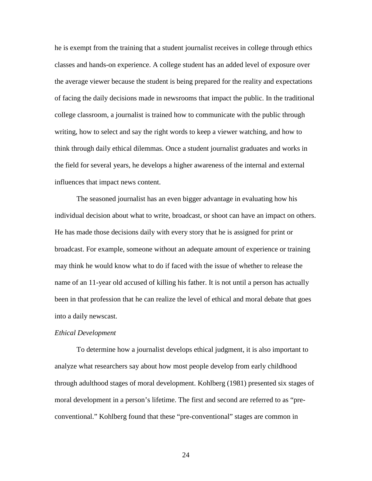he is exempt from the training that a student journalist receives in college through ethics classes and hands-on experience. A college student has an added level of exposure over the average viewer because the student is being prepared for the reality and expectations of facing the daily decisions made in newsrooms that impact the public. In the traditional college classroom, a journalist is trained how to communicate with the public through writing, how to select and say the right words to keep a viewer watching, and how to think through daily ethical dilemmas. Once a student journalist graduates and works in the field for several years, he develops a higher awareness of the internal and external influences that impact news content.

 The seasoned journalist has an even bigger advantage in evaluating how his individual decision about what to write, broadcast, or shoot can have an impact on others. He has made those decisions daily with every story that he is assigned for print or broadcast. For example, someone without an adequate amount of experience or training may think he would know what to do if faced with the issue of whether to release the name of an 11-year old accused of killing his father. It is not until a person has actually been in that profession that he can realize the level of ethical and moral debate that goes into a daily newscast.

#### *Ethical Development*

 To determine how a journalist develops ethical judgment, it is also important to analyze what researchers say about how most people develop from early childhood through adulthood stages of moral development. Kohlberg (1981) presented six stages of moral development in a person's lifetime. The first and second are referred to as "preconventional." Kohlberg found that these "pre-conventional" stages are common in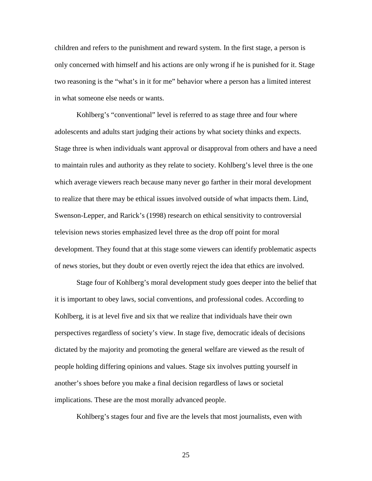children and refers to the punishment and reward system. In the first stage, a person is only concerned with himself and his actions are only wrong if he is punished for it. Stage two reasoning is the "what's in it for me" behavior where a person has a limited interest in what someone else needs or wants.

 Kohlberg's "conventional" level is referred to as stage three and four where adolescents and adults start judging their actions by what society thinks and expects. Stage three is when individuals want approval or disapproval from others and have a need to maintain rules and authority as they relate to society. Kohlberg's level three is the one which average viewers reach because many never go farther in their moral development to realize that there may be ethical issues involved outside of what impacts them. Lind, Swenson-Lepper, and Rarick's (1998) research on ethical sensitivity to controversial television news stories emphasized level three as the drop off point for moral development. They found that at this stage some viewers can identify problematic aspects of news stories, but they doubt or even overtly reject the idea that ethics are involved.

 Stage four of Kohlberg's moral development study goes deeper into the belief that it is important to obey laws, social conventions, and professional codes. According to Kohlberg, it is at level five and six that we realize that individuals have their own perspectives regardless of society's view. In stage five, democratic ideals of decisions dictated by the majority and promoting the general welfare are viewed as the result of people holding differing opinions and values. Stage six involves putting yourself in another's shoes before you make a final decision regardless of laws or societal implications. These are the most morally advanced people.

Kohlberg's stages four and five are the levels that most journalists, even with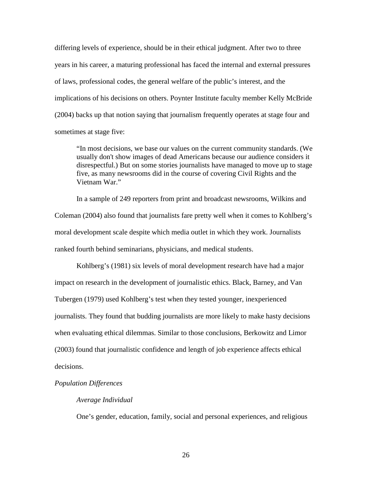differing levels of experience, should be in their ethical judgment. After two to three years in his career, a maturing professional has faced the internal and external pressures of laws, professional codes, the general welfare of the public's interest, and the implications of his decisions on others. Poynter Institute faculty member Kelly McBride (2004) backs up that notion saying that journalism frequently operates at stage four and sometimes at stage five:

 "In most decisions, we base our values on the current community standards. (We usually don't show images of dead Americans because our audience considers it disrespectful.) But on some stories journalists have managed to move up to stage five, as many newsrooms did in the course of covering Civil Rights and the Vietnam War."

 In a sample of 249 reporters from print and broadcast newsrooms, Wilkins and Coleman (2004) also found that journalists fare pretty well when it comes to Kohlberg's moral development scale despite which media outlet in which they work. Journalists ranked fourth behind seminarians, physicians, and medical students.

 Kohlberg's (1981) six levels of moral development research have had a major impact on research in the development of journalistic ethics. Black, Barney, and Van Tubergen (1979) used Kohlberg's test when they tested younger, inexperienced journalists. They found that budding journalists are more likely to make hasty decisions when evaluating ethical dilemmas. Similar to those conclusions, Berkowitz and Limor (2003) found that journalistic confidence and length of job experience affects ethical decisions.

# *Population Differences*

#### *Average Individual*

One's gender, education, family, social and personal experiences, and religious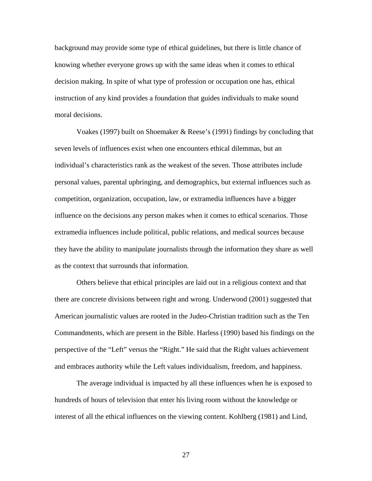background may provide some type of ethical guidelines, but there is little chance of knowing whether everyone grows up with the same ideas when it comes to ethical decision making. In spite of what type of profession or occupation one has, ethical instruction of any kind provides a foundation that guides individuals to make sound moral decisions.

 Voakes (1997) built on Shoemaker & Reese's (1991) findings by concluding that seven levels of influences exist when one encounters ethical dilemmas, but an individual's characteristics rank as the weakest of the seven. Those attributes include personal values, parental upbringing, and demographics, but external influences such as competition, organization, occupation, law, or extramedia influences have a bigger influence on the decisions any person makes when it comes to ethical scenarios. Those extramedia influences include political, public relations, and medical sources because they have the ability to manipulate journalists through the information they share as well as the context that surrounds that information.

 Others believe that ethical principles are laid out in a religious context and that there are concrete divisions between right and wrong. Underwood (2001) suggested that American journalistic values are rooted in the Judeo-Christian tradition such as the Ten Commandments, which are present in the Bible. Harless (1990) based his findings on the perspective of the "Left" versus the "Right." He said that the Right values achievement and embraces authority while the Left values individualism, freedom, and happiness.

 The average individual is impacted by all these influences when he is exposed to hundreds of hours of television that enter his living room without the knowledge or interest of all the ethical influences on the viewing content. Kohlberg (1981) and Lind,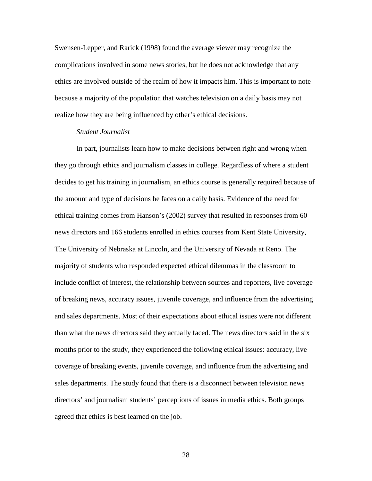Swensen-Lepper, and Rarick (1998) found the average viewer may recognize the complications involved in some news stories, but he does not acknowledge that any ethics are involved outside of the realm of how it impacts him. This is important to note because a majority of the population that watches television on a daily basis may not realize how they are being influenced by other's ethical decisions.

# *Student Journalist*

 In part, journalists learn how to make decisions between right and wrong when they go through ethics and journalism classes in college. Regardless of where a student decides to get his training in journalism, an ethics course is generally required because of the amount and type of decisions he faces on a daily basis. Evidence of the need for ethical training comes from Hanson's (2002) survey that resulted in responses from 60 news directors and 166 students enrolled in ethics courses from Kent State University, The University of Nebraska at Lincoln, and the University of Nevada at Reno. The majority of students who responded expected ethical dilemmas in the classroom to include conflict of interest, the relationship between sources and reporters, live coverage of breaking news, accuracy issues, juvenile coverage, and influence from the advertising and sales departments. Most of their expectations about ethical issues were not different than what the news directors said they actually faced. The news directors said in the six months prior to the study, they experienced the following ethical issues: accuracy, live coverage of breaking events, juvenile coverage, and influence from the advertising and sales departments. The study found that there is a disconnect between television news directors' and journalism students' perceptions of issues in media ethics. Both groups agreed that ethics is best learned on the job.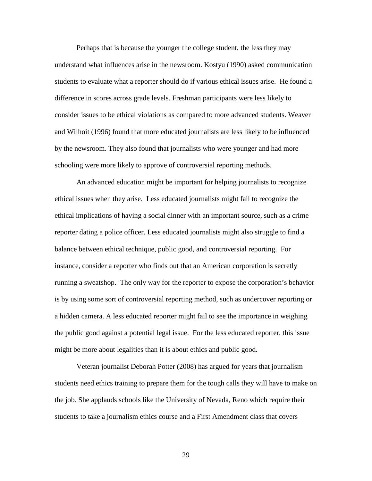Perhaps that is because the younger the college student, the less they may understand what influences arise in the newsroom. Kostyu (1990) asked communication students to evaluate what a reporter should do if various ethical issues arise. He found a difference in scores across grade levels. Freshman participants were less likely to consider issues to be ethical violations as compared to more advanced students. Weaver and Wilhoit (1996) found that more educated journalists are less likely to be influenced by the newsroom. They also found that journalists who were younger and had more schooling were more likely to approve of controversial reporting methods.

 An advanced education might be important for helping journalists to recognize ethical issues when they arise. Less educated journalists might fail to recognize the ethical implications of having a social dinner with an important source, such as a crime reporter dating a police officer. Less educated journalists might also struggle to find a balance between ethical technique, public good, and controversial reporting. For instance, consider a reporter who finds out that an American corporation is secretly running a sweatshop. The only way for the reporter to expose the corporation's behavior is by using some sort of controversial reporting method, such as undercover reporting or a hidden camera. A less educated reporter might fail to see the importance in weighing the public good against a potential legal issue. For the less educated reporter, this issue might be more about legalities than it is about ethics and public good.

 Veteran journalist Deborah Potter (2008) has argued for years that journalism students need ethics training to prepare them for the tough calls they will have to make on the job. She applauds schools like the University of Nevada, Reno which require their students to take a journalism ethics course and a First Amendment class that covers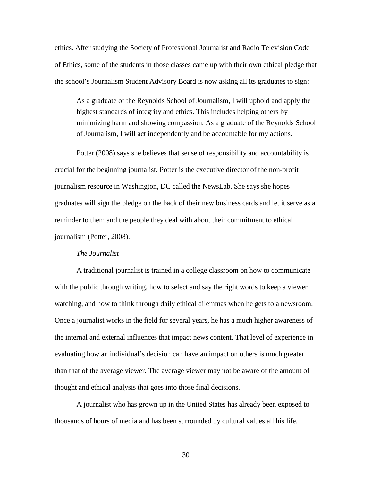ethics. After studying the Society of Professional Journalist and Radio Television Code of Ethics, some of the students in those classes came up with their own ethical pledge that the school's Journalism Student Advisory Board is now asking all its graduates to sign:

 As a graduate of the Reynolds School of Journalism, I will uphold and apply the highest standards of integrity and ethics. This includes helping others by minimizing harm and showing compassion. As a graduate of the Reynolds School of Journalism, I will act independently and be accountable for my actions.

 Potter (2008) says she believes that sense of responsibility and accountability is crucial for the beginning journalist. Potter is the executive director of the non-profit journalism resource in Washington, DC called the NewsLab. She says she hopes graduates will sign the pledge on the back of their new business cards and let it serve as a reminder to them and the people they deal with about their commitment to ethical journalism (Potter, 2008).

#### *The Journalist*

 A traditional journalist is trained in a college classroom on how to communicate with the public through writing, how to select and say the right words to keep a viewer watching, and how to think through daily ethical dilemmas when he gets to a newsroom. Once a journalist works in the field for several years, he has a much higher awareness of the internal and external influences that impact news content. That level of experience in evaluating how an individual's decision can have an impact on others is much greater than that of the average viewer. The average viewer may not be aware of the amount of thought and ethical analysis that goes into those final decisions.

 A journalist who has grown up in the United States has already been exposed to thousands of hours of media and has been surrounded by cultural values all his life.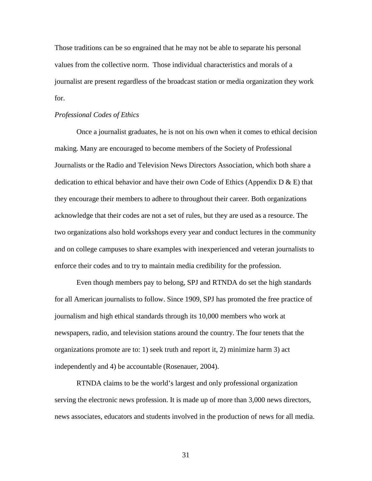Those traditions can be so engrained that he may not be able to separate his personal values from the collective norm. Those individual characteristics and morals of a journalist are present regardless of the broadcast station or media organization they work for.

#### *Professional Codes of Ethics*

 Once a journalist graduates, he is not on his own when it comes to ethical decision making. Many are encouraged to become members of the Society of Professional Journalists or the Radio and Television News Directors Association, which both share a dedication to ethical behavior and have their own Code of Ethics (Appendix  $D \& E$ ) that they encourage their members to adhere to throughout their career. Both organizations acknowledge that their codes are not a set of rules, but they are used as a resource. The two organizations also hold workshops every year and conduct lectures in the community and on college campuses to share examples with inexperienced and veteran journalists to enforce their codes and to try to maintain media credibility for the profession.

 Even though members pay to belong, SPJ and RTNDA do set the high standards for all American journalists to follow. Since 1909, SPJ has promoted the free practice of journalism and high ethical standards through its 10,000 members who work at newspapers, radio, and television stations around the country. The four tenets that the organizations promote are to: 1) seek truth and report it, 2) minimize harm 3) act independently and 4) be accountable (Rosenauer, 2004).

 RTNDA claims to be the world's largest and only professional organization serving the electronic news profession. It is made up of more than 3,000 news directors, news associates, educators and students involved in the production of news for all media.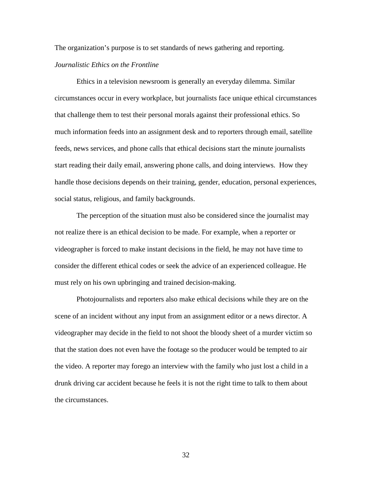The organization's purpose is to set standards of news gathering and reporting.

### *Journalistic Ethics on the Frontline*

 Ethics in a television newsroom is generally an everyday dilemma. Similar circumstances occur in every workplace, but journalists face unique ethical circumstances that challenge them to test their personal morals against their professional ethics. So much information feeds into an assignment desk and to reporters through email, satellite feeds, news services, and phone calls that ethical decisions start the minute journalists start reading their daily email, answering phone calls, and doing interviews. How they handle those decisions depends on their training, gender, education, personal experiences, social status, religious, and family backgrounds.

 The perception of the situation must also be considered since the journalist may not realize there is an ethical decision to be made. For example, when a reporter or videographer is forced to make instant decisions in the field, he may not have time to consider the different ethical codes or seek the advice of an experienced colleague. He must rely on his own upbringing and trained decision-making.

 Photojournalists and reporters also make ethical decisions while they are on the scene of an incident without any input from an assignment editor or a news director. A videographer may decide in the field to not shoot the bloody sheet of a murder victim so that the station does not even have the footage so the producer would be tempted to air the video. A reporter may forego an interview with the family who just lost a child in a drunk driving car accident because he feels it is not the right time to talk to them about the circumstances.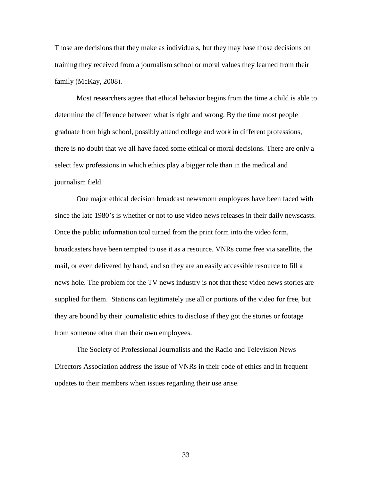Those are decisions that they make as individuals, but they may base those decisions on training they received from a journalism school or moral values they learned from their family (McKay, 2008).

 Most researchers agree that ethical behavior begins from the time a child is able to determine the difference between what is right and wrong. By the time most people graduate from high school, possibly attend college and work in different professions, there is no doubt that we all have faced some ethical or moral decisions. There are only a select few professions in which ethics play a bigger role than in the medical and journalism field.

 One major ethical decision broadcast newsroom employees have been faced with since the late 1980's is whether or not to use video news releases in their daily newscasts. Once the public information tool turned from the print form into the video form, broadcasters have been tempted to use it as a resource. VNRs come free via satellite, the mail, or even delivered by hand, and so they are an easily accessible resource to fill a news hole. The problem for the TV news industry is not that these video news stories are supplied for them. Stations can legitimately use all or portions of the video for free, but they are bound by their journalistic ethics to disclose if they got the stories or footage from someone other than their own employees.

 The Society of Professional Journalists and the Radio and Television News Directors Association address the issue of VNRs in their code of ethics and in frequent updates to their members when issues regarding their use arise.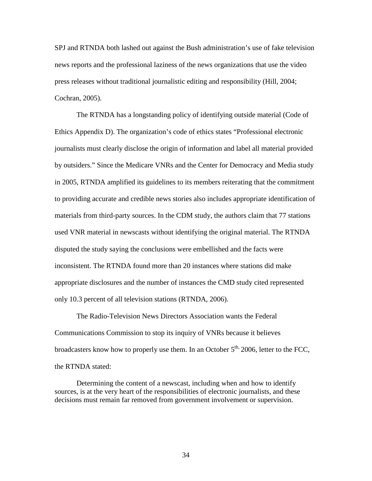SPJ and RTNDA both lashed out against the Bush administration's use of fake television news reports and the professional laziness of the news organizations that use the video press releases without traditional journalistic editing and responsibility (Hill, 2004; Cochran, 2005).

 The RTNDA has a longstanding policy of identifying outside material (Code of Ethics Appendix D). The organization's code of ethics states "Professional electronic journalists must clearly disclose the origin of information and label all material provided by outsiders." Since the Medicare VNRs and the Center for Democracy and Media study in 2005, RTNDA amplified its guidelines to its members reiterating that the commitment to providing accurate and credible news stories also includes appropriate identification of materials from third-party sources. In the CDM study, the authors claim that 77 stations used VNR material in newscasts without identifying the original material. The RTNDA disputed the study saying the conclusions were embellished and the facts were inconsistent. The RTNDA found more than 20 instances where stations did make appropriate disclosures and the number of instances the CMD study cited represented only 10.3 percent of all television stations (RTNDA, 2006).

 The Radio-Television News Directors Association wants the Federal Communications Commission to stop its inquiry of VNRs because it believes broadcasters know how to properly use them. In an October  $5<sup>th</sup>$ , 2006, letter to the FCC, the RTNDA stated:

 Determining the content of a newscast, including when and how to identify sources, is at the very heart of the responsibilities of electronic journalists, and these decisions must remain far removed from government involvement or supervision.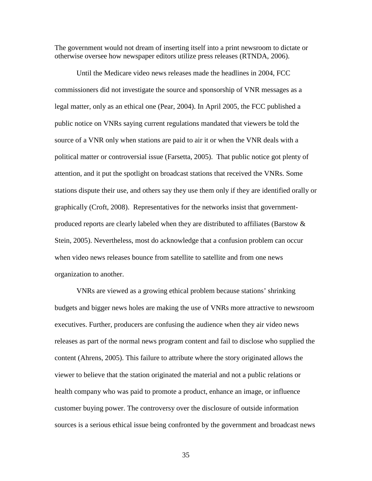The government would not dream of inserting itself into a print newsroom to dictate or otherwise oversee how newspaper editors utilize press releases (RTNDA, 2006).

 Until the Medicare video news releases made the headlines in 2004, FCC commissioners did not investigate the source and sponsorship of VNR messages as a legal matter, only as an ethical one (Pear, 2004). In April 2005, the FCC published a public notice on VNRs saying current regulations mandated that viewers be told the source of a VNR only when stations are paid to air it or when the VNR deals with a political matter or controversial issue (Farsetta, 2005). That public notice got plenty of attention, and it put the spotlight on broadcast stations that received the VNRs. Some stations dispute their use, and others say they use them only if they are identified orally or graphically (Croft, 2008). Representatives for the networks insist that governmentproduced reports are clearly labeled when they are distributed to affiliates (Barstow  $\&$ Stein, 2005). Nevertheless, most do acknowledge that a confusion problem can occur when video news releases bounce from satellite to satellite and from one news organization to another.

 VNRs are viewed as a growing ethical problem because stations' shrinking budgets and bigger news holes are making the use of VNRs more attractive to newsroom executives. Further, producers are confusing the audience when they air video news releases as part of the normal news program content and fail to disclose who supplied the content (Ahrens, 2005). This failure to attribute where the story originated allows the viewer to believe that the station originated the material and not a public relations or health company who was paid to promote a product, enhance an image, or influence customer buying power. The controversy over the disclosure of outside information sources is a serious ethical issue being confronted by the government and broadcast news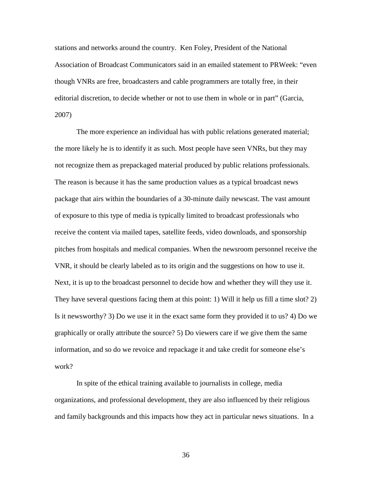stations and networks around the country. Ken Foley, President of the National Association of Broadcast Communicators said in an emailed statement to PRWeek: "even though VNRs are free, broadcasters and cable programmers are totally free, in their editorial discretion, to decide whether or not to use them in whole or in part" (Garcia, 2007)

 The more experience an individual has with public relations generated material; the more likely he is to identify it as such. Most people have seen VNRs, but they may not recognize them as prepackaged material produced by public relations professionals. The reason is because it has the same production values as a typical broadcast news package that airs within the boundaries of a 30-minute daily newscast. The vast amount of exposure to this type of media is typically limited to broadcast professionals who receive the content via mailed tapes, satellite feeds, video downloads, and sponsorship pitches from hospitals and medical companies. When the newsroom personnel receive the VNR, it should be clearly labeled as to its origin and the suggestions on how to use it. Next, it is up to the broadcast personnel to decide how and whether they will they use it. They have several questions facing them at this point: 1) Will it help us fill a time slot? 2) Is it newsworthy? 3) Do we use it in the exact same form they provided it to us? 4) Do we graphically or orally attribute the source? 5) Do viewers care if we give them the same information, and so do we revoice and repackage it and take credit for someone else's work?

 In spite of the ethical training available to journalists in college, media organizations, and professional development, they are also influenced by their religious and family backgrounds and this impacts how they act in particular news situations. In a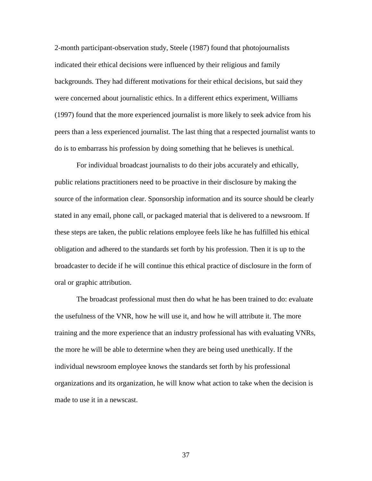2-month participant-observation study, Steele (1987) found that photojournalists indicated their ethical decisions were influenced by their religious and family backgrounds. They had different motivations for their ethical decisions, but said they were concerned about journalistic ethics. In a different ethics experiment, Williams (1997) found that the more experienced journalist is more likely to seek advice from his peers than a less experienced journalist. The last thing that a respected journalist wants to do is to embarrass his profession by doing something that he believes is unethical.

 For individual broadcast journalists to do their jobs accurately and ethically, public relations practitioners need to be proactive in their disclosure by making the source of the information clear. Sponsorship information and its source should be clearly stated in any email, phone call, or packaged material that is delivered to a newsroom. If these steps are taken, the public relations employee feels like he has fulfilled his ethical obligation and adhered to the standards set forth by his profession. Then it is up to the broadcaster to decide if he will continue this ethical practice of disclosure in the form of oral or graphic attribution.

 The broadcast professional must then do what he has been trained to do: evaluate the usefulness of the VNR, how he will use it, and how he will attribute it. The more training and the more experience that an industry professional has with evaluating VNRs, the more he will be able to determine when they are being used unethically. If the individual newsroom employee knows the standards set forth by his professional organizations and its organization, he will know what action to take when the decision is made to use it in a newscast.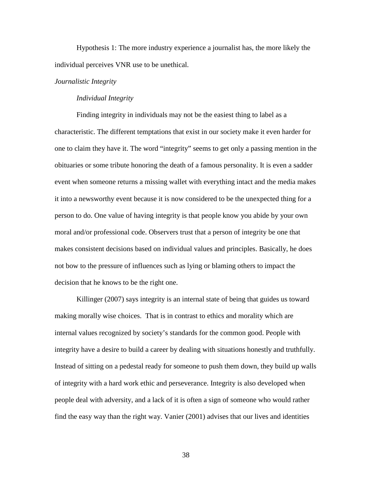Hypothesis 1: The more industry experience a journalist has, the more likely the individual perceives VNR use to be unethical.

## *Journalistic Integrity*

### *Individual Integrity*

 Finding integrity in individuals may not be the easiest thing to label as a characteristic. The different temptations that exist in our society make it even harder for one to claim they have it. The word "integrity" seems to get only a passing mention in the obituaries or some tribute honoring the death of a famous personality. It is even a sadder event when someone returns a missing wallet with everything intact and the media makes it into a newsworthy event because it is now considered to be the unexpected thing for a person to do. One value of having integrity is that people know you abide by your own moral and/or professional code. Observers trust that a person of integrity be one that makes consistent decisions based on individual values and principles. Basically, he does not bow to the pressure of influences such as lying or blaming others to impact the decision that he knows to be the right one.

 Killinger (2007) says integrity is an internal state of being that guides us toward making morally wise choices. That is in contrast to ethics and morality which are internal values recognized by society's standards for the common good. People with integrity have a desire to build a career by dealing with situations honestly and truthfully. Instead of sitting on a pedestal ready for someone to push them down, they build up walls of integrity with a hard work ethic and perseverance. Integrity is also developed when people deal with adversity, and a lack of it is often a sign of someone who would rather find the easy way than the right way. Vanier (2001) advises that our lives and identities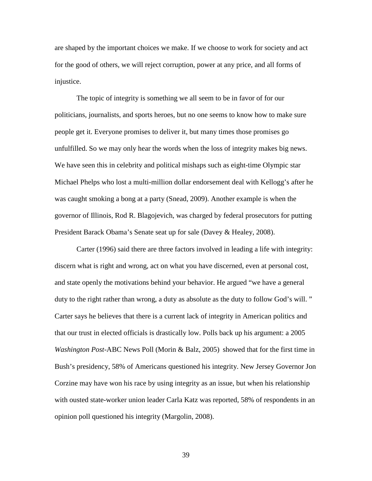are shaped by the important choices we make. If we choose to work for society and act for the good of others, we will reject corruption, power at any price, and all forms of injustice.

 The topic of integrity is something we all seem to be in favor of for our politicians, journalists, and sports heroes, but no one seems to know how to make sure people get it. Everyone promises to deliver it, but many times those promises go unfulfilled. So we may only hear the words when the loss of integrity makes big news. We have seen this in celebrity and political mishaps such as eight-time Olympic star Michael Phelps who lost a multi-million dollar endorsement deal with Kellogg's after he was caught smoking a bong at a party (Snead*,* 2009). Another example is when the governor of Illinois, Rod R. Blagojevich, was charged by federal prosecutors for putting President Barack Obama's Senate seat up for sale (Davey & Healey, 2008).

 Carter (1996) said there are three factors involved in leading a life with integrity: discern what is right and wrong, act on what you have discerned, even at personal cost, and state openly the motivations behind your behavior. He argued "we have a general duty to the right rather than wrong, a duty as absolute as the duty to follow God's will." Carter says he believes that there is a current lack of integrity in American politics and that our trust in elected officials is drastically low. Polls back up his argument: a 2005 *Washington Post*-ABC News Poll (Morin & Balz, 2005) showed that for the first time in Bush's presidency, 58% of Americans questioned his integrity. New Jersey Governor Jon Corzine may have won his race by using integrity as an issue, but when his relationship with ousted state-worker union leader Carla Katz was reported, 58% of respondents in an opinion poll questioned his integrity (Margolin, 2008).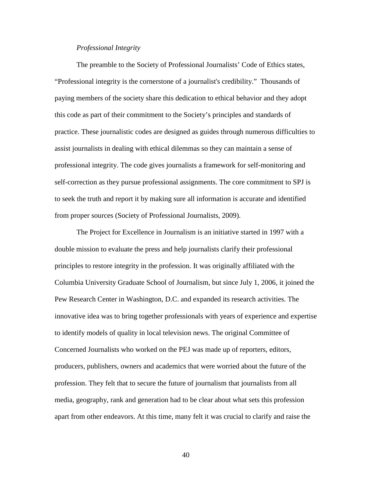# *Professional Integrity*

 The preamble to the Society of Professional Journalists' Code of Ethics states, "Professional integrity is the cornerstone of a journalist's credibility." Thousands of paying members of the society share this dedication to ethical behavior and they adopt this code as part of their commitment to the Society's principles and standards of practice. These journalistic codes are designed as guides through numerous difficulties to assist journalists in dealing with ethical dilemmas so they can maintain a sense of professional integrity. The code gives journalists a framework for self-monitoring and self-correction as they pursue professional assignments. The core commitment to SPJ is to seek the truth and report it by making sure all information is accurate and identified from proper sources (Society of Professional Journalists, 2009).

 The Project for Excellence in Journalism is an initiative started in 1997 with a double mission to evaluate the press and help journalists clarify their professional principles to restore integrity in the profession. It was originally affiliated with the Columbia University Graduate School of Journalism, but since July 1, 2006, it joined the Pew Research Center in Washington, D.C. and expanded its research activities. The innovative idea was to bring together professionals with years of experience and expertise to identify models of quality in local television news. The original Committee of Concerned Journalists who worked on the PEJ was made up of reporters, editors, producers, publishers, owners and academics that were worried about the future of the profession. They felt that to secure the future of journalism that journalists from all media, geography, rank and generation had to be clear about what sets this profession apart from other endeavors. At this time, many felt it was crucial to clarify and raise the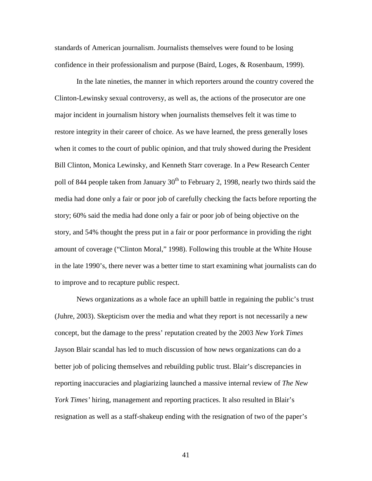standards of American journalism. Journalists themselves were found to be losing confidence in their professionalism and purpose (Baird, Loges, & Rosenbaum, 1999).

 In the late nineties, the manner in which reporters around the country covered the Clinton-Lewinsky sexual controversy, as well as, the actions of the prosecutor are one major incident in journalism history when journalists themselves felt it was time to restore integrity in their career of choice. As we have learned, the press generally loses when it comes to the court of public opinion, and that truly showed during the President Bill Clinton, Monica Lewinsky, and Kenneth Starr coverage. In a Pew Research Center poll of 844 people taken from January  $30<sup>th</sup>$  to February 2, 1998, nearly two thirds said the media had done only a fair or poor job of carefully checking the facts before reporting the story; 60% said the media had done only a fair or poor job of being objective on the story, and 54% thought the press put in a fair or poor performance in providing the right amount of coverage ("Clinton Moral," 1998). Following this trouble at the White House in the late 1990's, there never was a better time to start examining what journalists can do to improve and to recapture public respect.

 News organizations as a whole face an uphill battle in regaining the public's trust (Juhre, 2003). Skepticism over the media and what they report is not necessarily a new concept, but the damage to the press' reputation created by the 2003 *New York Times*  Jayson Blair scandal has led to much discussion of how news organizations can do a better job of policing themselves and rebuilding public trust. Blair's discrepancies in reporting inaccuracies and plagiarizing launched a massive internal review of *The New York Times'* hiring, management and reporting practices. It also resulted in Blair's resignation as well as a staff-shakeup ending with the resignation of two of the paper's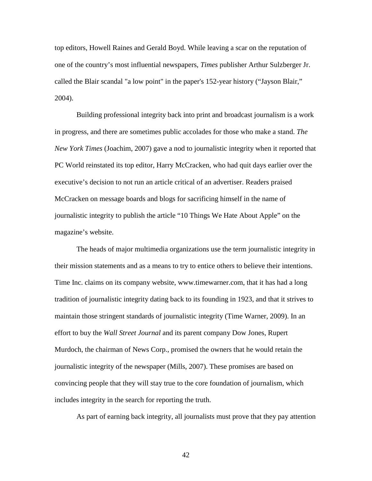top editors, Howell Raines and Gerald Boyd. While leaving a scar on the reputation of one of the country's most influential newspapers, *Times* publisher Arthur Sulzberger Jr. called the Blair scandal "a low point" in the paper's 152-year history ("Jayson Blair," 2004).

 Building professional integrity back into print and broadcast journalism is a work in progress, and there are sometimes public accolades for those who make a stand. *The New York Times* (Joachim, 2007) gave a nod to journalistic integrity when it reported that PC World reinstated its top editor, Harry McCracken, who had quit days earlier over the executive's decision to not run an article critical of an advertiser. Readers praised McCracken on message boards and blogs for sacrificing himself in the name of journalistic integrity to publish the article "10 Things We Hate About Apple" on the magazine's website.

 The heads of major multimedia organizations use the term journalistic integrity in their mission statements and as a means to try to entice others to believe their intentions. Time Inc. claims on its company website, www.timewarner.com, that it has had a long tradition of journalistic integrity dating back to its founding in 1923, and that it strives to maintain those stringent standards of journalistic integrity (Time Warner, 2009). In an effort to buy the *Wall Street Journal* and its parent company Dow Jones, Rupert Murdoch, the chairman of News Corp., promised the owners that he would retain the journalistic integrity of the newspaper (Mills, 2007). These promises are based on convincing people that they will stay true to the core foundation of journalism, which includes integrity in the search for reporting the truth.

As part of earning back integrity, all journalists must prove that they pay attention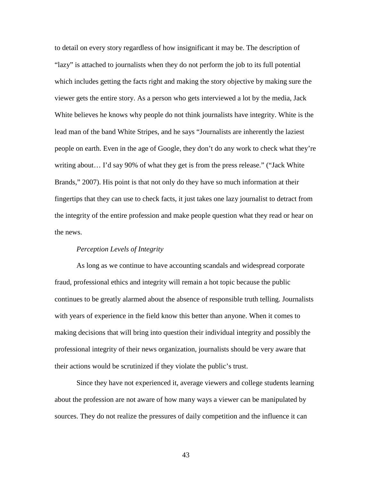to detail on every story regardless of how insignificant it may be. The description of "lazy" is attached to journalists when they do not perform the job to its full potential which includes getting the facts right and making the story objective by making sure the viewer gets the entire story. As a person who gets interviewed a lot by the media, Jack White believes he knows why people do not think journalists have integrity. White is the lead man of the band White Stripes, and he says "Journalists are inherently the laziest people on earth. Even in the age of Google, they don't do any work to check what they're writing about… I'd say 90% of what they get is from the press release." ("Jack White Brands," 2007). His point is that not only do they have so much information at their fingertips that they can use to check facts, it just takes one lazy journalist to detract from the integrity of the entire profession and make people question what they read or hear on the news.

# *Perception Levels of Integrity*

As long as we continue to have accounting scandals and widespread corporate fraud, professional ethics and integrity will remain a hot topic because the public continues to be greatly alarmed about the absence of responsible truth telling. Journalists with years of experience in the field know this better than anyone. When it comes to making decisions that will bring into question their individual integrity and possibly the professional integrity of their news organization, journalists should be very aware that their actions would be scrutinized if they violate the public's trust.

 Since they have not experienced it, average viewers and college students learning about the profession are not aware of how many ways a viewer can be manipulated by sources. They do not realize the pressures of daily competition and the influence it can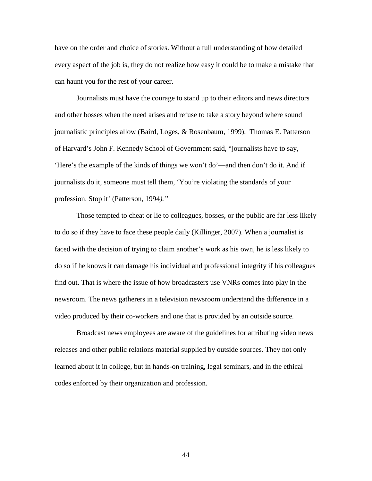have on the order and choice of stories. Without a full understanding of how detailed every aspect of the job is, they do not realize how easy it could be to make a mistake that can haunt you for the rest of your career.

 Journalists must have the courage to stand up to their editors and news directors and other bosses when the need arises and refuse to take a story beyond where sound journalistic principles allow (Baird, Loges, & Rosenbaum, 1999). Thomas E. Patterson of Harvard's John F. Kennedy School of Government said, "journalists have to say, 'Here's the example of the kinds of things we won't do'—and then don't do it. And if journalists do it, someone must tell them, 'You're violating the standards of your profession. Stop it' (Patterson, 1994*)."*

 Those tempted to cheat or lie to colleagues, bosses, or the public are far less likely to do so if they have to face these people daily (Killinger, 2007). When a journalist is faced with the decision of trying to claim another's work as his own, he is less likely to do so if he knows it can damage his individual and professional integrity if his colleagues find out. That is where the issue of how broadcasters use VNRs comes into play in the newsroom. The news gatherers in a television newsroom understand the difference in a video produced by their co-workers and one that is provided by an outside source.

 Broadcast news employees are aware of the guidelines for attributing video news releases and other public relations material supplied by outside sources. They not only learned about it in college, but in hands-on training, legal seminars, and in the ethical codes enforced by their organization and profession.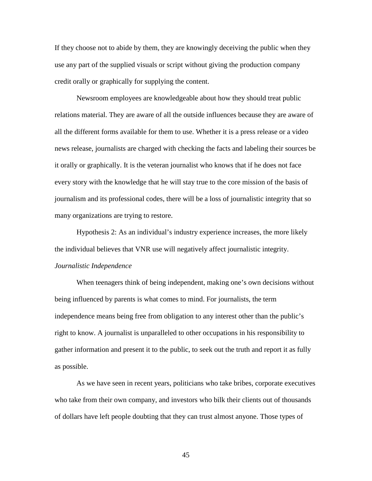If they choose not to abide by them, they are knowingly deceiving the public when they use any part of the supplied visuals or script without giving the production company credit orally or graphically for supplying the content.

 Newsroom employees are knowledgeable about how they should treat public relations material. They are aware of all the outside influences because they are aware of all the different forms available for them to use. Whether it is a press release or a video news release, journalists are charged with checking the facts and labeling their sources be it orally or graphically. It is the veteran journalist who knows that if he does not face every story with the knowledge that he will stay true to the core mission of the basis of journalism and its professional codes, there will be a loss of journalistic integrity that so many organizations are trying to restore.

 Hypothesis 2: As an individual's industry experience increases, the more likely the individual believes that VNR use will negatively affect journalistic integrity. *Journalistic Independence* 

 When teenagers think of being independent, making one's own decisions without being influenced by parents is what comes to mind. For journalists, the term independence means being free from obligation to any interest other than the public's right to know. A journalist is unparalleled to other occupations in his responsibility to gather information and present it to the public, to seek out the truth and report it as fully as possible.

 As we have seen in recent years, politicians who take bribes, corporate executives who take from their own company, and investors who bilk their clients out of thousands of dollars have left people doubting that they can trust almost anyone. Those types of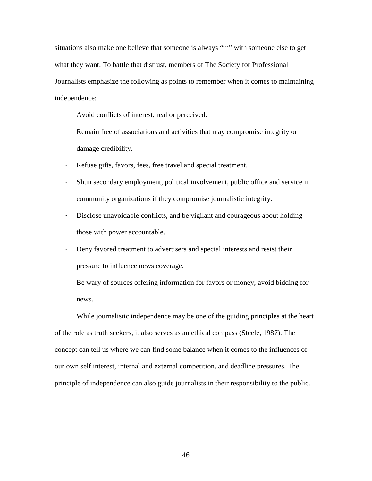situations also make one believe that someone is always "in" with someone else to get what they want. To battle that distrust, members of The Society for Professional Journalists emphasize the following as points to remember when it comes to maintaining independence:

- Avoid conflicts of interest, real or perceived.
- Remain free of associations and activities that may compromise integrity or damage credibility.
- Refuse gifts, favors, fees, free travel and special treatment.
- Shun secondary employment, political involvement, public office and service in community organizations if they compromise journalistic integrity.
- Disclose unavoidable conflicts, and be vigilant and courageous about holding those with power accountable.
- Deny favored treatment to advertisers and special interests and resist their pressure to influence news coverage.
- Be wary of sources offering information for favors or money; avoid bidding for news.

 While journalistic independence may be one of the guiding principles at the heart of the role as truth seekers, it also serves as an ethical compass (Steele, 1987). The concept can tell us where we can find some balance when it comes to the influences of our own self interest, internal and external competition, and deadline pressures. The principle of independence can also guide journalists in their responsibility to the public.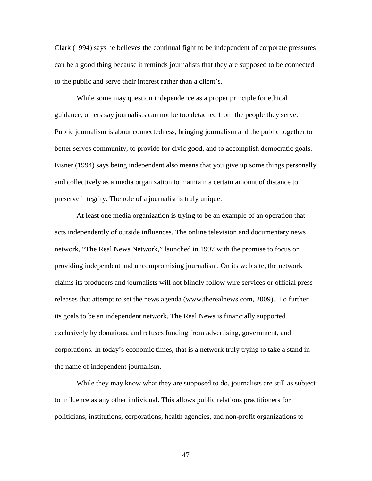Clark (1994) says he believes the continual fight to be independent of corporate pressures can be a good thing because it reminds journalists that they are supposed to be connected to the public and serve their interest rather than a client's.

While some may question independence as a proper principle for ethical guidance, others say journalists can not be too detached from the people they serve. Public journalism is about connectedness, bringing journalism and the public together to better serves community, to provide for civic good, and to accomplish democratic goals. Eisner (1994) says being independent also means that you give up some things personally and collectively as a media organization to maintain a certain amount of distance to preserve integrity. The role of a journalist is truly unique.

 At least one media organization is trying to be an example of an operation that acts independently of outside influences. The online television and documentary news network, "The Real News Network," launched in 1997 with the promise to focus on providing independent and uncompromising journalism. On its web site, the network claims its producers and journalists will not blindly follow wire services or official press releases that attempt to set the news agenda (www.therealnews.com, 2009). To further its goals to be an independent network, The Real News is financially supported exclusively by donations, and refuses funding from advertising, government, and corporations. In today's economic times, that is a network truly trying to take a stand in the name of independent journalism.

 While they may know what they are supposed to do, journalists are still as subject to influence as any other individual. This allows public relations practitioners for politicians, institutions, corporations, health agencies, and non-profit organizations to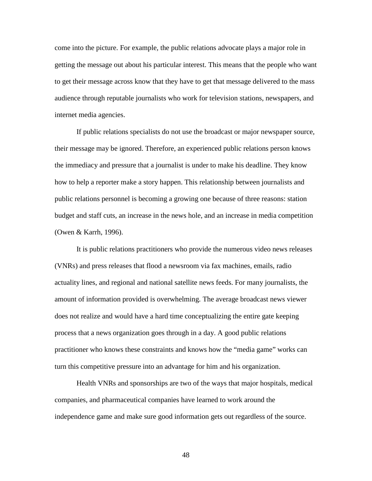come into the picture. For example, the public relations advocate plays a major role in getting the message out about his particular interest. This means that the people who want to get their message across know that they have to get that message delivered to the mass audience through reputable journalists who work for television stations, newspapers, and internet media agencies.

 If public relations specialists do not use the broadcast or major newspaper source, their message may be ignored. Therefore, an experienced public relations person knows the immediacy and pressure that a journalist is under to make his deadline. They know how to help a reporter make a story happen. This relationship between journalists and public relations personnel is becoming a growing one because of three reasons: station budget and staff cuts, an increase in the news hole, and an increase in media competition (Owen & Karrh, 1996).

 It is public relations practitioners who provide the numerous video news releases (VNRs) and press releases that flood a newsroom via fax machines, emails, radio actuality lines, and regional and national satellite news feeds. For many journalists, the amount of information provided is overwhelming. The average broadcast news viewer does not realize and would have a hard time conceptualizing the entire gate keeping process that a news organization goes through in a day. A good public relations practitioner who knows these constraints and knows how the "media game" works can turn this competitive pressure into an advantage for him and his organization.

 Health VNRs and sponsorships are two of the ways that major hospitals, medical companies, and pharmaceutical companies have learned to work around the independence game and make sure good information gets out regardless of the source.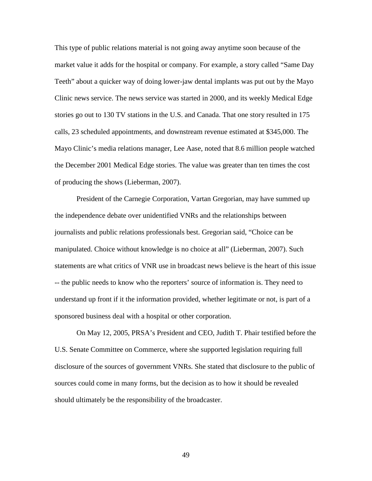This type of public relations material is not going away anytime soon because of the market value it adds for the hospital or company. For example, a story called "Same Day Teeth" about a quicker way of doing lower-jaw dental implants was put out by the Mayo Clinic news service. The news service was started in 2000, and its weekly Medical Edge stories go out to 130 TV stations in the U.S. and Canada. That one story resulted in 175 calls, 23 scheduled appointments, and downstream revenue estimated at \$345,000. The Mayo Clinic's media relations manager, Lee Aase, noted that 8.6 million people watched the December 2001 Medical Edge stories. The value was greater than ten times the cost of producing the shows (Lieberman, 2007).

 President of the Carnegie Corporation, Vartan Gregorian, may have summed up the independence debate over unidentified VNRs and the relationships between journalists and public relations professionals best. Gregorian said, "Choice can be manipulated. Choice without knowledge is no choice at all" (Lieberman, 2007). Such statements are what critics of VNR use in broadcast news believe is the heart of this issue -- the public needs to know who the reporters' source of information is. They need to understand up front if it the information provided, whether legitimate or not, is part of a sponsored business deal with a hospital or other corporation.

 On May 12, 2005, PRSA's President and CEO, Judith T. Phair testified before the U.S. Senate Committee on Commerce, where she supported legislation requiring full disclosure of the sources of government VNRs. She stated that disclosure to the public of sources could come in many forms, but the decision as to how it should be revealed should ultimately be the responsibility of the broadcaster.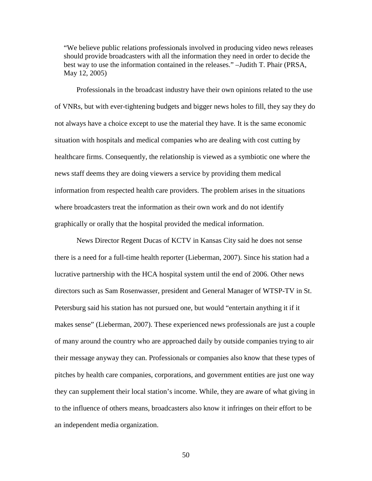"We believe public relations professionals involved in producing video news releases should provide broadcasters with all the information they need in order to decide the best way to use the information contained in the releases." –Judith T. Phair (PRSA, May 12, 2005)

 Professionals in the broadcast industry have their own opinions related to the use of VNRs, but with ever-tightening budgets and bigger news holes to fill, they say they do not always have a choice except to use the material they have. It is the same economic situation with hospitals and medical companies who are dealing with cost cutting by healthcare firms. Consequently, the relationship is viewed as a symbiotic one where the news staff deems they are doing viewers a service by providing them medical information from respected health care providers. The problem arises in the situations where broadcasters treat the information as their own work and do not identify graphically or orally that the hospital provided the medical information.

 News Director Regent Ducas of KCTV in Kansas City said he does not sense there is a need for a full-time health reporter (Lieberman, 2007). Since his station had a lucrative partnership with the HCA hospital system until the end of 2006. Other news directors such as Sam Rosenwasser, president and General Manager of WTSP-TV in St. Petersburg said his station has not pursued one, but would "entertain anything it if it makes sense" (Lieberman, 2007). These experienced news professionals are just a couple of many around the country who are approached daily by outside companies trying to air their message anyway they can. Professionals or companies also know that these types of pitches by health care companies, corporations, and government entities are just one way they can supplement their local station's income. While, they are aware of what giving in to the influence of others means, broadcasters also know it infringes on their effort to be an independent media organization.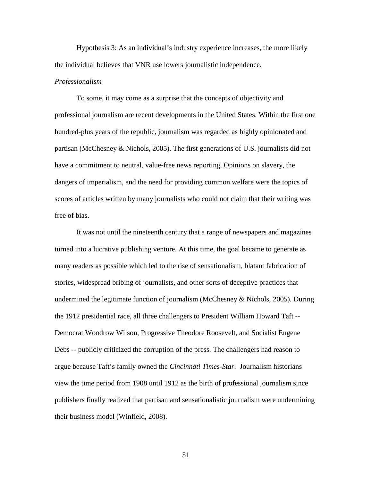Hypothesis 3: As an individual's industry experience increases, the more likely the individual believes that VNR use lowers journalistic independence.

#### *Professionalism*

 To some, it may come as a surprise that the concepts of objectivity and professional journalism are recent developments in the United States. Within the first one hundred-plus years of the republic, journalism was regarded as highly opinionated and partisan (McChesney & Nichols, 2005). The first generations of U.S. journalists did not have a commitment to neutral, value-free news reporting. Opinions on slavery, the dangers of imperialism, and the need for providing common welfare were the topics of scores of articles written by many journalists who could not claim that their writing was free of bias.

 It was not until the nineteenth century that a range of newspapers and magazines turned into a lucrative publishing venture. At this time, the goal became to generate as many readers as possible which led to the rise of sensationalism, blatant fabrication of stories, widespread bribing of journalists, and other sorts of deceptive practices that undermined the legitimate function of journalism (McChesney & Nichols, 2005). During the 1912 presidential race, all three challengers to President William Howard Taft -- Democrat Woodrow Wilson, Progressive Theodore Roosevelt, and Socialist Eugene Debs -- publicly criticized the corruption of the press. The challengers had reason to argue because Taft's family owned the *Cincinnati Times-Star*. Journalism historians view the time period from 1908 until 1912 as the birth of professional journalism since publishers finally realized that partisan and sensationalistic journalism were undermining their business model (Winfield, 2008).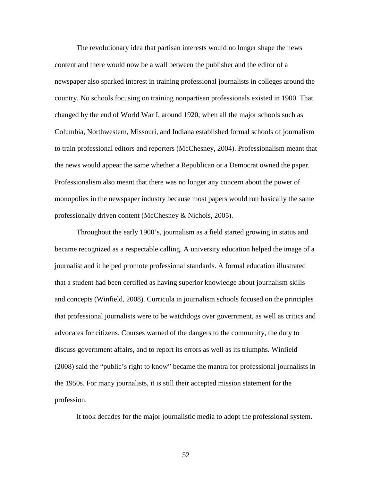The revolutionary idea that partisan interests would no longer shape the news content and there would now be a wall between the publisher and the editor of a newspaper also sparked interest in training professional journalists in colleges around the country. No schools focusing on training nonpartisan professionals existed in 1900. That changed by the end of World War I, around 1920, when all the major schools such as Columbia, Northwestern, Missouri, and Indiana established formal schools of journalism to train professional editors and reporters (McChesney, 2004). Professionalism meant that the news would appear the same whether a Republican or a Democrat owned the paper. Professionalism also meant that there was no longer any concern about the power of monopolies in the newspaper industry because most papers would run basically the same professionally driven content (McChesney & Nichols, 2005).

 Throughout the early 1900's, journalism as a field started growing in status and became recognized as a respectable calling. A university education helped the image of a journalist and it helped promote professional standards. A formal education illustrated that a student had been certified as having superior knowledge about journalism skills and concepts (Winfield, 2008). Curricula in journalism schools focused on the principles that professional journalists were to be watchdogs over government, as well as critics and advocates for citizens. Courses warned of the dangers to the community, the duty to discuss government affairs, and to report its errors as well as its triumphs. Winfield (2008) said the "public's right to know" became the mantra for professional journalists in the 1950s. For many journalists, it is still their accepted mission statement for the profession.

It took decades for the major journalistic media to adopt the professional system.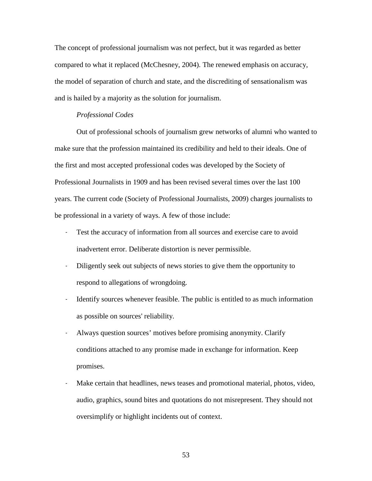The concept of professional journalism was not perfect, but it was regarded as better compared to what it replaced (McChesney, 2004). The renewed emphasis on accuracy, the model of separation of church and state, and the discrediting of sensationalism was and is hailed by a majority as the solution for journalism.

## *Professional Codes*

 Out of professional schools of journalism grew networks of alumni who wanted to make sure that the profession maintained its credibility and held to their ideals. One of the first and most accepted professional codes was developed by the Society of Professional Journalists in 1909 and has been revised several times over the last 100 years. The current code (Society of Professional Journalists, 2009) charges journalists to be professional in a variety of ways. A few of those include:

- Test the accuracy of information from all sources and exercise care to avoid inadvertent error. Deliberate distortion is never permissible.
- Diligently seek out subjects of news stories to give them the opportunity to respond to allegations of wrongdoing.
- Identify sources whenever feasible. The public is entitled to as much information as possible on sources' reliability.
- Always question sources' motives before promising anonymity. Clarify conditions attached to any promise made in exchange for information. Keep promises.
- Make certain that headlines, news teases and promotional material, photos, video, audio, graphics, sound bites and quotations do not misrepresent. They should not oversimplify or highlight incidents out of context.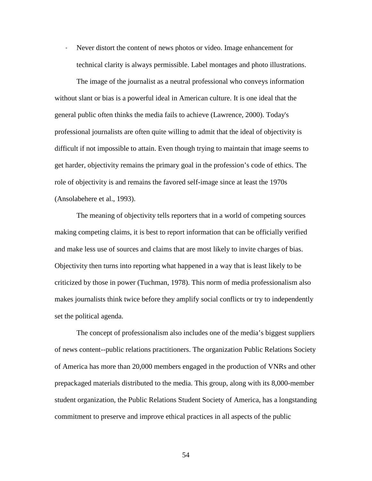— Never distort the content of news photos or video. Image enhancement for technical clarity is always permissible. Label montages and photo illustrations.

The image of the journalist as a neutral professional who conveys information without slant or bias is a powerful ideal in American culture. It is one ideal that the general public often thinks the media fails to achieve (Lawrence, 2000). Today's professional journalists are often quite willing to admit that the ideal of objectivity is difficult if not impossible to attain. Even though trying to maintain that image seems to get harder, objectivity remains the primary goal in the profession's code of ethics. The role of objectivity is and remains the favored self-image since at least the 1970s (Ansolabehere et al., 1993).

The meaning of objectivity tells reporters that in a world of competing sources making competing claims, it is best to report information that can be officially verified and make less use of sources and claims that are most likely to invite charges of bias. Objectivity then turns into reporting what happened in a way that is least likely to be criticized by those in power (Tuchman, 1978). This norm of media professionalism also makes journalists think twice before they amplify social conflicts or try to independently set the political agenda.

 The concept of professionalism also includes one of the media's biggest suppliers of news content--public relations practitioners. The organization Public Relations Society of America has more than 20,000 members engaged in the production of VNRs and other prepackaged materials distributed to the media. This group, along with its 8,000-member student organization, the Public Relations Student Society of America, has a longstanding commitment to preserve and improve ethical practices in all aspects of the public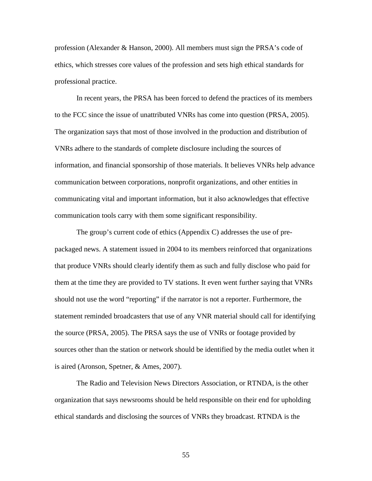profession (Alexander & Hanson, 2000). All members must sign the PRSA's code of ethics, which stresses core values of the profession and sets high ethical standards for professional practice.

 In recent years, the PRSA has been forced to defend the practices of its members to the FCC since the issue of unattributed VNRs has come into question (PRSA, 2005). The organization says that most of those involved in the production and distribution of VNRs adhere to the standards of complete disclosure including the sources of information, and financial sponsorship of those materials. It believes VNRs help advance communication between corporations, nonprofit organizations, and other entities in communicating vital and important information, but it also acknowledges that effective communication tools carry with them some significant responsibility.

 The group's current code of ethics (Appendix C) addresses the use of prepackaged news. A statement issued in 2004 to its members reinforced that organizations that produce VNRs should clearly identify them as such and fully disclose who paid for them at the time they are provided to TV stations. It even went further saying that VNRs should not use the word "reporting" if the narrator is not a reporter. Furthermore, the statement reminded broadcasters that use of any VNR material should call for identifying the source (PRSA, 2005). The PRSA says the use of VNRs or footage provided by sources other than the station or network should be identified by the media outlet when it is aired (Aronson, Spetner, & Ames, 2007).

 The Radio and Television News Directors Association, or RTNDA, is the other organization that says newsrooms should be held responsible on their end for upholding ethical standards and disclosing the sources of VNRs they broadcast. RTNDA is the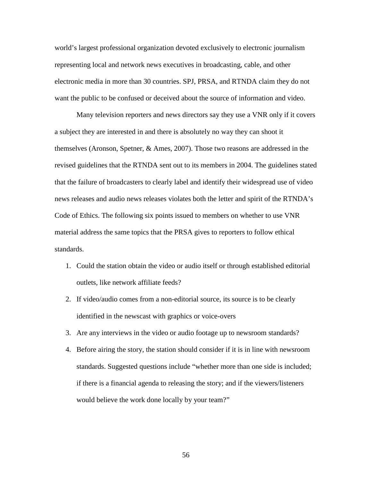world's largest professional organization devoted exclusively to electronic journalism representing local and network news executives in broadcasting, cable, and other electronic media in more than 30 countries. SPJ, PRSA, and RTNDA claim they do not want the public to be confused or deceived about the source of information and video.

 Many television reporters and news directors say they use a VNR only if it covers a subject they are interested in and there is absolutely no way they can shoot it themselves (Aronson, Spetner, & Ames, 2007). Those two reasons are addressed in the revised guidelines that the RTNDA sent out to its members in 2004. The guidelines stated that the failure of broadcasters to clearly label and identify their widespread use of video news releases and audio news releases violates both the letter and spirit of the RTNDA's Code of Ethics. The following six points issued to members on whether to use VNR material address the same topics that the PRSA gives to reporters to follow ethical standards.

- 1. Could the station obtain the video or audio itself or through established editorial outlets, like network affiliate feeds?
- 2. If video/audio comes from a non-editorial source, its source is to be clearly identified in the newscast with graphics or voice-overs
- 3. Are any interviews in the video or audio footage up to newsroom standards?
- 4. Before airing the story, the station should consider if it is in line with newsroom standards. Suggested questions include "whether more than one side is included; if there is a financial agenda to releasing the story; and if the viewers/listeners would believe the work done locally by your team?"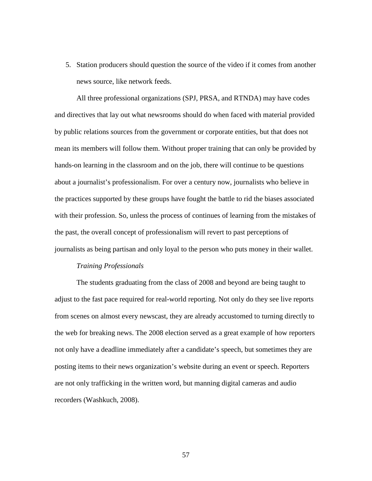5. Station producers should question the source of the video if it comes from another news source, like network feeds.

 All three professional organizations (SPJ, PRSA, and RTNDA) may have codes and directives that lay out what newsrooms should do when faced with material provided by public relations sources from the government or corporate entities, but that does not mean its members will follow them. Without proper training that can only be provided by hands-on learning in the classroom and on the job, there will continue to be questions about a journalist's professionalism. For over a century now, journalists who believe in the practices supported by these groups have fought the battle to rid the biases associated with their profession. So, unless the process of continues of learning from the mistakes of the past, the overall concept of professionalism will revert to past perceptions of journalists as being partisan and only loyal to the person who puts money in their wallet.

#### *Training Professionals*

 The students graduating from the class of 2008 and beyond are being taught to adjust to the fast pace required for real-world reporting. Not only do they see live reports from scenes on almost every newscast, they are already accustomed to turning directly to the web for breaking news. The 2008 election served as a great example of how reporters not only have a deadline immediately after a candidate's speech, but sometimes they are posting items to their news organization's website during an event or speech. Reporters are not only trafficking in the written word, but manning digital cameras and audio recorders (Washkuch, 2008).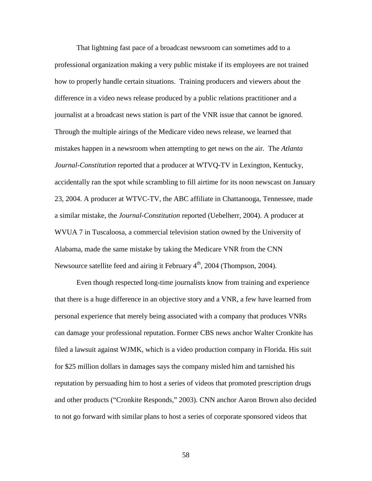That lightning fast pace of a broadcast newsroom can sometimes add to a professional organization making a very public mistake if its employees are not trained how to properly handle certain situations. Training producers and viewers about the difference in a video news release produced by a public relations practitioner and a journalist at a broadcast news station is part of the VNR issue that cannot be ignored. Through the multiple airings of the Medicare video news release, we learned that mistakes happen in a newsroom when attempting to get news on the air. The *Atlanta Journal-Constitution* reported that a producer at WTVQ-TV in Lexington, Kentucky, accidentally ran the spot while scrambling to fill airtime for its noon newscast on January 23, 2004. A producer at WTVC-TV, the ABC affiliate in Chattanooga, Tennessee, made a similar mistake, the *Journal-Constitution* reported (Uebelherr, 2004). A producer at WVUA 7 in Tuscaloosa, a commercial television station owned by the University of Alabama, made the same mistake by taking the Medicare VNR from the CNN Newsource satellite feed and airing it February  $4<sup>th</sup>$ , 2004 (Thompson, 2004).

 Even though respected long-time journalists know from training and experience that there is a huge difference in an objective story and a VNR, a few have learned from personal experience that merely being associated with a company that produces VNRs can damage your professional reputation. Former CBS news anchor Walter Cronkite has filed a lawsuit against WJMK, which is a video production company in Florida. His suit for \$25 million dollars in damages says the company misled him and tarnished his reputation by persuading him to host a series of videos that promoted prescription drugs and other products ("Cronkite Responds," 2003). CNN anchor Aaron Brown also decided to not go forward with similar plans to host a series of corporate sponsored videos that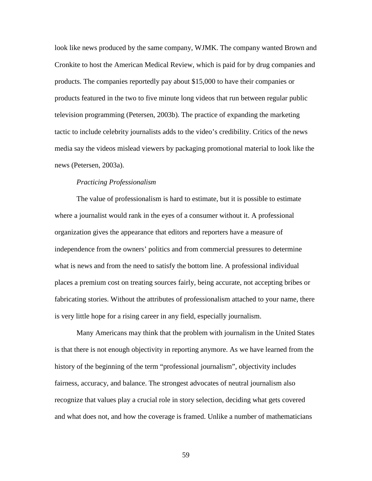look like news produced by the same company, WJMK. The company wanted Brown and Cronkite to host the American Medical Review, which is paid for by drug companies and products. The companies reportedly pay about \$15,000 to have their companies or products featured in the two to five minute long videos that run between regular public television programming (Petersen, 2003b). The practice of expanding the marketing tactic to include celebrity journalists adds to the video's credibility. Critics of the news media say the videos mislead viewers by packaging promotional material to look like the news (Petersen*,* 2003a).

# *Practicing Professionalism*

 The value of professionalism is hard to estimate, but it is possible to estimate where a journalist would rank in the eyes of a consumer without it. A professional organization gives the appearance that editors and reporters have a measure of independence from the owners' politics and from commercial pressures to determine what is news and from the need to satisfy the bottom line. A professional individual places a premium cost on treating sources fairly, being accurate, not accepting bribes or fabricating stories. Without the attributes of professionalism attached to your name, there is very little hope for a rising career in any field, especially journalism.

 Many Americans may think that the problem with journalism in the United States is that there is not enough objectivity in reporting anymore. As we have learned from the history of the beginning of the term "professional journalism", objectivity includes fairness, accuracy, and balance. The strongest advocates of neutral journalism also recognize that values play a crucial role in story selection, deciding what gets covered and what does not, and how the coverage is framed. Unlike a number of mathematicians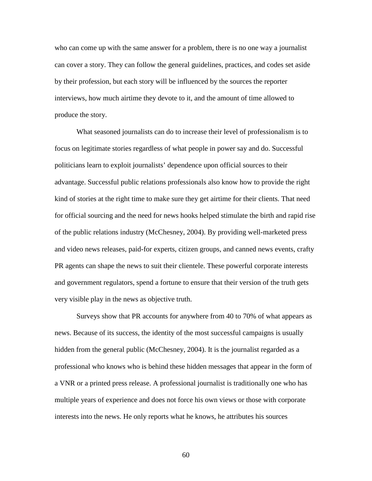who can come up with the same answer for a problem, there is no one way a journalist can cover a story. They can follow the general guidelines, practices, and codes set aside by their profession, but each story will be influenced by the sources the reporter interviews, how much airtime they devote to it, and the amount of time allowed to produce the story.

 What seasoned journalists can do to increase their level of professionalism is to focus on legitimate stories regardless of what people in power say and do. Successful politicians learn to exploit journalists' dependence upon official sources to their advantage. Successful public relations professionals also know how to provide the right kind of stories at the right time to make sure they get airtime for their clients. That need for official sourcing and the need for news hooks helped stimulate the birth and rapid rise of the public relations industry (McChesney, 2004). By providing well-marketed press and video news releases, paid-for experts, citizen groups, and canned news events, crafty PR agents can shape the news to suit their clientele. These powerful corporate interests and government regulators, spend a fortune to ensure that their version of the truth gets very visible play in the news as objective truth.

 Surveys show that PR accounts for anywhere from 40 to 70% of what appears as news. Because of its success, the identity of the most successful campaigns is usually hidden from the general public (McChesney, 2004). It is the journalist regarded as a professional who knows who is behind these hidden messages that appear in the form of a VNR or a printed press release. A professional journalist is traditionally one who has multiple years of experience and does not force his own views or those with corporate interests into the news. He only reports what he knows, he attributes his sources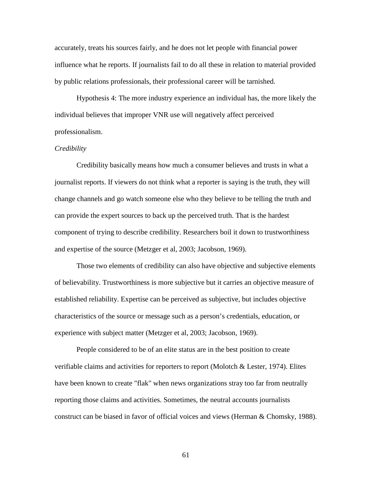accurately, treats his sources fairly, and he does not let people with financial power influence what he reports. If journalists fail to do all these in relation to material provided by public relations professionals, their professional career will be tarnished.

 Hypothesis 4: The more industry experience an individual has, the more likely the individual believes that improper VNR use will negatively affect perceived professionalism.

#### *Credibility*

Credibility basically means how much a consumer believes and trusts in what a journalist reports. If viewers do not think what a reporter is saying is the truth, they will change channels and go watch someone else who they believe to be telling the truth and can provide the expert sources to back up the perceived truth. That is the hardest component of trying to describe credibility. Researchers boil it down to trustworthiness and expertise of the source (Metzger et al, 2003; Jacobson, 1969).

 Those two elements of credibility can also have objective and subjective elements of believability. Trustworthiness is more subjective but it carries an objective measure of established reliability. Expertise can be perceived as subjective, but includes objective characteristics of the source or message such as a person's credentials, education, or experience with subject matter (Metzger et al, 2003; Jacobson, 1969).

People considered to be of an elite status are in the best position to create verifiable claims and activities for reporters to report (Molotch  $\&$  Lester, 1974). Elites have been known to create "flak" when news organizations stray too far from neutrally reporting those claims and activities. Sometimes, the neutral accounts journalists construct can be biased in favor of official voices and views (Herman & Chomsky, 1988).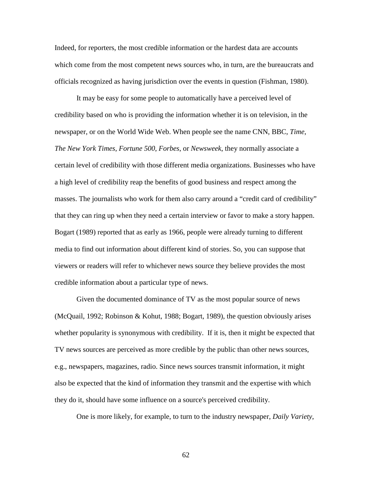Indeed, for reporters, the most credible information or the hardest data are accounts which come from the most competent news sources who, in turn, are the bureaucrats and officials recognized as having jurisdiction over the events in question (Fishman, 1980).

It may be easy for some people to automatically have a perceived level of credibility based on who is providing the information whether it is on television, in the newspaper, or on the World Wide Web. When people see the name CNN, BBC, *Time*, *The New York Times*, *Fortune 500*, *Forbes*, or *Newsweek*, they normally associate a certain level of credibility with those different media organizations. Businesses who have a high level of credibility reap the benefits of good business and respect among the masses. The journalists who work for them also carry around a "credit card of credibility" that they can ring up when they need a certain interview or favor to make a story happen. Bogart (1989) reported that as early as 1966, people were already turning to different media to find out information about different kind of stories. So, you can suppose that viewers or readers will refer to whichever news source they believe provides the most credible information about a particular type of news.

 Given the documented dominance of TV as the most popular source of news (McQuail, 1992; Robinson & Kohut, 1988; Bogart, 1989), the question obviously arises whether popularity is synonymous with credibility. If it is, then it might be expected that TV news sources are perceived as more credible by the public than other news sources, e.g., newspapers, magazines, radio. Since news sources transmit information, it might also be expected that the kind of information they transmit and the expertise with which they do it, should have some influence on a source's perceived credibility.

One is more likely, for example, to turn to the industry newspaper, *Daily Variety*,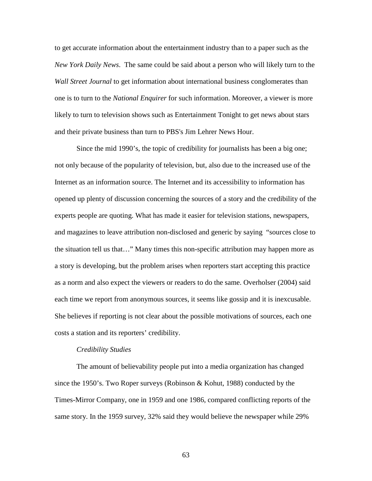to get accurate information about the entertainment industry than to a paper such as the *New York Daily News*. The same could be said about a person who will likely turn to the *Wall Street Journal* to get information about international business conglomerates than one is to turn to the *National Enquirer* for such information. Moreover, a viewer is more likely to turn to television shows such as Entertainment Tonight to get news about stars and their private business than turn to PBS's Jim Lehrer News Hour.

 Since the mid 1990's, the topic of credibility for journalists has been a big one; not only because of the popularity of television, but, also due to the increased use of the Internet as an information source. The Internet and its accessibility to information has opened up plenty of discussion concerning the sources of a story and the credibility of the experts people are quoting. What has made it easier for television stations, newspapers, and magazines to leave attribution non-disclosed and generic by saying "sources close to the situation tell us that…" Many times this non-specific attribution may happen more as a story is developing, but the problem arises when reporters start accepting this practice as a norm and also expect the viewers or readers to do the same. Overholser (2004) said each time we report from anonymous sources, it seems like gossip and it is inexcusable. She believes if reporting is not clear about the possible motivations of sources, each one costs a station and its reporters' credibility.

#### *Credibility Studies*

 The amount of believability people put into a media organization has changed since the 1950's. Two Roper surveys (Robinson & Kohut, 1988) conducted by the Times-Mirror Company, one in 1959 and one 1986, compared conflicting reports of the same story. In the 1959 survey, 32% said they would believe the newspaper while 29%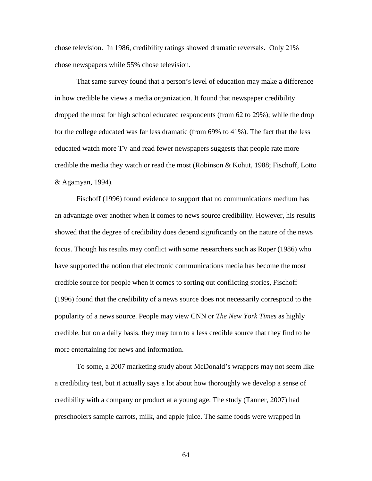chose television. In 1986, credibility ratings showed dramatic reversals. Only 21% chose newspapers while 55% chose television.

 That same survey found that a person's level of education may make a difference in how credible he views a media organization. It found that newspaper credibility dropped the most for high school educated respondents (from 62 to 29%); while the drop for the college educated was far less dramatic (from 69% to 41%). The fact that the less educated watch more TV and read fewer newspapers suggests that people rate more credible the media they watch or read the most (Robinson & Kohut, 1988; Fischoff, Lotto & Agamyan, 1994).

 Fischoff (1996) found evidence to support that no communications medium has an advantage over another when it comes to news source credibility. However, his results showed that the degree of credibility does depend significantly on the nature of the news focus. Though his results may conflict with some researchers such as Roper (1986) who have supported the notion that electronic communications media has become the most credible source for people when it comes to sorting out conflicting stories, Fischoff (1996) found that the credibility of a news source does not necessarily correspond to the popularity of a news source. People may view CNN or *The New York Times* as highly credible, but on a daily basis, they may turn to a less credible source that they find to be more entertaining for news and information.

 To some, a 2007 marketing study about McDonald's wrappers may not seem like a credibility test, but it actually says a lot about how thoroughly we develop a sense of credibility with a company or product at a young age. The study (Tanner, 2007) had preschoolers sample carrots, milk, and apple juice. The same foods were wrapped in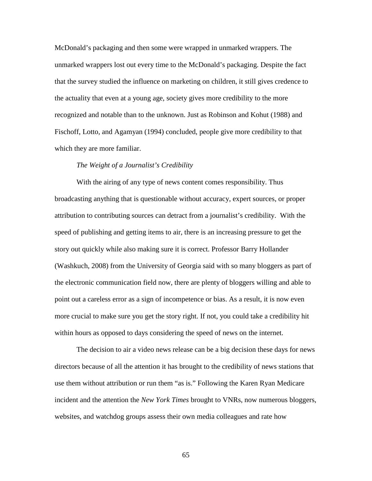McDonald's packaging and then some were wrapped in unmarked wrappers. The unmarked wrappers lost out every time to the McDonald's packaging. Despite the fact that the survey studied the influence on marketing on children, it still gives credence to the actuality that even at a young age, society gives more credibility to the more recognized and notable than to the unknown. Just as Robinson and Kohut (1988) and Fischoff, Lotto, and Agamyan (1994) concluded, people give more credibility to that which they are more familiar.

#### *The Weight of a Journalist's Credibility*

 With the airing of any type of news content comes responsibility. Thus broadcasting anything that is questionable without accuracy, expert sources, or proper attribution to contributing sources can detract from a journalist's credibility. With the speed of publishing and getting items to air, there is an increasing pressure to get the story out quickly while also making sure it is correct. Professor Barry Hollander (Washkuch, 2008) from the University of Georgia said with so many bloggers as part of the electronic communication field now, there are plenty of bloggers willing and able to point out a careless error as a sign of incompetence or bias. As a result, it is now even more crucial to make sure you get the story right. If not, you could take a credibility hit within hours as opposed to days considering the speed of news on the internet.

 The decision to air a video news release can be a big decision these days for news directors because of all the attention it has brought to the credibility of news stations that use them without attribution or run them "as is." Following the Karen Ryan Medicare incident and the attention the *New York Times* brought to VNRs, now numerous bloggers, websites, and watchdog groups assess their own media colleagues and rate how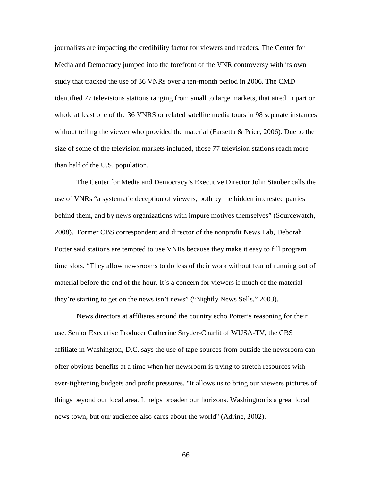journalists are impacting the credibility factor for viewers and readers. The Center for Media and Democracy jumped into the forefront of the VNR controversy with its own study that tracked the use of 36 VNRs over a ten-month period in 2006. The CMD identified 77 televisions stations ranging from small to large markets, that aired in part or whole at least one of the 36 VNRS or related satellite media tours in 98 separate instances without telling the viewer who provided the material (Farsetta  $\&$  Price, 2006). Due to the size of some of the television markets included, those 77 television stations reach more than half of the U.S. population.

 The Center for Media and Democracy's Executive Director John Stauber calls the use of VNRs "a systematic deception of viewers, both by the hidden interested parties behind them, and by news organizations with impure motives themselves" (Sourcewatch, 2008). Former CBS correspondent and director of the nonprofit News Lab, Deborah Potter said stations are tempted to use VNRs because they make it easy to fill program time slots. "They allow newsrooms to do less of their work without fear of running out of material before the end of the hour. It's a concern for viewers if much of the material they're starting to get on the news isn't news" ("Nightly News Sells," 2003).

News directors at affiliates around the country echo Potter's reasoning for their use. Senior Executive Producer Catherine Snyder-Charlit of WUSA-TV, the CBS affiliate in Washington, D.C. says the use of tape sources from outside the newsroom can offer obvious benefits at a time when her newsroom is trying to stretch resources with ever-tightening budgets and profit pressures. "It allows us to bring our viewers pictures of things beyond our local area. It helps broaden our horizons. Washington is a great local news town, but our audience also cares about the world" (Adrine, 2002).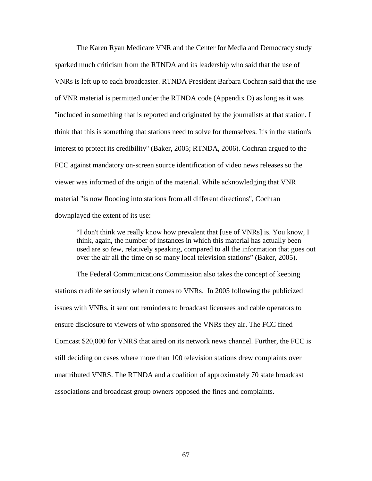The Karen Ryan Medicare VNR and the Center for Media and Democracy study sparked much criticism from the RTNDA and its leadership who said that the use of VNRs is left up to each broadcaster. RTNDA President Barbara Cochran said that the use of VNR material is permitted under the RTNDA code (Appendix D) as long as it was "included in something that is reported and originated by the journalists at that station. I think that this is something that stations need to solve for themselves. It's in the station's interest to protect its credibility" (Baker, 2005; RTNDA, 2006). Cochran argued to the FCC against mandatory on-screen source identification of video news releases so the viewer was informed of the origin of the material. While acknowledging that VNR material "is now flooding into stations from all different directions", Cochran downplayed the extent of its use:

"I don't think we really know how prevalent that [use of VNRs] is. You know, I think, again, the number of instances in which this material has actually been used are so few, relatively speaking, compared to all the information that goes out over the air all the time on so many local television stations" (Baker, 2005).

The Federal Communications Commission also takes the concept of keeping stations credible seriously when it comes to VNRs. In 2005 following the publicized issues with VNRs, it sent out reminders to broadcast licensees and cable operators to ensure disclosure to viewers of who sponsored the VNRs they air. The FCC fined Comcast \$20,000 for VNRS that aired on its network news channel. Further, the FCC is still deciding on cases where more than 100 television stations drew complaints over unattributed VNRS. The RTNDA and a coalition of approximately 70 state broadcast associations and broadcast group owners opposed the fines and complaints.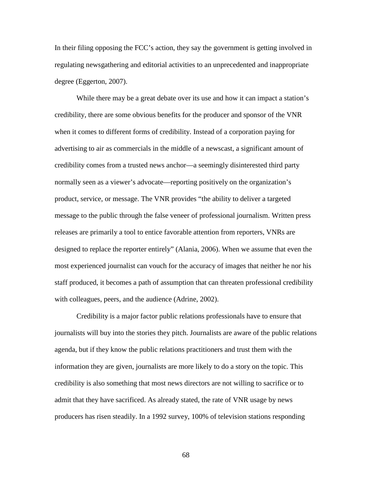In their filing opposing the FCC's action, they say the government is getting involved in regulating newsgathering and editorial activities to an unprecedented and inappropriate degree (Eggerton, 2007).

While there may be a great debate over its use and how it can impact a station's credibility, there are some obvious benefits for the producer and sponsor of the VNR when it comes to different forms of credibility. Instead of a corporation paying for advertising to air as commercials in the middle of a newscast, a significant amount of credibility comes from a trusted news anchor—a seemingly disinterested third party normally seen as a viewer's advocate—reporting positively on the organization's product, service, or message. The VNR provides "the ability to deliver a targeted message to the public through the false veneer of professional journalism. Written press releases are primarily a tool to entice favorable attention from reporters, VNRs are designed to replace the reporter entirely" (Alania, 2006). When we assume that even the most experienced journalist can vouch for the accuracy of images that neither he nor his staff produced, it becomes a path of assumption that can threaten professional credibility with colleagues, peers, and the audience (Adrine, 2002).

 Credibility is a major factor public relations professionals have to ensure that journalists will buy into the stories they pitch. Journalists are aware of the public relations agenda, but if they know the public relations practitioners and trust them with the information they are given, journalists are more likely to do a story on the topic. This credibility is also something that most news directors are not willing to sacrifice or to admit that they have sacrificed. As already stated, the rate of VNR usage by news producers has risen steadily. In a 1992 survey, 100% of television stations responding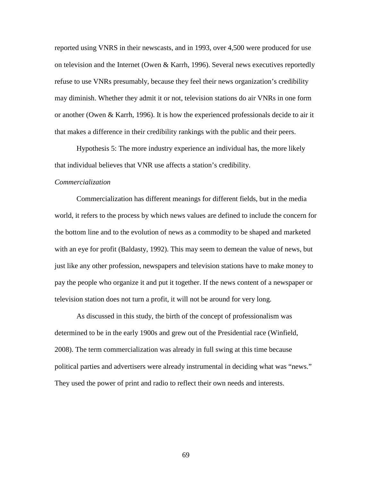reported using VNRS in their newscasts, and in 1993, over 4,500 were produced for use on television and the Internet (Owen & Karrh, 1996). Several news executives reportedly refuse to use VNRs presumably, because they feel their news organization's credibility may diminish. Whether they admit it or not, television stations do air VNRs in one form or another (Owen & Karrh, 1996). It is how the experienced professionals decide to air it that makes a difference in their credibility rankings with the public and their peers.

Hypothesis 5: The more industry experience an individual has, the more likely that individual believes that VNR use affects a station's credibility.

# *Commercialization*

Commercialization has different meanings for different fields, but in the media world, it refers to the process by which news values are defined to include the concern for the bottom line and to the evolution of news as a commodity to be shaped and marketed with an eye for profit (Baldasty, 1992). This may seem to demean the value of news, but just like any other profession, newspapers and television stations have to make money to pay the people who organize it and put it together. If the news content of a newspaper or television station does not turn a profit, it will not be around for very long.

 As discussed in this study, the birth of the concept of professionalism was determined to be in the early 1900s and grew out of the Presidential race (Winfield, 2008). The term commercialization was already in full swing at this time because political parties and advertisers were already instrumental in deciding what was "news." They used the power of print and radio to reflect their own needs and interests.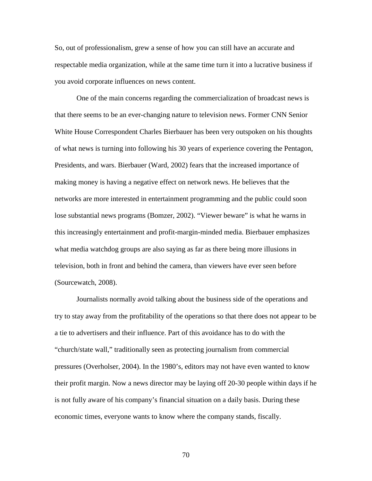So, out of professionalism, grew a sense of how you can still have an accurate and respectable media organization, while at the same time turn it into a lucrative business if you avoid corporate influences on news content.

 One of the main concerns regarding the commercialization of broadcast news is that there seems to be an ever-changing nature to television news. Former CNN Senior White House Correspondent Charles Bierbauer has been very outspoken on his thoughts of what news is turning into following his 30 years of experience covering the Pentagon, Presidents, and wars. Bierbauer (Ward, 2002) fears that the increased importance of making money is having a negative effect on network news. He believes that the networks are more interested in entertainment programming and the public could soon lose substantial news programs (Bomzer, 2002). "Viewer beware" is what he warns in this increasingly entertainment and profit-margin-minded media. Bierbauer emphasizes what media watchdog groups are also saying as far as there being more illusions in television, both in front and behind the camera, than viewers have ever seen before (Sourcewatch, 2008).

Journalists normally avoid talking about the business side of the operations and try to stay away from the profitability of the operations so that there does not appear to be a tie to advertisers and their influence. Part of this avoidance has to do with the "church/state wall," traditionally seen as protecting journalism from commercial pressures (Overholser, 2004). In the 1980's, editors may not have even wanted to know their profit margin. Now a news director may be laying off 20-30 people within days if he is not fully aware of his company's financial situation on a daily basis. During these economic times, everyone wants to know where the company stands, fiscally.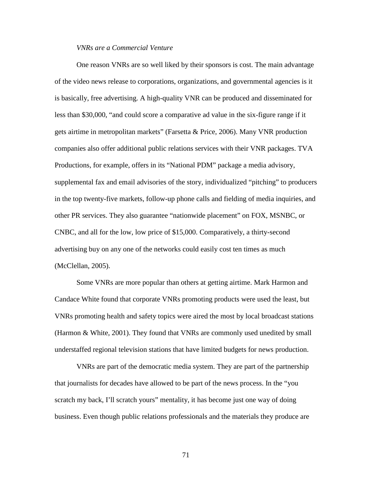# *VNRs are a Commercial Venture*

One reason VNRs are so well liked by their sponsors is cost. The main advantage of the video news release to corporations, organizations, and governmental agencies is it is basically, free advertising. A high-quality VNR can be produced and disseminated for less than \$30,000, "and could score a comparative ad value in the six-figure range if it gets airtime in metropolitan markets" (Farsetta & Price, 2006). Many VNR production companies also offer additional public relations services with their VNR packages. TVA Productions, for example, offers in its "National PDM" package a media advisory, supplemental fax and email advisories of the story, individualized "pitching" to producers in the top twenty-five markets, follow-up phone calls and fielding of media inquiries, and other PR services. They also guarantee "nationwide placement" on FOX, MSNBC, or CNBC, and all for the low, low price of \$15,000. Comparatively, a thirty-second advertising buy on any one of the networks could easily cost ten times as much (McClellan, 2005).

 Some VNRs are more popular than others at getting airtime. Mark Harmon and Candace White found that corporate VNRs promoting products were used the least, but VNRs promoting health and safety topics were aired the most by local broadcast stations (Harmon & White, 2001). They found that VNRs are commonly used unedited by small understaffed regional television stations that have limited budgets for news production.

VNRs are part of the democratic media system. They are part of the partnership that journalists for decades have allowed to be part of the news process. In the "you scratch my back, I'll scratch yours" mentality, it has become just one way of doing business. Even though public relations professionals and the materials they produce are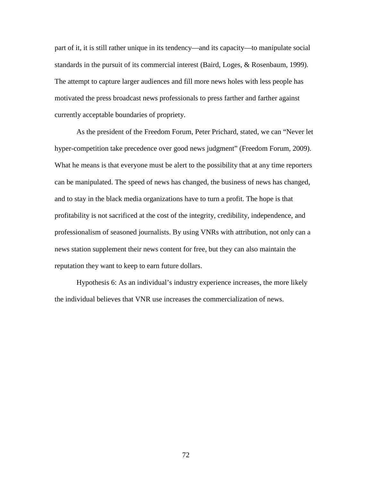part of it, it is still rather unique in its tendency—and its capacity—to manipulate social standards in the pursuit of its commercial interest (Baird, Loges, & Rosenbaum, 1999). The attempt to capture larger audiences and fill more news holes with less people has motivated the press broadcast news professionals to press farther and farther against currently acceptable boundaries of propriety.

As the president of the Freedom Forum, Peter Prichard, stated, we can "Never let hyper-competition take precedence over good news judgment" (Freedom Forum, 2009). What he means is that everyone must be alert to the possibility that at any time reporters can be manipulated. The speed of news has changed, the business of news has changed, and to stay in the black media organizations have to turn a profit. The hope is that profitability is not sacrificed at the cost of the integrity, credibility, independence, and professionalism of seasoned journalists. By using VNRs with attribution, not only can a news station supplement their news content for free, but they can also maintain the reputation they want to keep to earn future dollars.

 Hypothesis 6: As an individual's industry experience increases, the more likely the individual believes that VNR use increases the commercialization of news.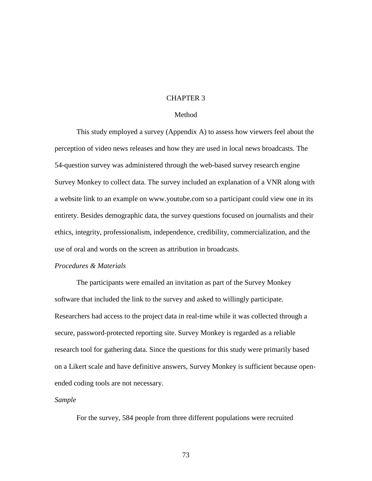# CHAPTER 3

# Method

 This study employed a survey (Appendix A) to assess how viewers feel about the perception of video news releases and how they are used in local news broadcasts. The 54-question survey was administered through the web-based survey research engine Survey Monkey to collect data. The survey included an explanation of a VNR along with a website link to an example on www.youtube.com so a participant could view one in its entirety. Besides demographic data, the survey questions focused on journalists and their ethics, integrity, professionalism, independence, credibility, commercialization, and the use of oral and words on the screen as attribution in broadcasts.

# *Procedures & Materials*

 The participants were emailed an invitation as part of the Survey Monkey software that included the link to the survey and asked to willingly participate. Researchers had access to the project data in real-time while it was collected through a secure, password-protected reporting site. Survey Monkey is regarded as a reliable research tool for gathering data. Since the questions for this study were primarily based on a Likert scale and have definitive answers, Survey Monkey is sufficient because openended coding tools are not necessary.

# *Sample*

For the survey, 584 people from three different populations were recruited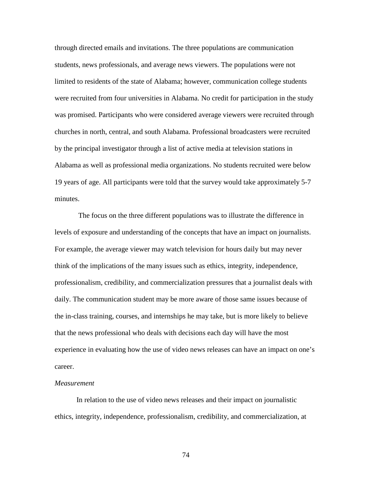through directed emails and invitations. The three populations are communication students, news professionals, and average news viewers. The populations were not limited to residents of the state of Alabama; however, communication college students were recruited from four universities in Alabama. No credit for participation in the study was promised. Participants who were considered average viewers were recruited through churches in north, central, and south Alabama. Professional broadcasters were recruited by the principal investigator through a list of active media at television stations in Alabama as well as professional media organizations. No students recruited were below 19 years of age. All participants were told that the survey would take approximately 5-7 minutes.

 The focus on the three different populations was to illustrate the difference in levels of exposure and understanding of the concepts that have an impact on journalists. For example, the average viewer may watch television for hours daily but may never think of the implications of the many issues such as ethics, integrity, independence, professionalism, credibility, and commercialization pressures that a journalist deals with daily. The communication student may be more aware of those same issues because of the in-class training, courses, and internships he may take, but is more likely to believe that the news professional who deals with decisions each day will have the most experience in evaluating how the use of video news releases can have an impact on one's career.

#### *Measurement*

In relation to the use of video news releases and their impact on journalistic ethics, integrity, independence, professionalism, credibility, and commercialization, at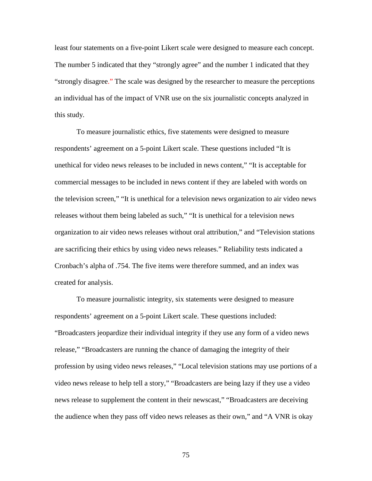least four statements on a five-point Likert scale were designed to measure each concept. The number 5 indicated that they "strongly agree" and the number 1 indicated that they "strongly disagree." The scale was designed by the researcher to measure the perceptions an individual has of the impact of VNR use on the six journalistic concepts analyzed in this study.

 To measure journalistic ethics, five statements were designed to measure respondents' agreement on a 5-point Likert scale. These questions included "It is unethical for video news releases to be included in news content," "It is acceptable for commercial messages to be included in news content if they are labeled with words on the television screen," "It is unethical for a television news organization to air video news releases without them being labeled as such," "It is unethical for a television news organization to air video news releases without oral attribution," and "Television stations are sacrificing their ethics by using video news releases." Reliability tests indicated a Cronbach's alpha of .754. The five items were therefore summed, and an index was created for analysis.

 To measure journalistic integrity, six statements were designed to measure respondents' agreement on a 5-point Likert scale. These questions included: "Broadcasters jeopardize their individual integrity if they use any form of a video news release," "Broadcasters are running the chance of damaging the integrity of their profession by using video news releases," "Local television stations may use portions of a video news release to help tell a story," "Broadcasters are being lazy if they use a video news release to supplement the content in their newscast," "Broadcasters are deceiving the audience when they pass off video news releases as their own," and "A VNR is okay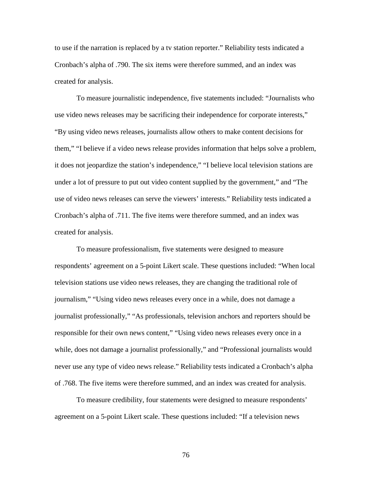to use if the narration is replaced by a tv station reporter." Reliability tests indicated a Cronbach's alpha of .790. The six items were therefore summed, and an index was created for analysis.

 To measure journalistic independence, five statements included: "Journalists who use video news releases may be sacrificing their independence for corporate interests," "By using video news releases, journalists allow others to make content decisions for them," "I believe if a video news release provides information that helps solve a problem, it does not jeopardize the station's independence," "I believe local television stations are under a lot of pressure to put out video content supplied by the government," and "The use of video news releases can serve the viewers' interests." Reliability tests indicated a Cronbach's alpha of .711. The five items were therefore summed, and an index was created for analysis.

 To measure professionalism, five statements were designed to measure respondents' agreement on a 5-point Likert scale. These questions included: "When local television stations use video news releases, they are changing the traditional role of journalism," "Using video news releases every once in a while, does not damage a journalist professionally," "As professionals, television anchors and reporters should be responsible for their own news content," "Using video news releases every once in a while, does not damage a journalist professionally," and "Professional journalists would never use any type of video news release." Reliability tests indicated a Cronbach's alpha of .768. The five items were therefore summed, and an index was created for analysis.

 To measure credibility, four statements were designed to measure respondents' agreement on a 5-point Likert scale. These questions included: "If a television news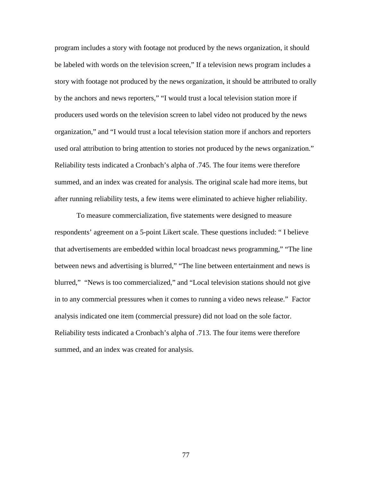program includes a story with footage not produced by the news organization, it should be labeled with words on the television screen," If a television news program includes a story with footage not produced by the news organization, it should be attributed to orally by the anchors and news reporters," "I would trust a local television station more if producers used words on the television screen to label video not produced by the news organization," and "I would trust a local television station more if anchors and reporters used oral attribution to bring attention to stories not produced by the news organization." Reliability tests indicated a Cronbach's alpha of .745. The four items were therefore summed, and an index was created for analysis. The original scale had more items, but after running reliability tests, a few items were eliminated to achieve higher reliability.

 To measure commercialization, five statements were designed to measure respondents' agreement on a 5-point Likert scale. These questions included: " I believe that advertisements are embedded within local broadcast news programming," "The line between news and advertising is blurred," "The line between entertainment and news is blurred," "News is too commercialized," and "Local television stations should not give in to any commercial pressures when it comes to running a video news release." Factor analysis indicated one item (commercial pressure) did not load on the sole factor. Reliability tests indicated a Cronbach's alpha of .713. The four items were therefore summed, and an index was created for analysis.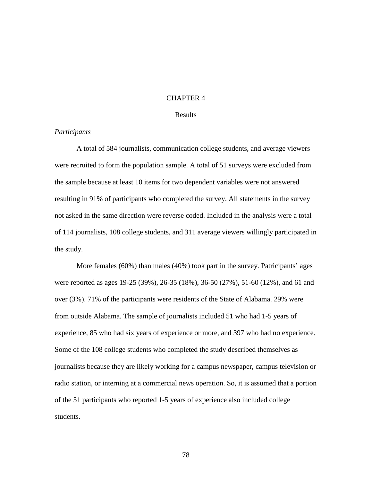# CHAPTER 4

# Results

# *Participants*

 A total of 584 journalists, communication college students, and average viewers were recruited to form the population sample. A total of 51 surveys were excluded from the sample because at least 10 items for two dependent variables were not answered resulting in 91% of participants who completed the survey. All statements in the survey not asked in the same direction were reverse coded. Included in the analysis were a total of 114 journalists, 108 college students, and 311 average viewers willingly participated in the study.

 More females (60%) than males (40%) took part in the survey. Patricipants' ages were reported as ages 19-25 (39%), 26-35 (18%), 36-50 (27%), 51-60 (12%), and 61 and over (3%). 71% of the participants were residents of the State of Alabama. 29% were from outside Alabama. The sample of journalists included 51 who had 1-5 years of experience, 85 who had six years of experience or more, and 397 who had no experience. Some of the 108 college students who completed the study described themselves as journalists because they are likely working for a campus newspaper, campus television or radio station, or interning at a commercial news operation. So, it is assumed that a portion of the 51 participants who reported 1-5 years of experience also included college students.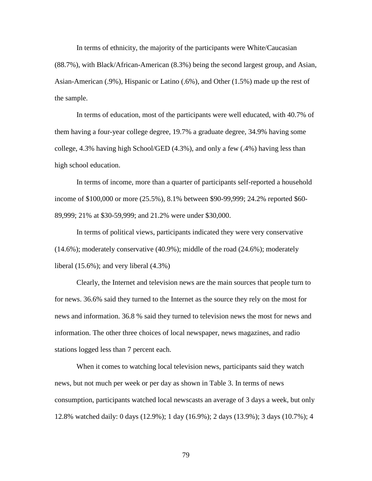In terms of ethnicity, the majority of the participants were White/Caucasian (88.7%), with Black/African-American (8.3%) being the second largest group, and Asian, Asian-American (.9%), Hispanic or Latino (.6%), and Other (1.5%) made up the rest of the sample.

 In terms of education, most of the participants were well educated, with 40.7% of them having a four-year college degree, 19.7% a graduate degree, 34.9% having some college, 4.3% having high School/GED (4.3%), and only a few (.4%) having less than high school education.

 In terms of income, more than a quarter of participants self-reported a household income of \$100,000 or more (25.5%), 8.1% between \$90-99,999; 24.2% reported \$60- 89,999; 21% at \$30-59,999; and 21.2% were under \$30,000.

 In terms of political views, participants indicated they were very conservative (14.6%); moderately conservative (40.9%); middle of the road (24.6%); moderately liberal (15.6%); and very liberal (4.3%)

 Clearly, the Internet and television news are the main sources that people turn to for news. 36.6% said they turned to the Internet as the source they rely on the most for news and information. 36.8 % said they turned to television news the most for news and information. The other three choices of local newspaper, news magazines, and radio stations logged less than 7 percent each.

 When it comes to watching local television news, participants said they watch news, but not much per week or per day as shown in Table 3. In terms of news consumption, participants watched local newscasts an average of 3 days a week, but only 12.8% watched daily: 0 days (12.9%); 1 day (16.9%); 2 days (13.9%); 3 days (10.7%); 4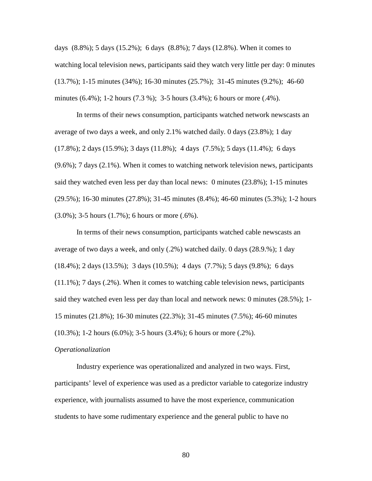days (8.8%); 5 days (15.2%); 6 days (8.8%); 7 days (12.8%). When it comes to watching local television news, participants said they watch very little per day: 0 minutes (13.7%); 1-15 minutes (34%); 16-30 minutes (25.7%); 31-45 minutes (9.2%); 46-60 minutes (6.4%); 1-2 hours (7.3 %); 3-5 hours (3.4%); 6 hours or more (.4%).

 In terms of their news consumption, participants watched network newscasts an average of two days a week, and only 2.1% watched daily. 0 days (23.8%); 1 day (17.8%); 2 days (15.9%); 3 days (11.8%); 4 days (7.5%); 5 days (11.4%); 6 days (9.6%); 7 days (2.1%). When it comes to watching network television news, participants said they watched even less per day than local news: 0 minutes (23.8%); 1-15 minutes (29.5%); 16-30 minutes (27.8%); 31-45 minutes (8.4%); 46-60 minutes (5.3%); 1-2 hours (3.0%); 3-5 hours (1.7%); 6 hours or more (.6%).

 In terms of their news consumption, participants watched cable newscasts an average of two days a week, and only (.2%) watched daily. 0 days (28.9.%); 1 day (18.4%); 2 days (13.5%); 3 days (10.5%); 4 days (7.7%); 5 days (9.8%); 6 days (11.1%); 7 days (.2%). When it comes to watching cable television news, participants said they watched even less per day than local and network news: 0 minutes (28.5%); 1- 15 minutes (21.8%); 16-30 minutes (22.3%); 31-45 minutes (7.5%); 46-60 minutes (10.3%); 1-2 hours (6.0%); 3-5 hours (3.4%); 6 hours or more (.2%).

#### *Operationalization*

 Industry experience was operationalized and analyzed in two ways. First, participants' level of experience was used as a predictor variable to categorize industry experience, with journalists assumed to have the most experience, communication students to have some rudimentary experience and the general public to have no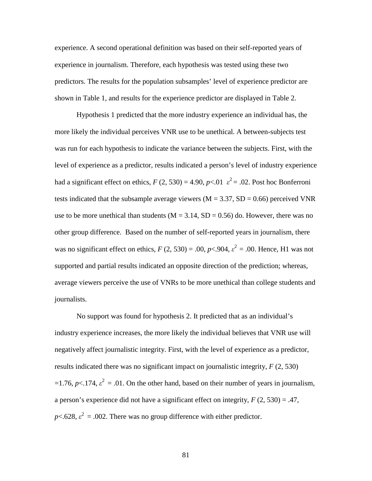experience. A second operational definition was based on their self-reported years of experience in journalism. Therefore, each hypothesis was tested using these two predictors. The results for the population subsamples' level of experience predictor are shown in Table 1, and results for the experience predictor are displayed in Table 2.

 Hypothesis 1 predicted that the more industry experience an individual has, the more likely the individual perceives VNR use to be unethical. A between-subjects test was run for each hypothesis to indicate the variance between the subjects. First, with the level of experience as a predictor, results indicated a person's level of industry experience had a significant effect on ethics,  $F(2, 530) = 4.90$ ,  $p < .01$   $\varepsilon^2 = .02$ . Post hoc Bonferroni tests indicated that the subsample average viewers ( $M = 3.37$ ,  $SD = 0.66$ ) perceived VNR use to be more unethical than students ( $M = 3.14$ ,  $SD = 0.56$ ) do. However, there was no other group difference. Based on the number of self-reported years in journalism, there was no significant effect on ethics,  $F(2, 530) = .00$ ,  $p<.904$ ,  $\varepsilon^2 = .00$ . Hence, H1 was not supported and partial results indicated an opposite direction of the prediction; whereas, average viewers perceive the use of VNRs to be more unethical than college students and journalists.

 No support was found for hypothesis 2. It predicted that as an individual's industry experience increases, the more likely the individual believes that VNR use will negatively affect journalistic integrity. First, with the level of experience as a predictor, results indicated there was no significant impact on journalistic integrity, *F* (2, 530)  $=$ 1.76, *p*<.174,  $\varepsilon^2$  = .01. On the other hand, based on their number of years in journalism, a person's experience did not have a significant effect on integrity, *F* (2, 530) = .47,  $p$ <.628,  $\varepsilon^2$  = .002. There was no group difference with either predictor.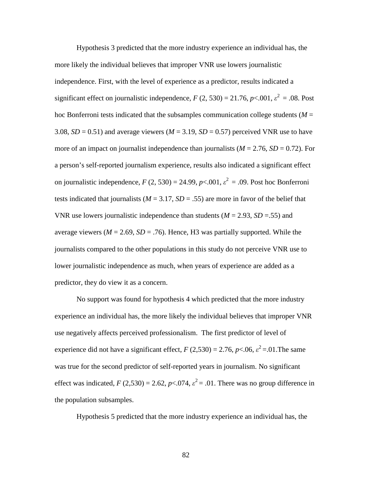Hypothesis 3 predicted that the more industry experience an individual has, the more likely the individual believes that improper VNR use lowers journalistic independence. First, with the level of experience as a predictor, results indicated a significant effect on journalistic independence,  $F(2, 530) = 21.76$ ,  $p < .001$ ,  $\varepsilon^2 = .08$ . Post hoc Bonferroni tests indicated that the subsamples communication college students  $(M =$ 3.08,  $SD = 0.51$ ) and average viewers ( $M = 3.19$ ,  $SD = 0.57$ ) perceived VNR use to have more of an impact on journalist independence than journalists ( $M = 2.76$ ,  $SD = 0.72$ ). For a person's self-reported journalism experience, results also indicated a significant effect on journalistic independence,  $F(2, 530) = 24.99$ ,  $p < .001$ ,  $\varepsilon^2 = .09$ . Post hoc Bonferroni tests indicated that journalists ( $M = 3.17$ ,  $SD = .55$ ) are more in favor of the belief that VNR use lowers journalistic independence than students  $(M = 2.93, SD = .55)$  and average viewers ( $M = 2.69$ ,  $SD = .76$ ). Hence, H3 was partially supported. While the journalists compared to the other populations in this study do not perceive VNR use to lower journalistic independence as much, when years of experience are added as a predictor, they do view it as a concern.

 No support was found for hypothesis 4 which predicted that the more industry experience an individual has, the more likely the individual believes that improper VNR use negatively affects perceived professionalism. The first predictor of level of experience did not have a significant effect,  $F(2,530) = 2.76$ ,  $p < .06$ ,  $\varepsilon^2 = .01$ . The same was true for the second predictor of self-reported years in journalism. No significant effect was indicated,  $F(2,530) = 2.62$ ,  $p<.074$ ,  $\varepsilon^2 = .01$ . There was no group difference in the population subsamples.

Hypothesis 5 predicted that the more industry experience an individual has, the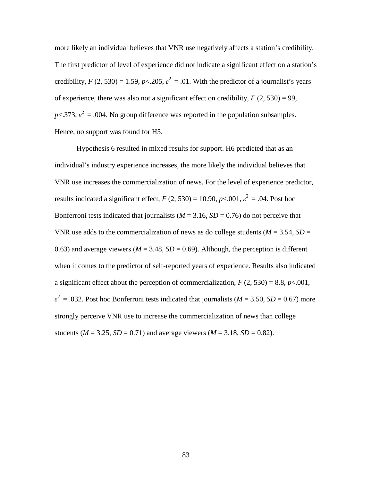more likely an individual believes that VNR use negatively affects a station's credibility. The first predictor of level of experience did not indicate a significant effect on a station's credibility,  $F(2, 530) = 1.59$ ,  $p < 205$ ,  $\varepsilon^2 = .01$ . With the predictor of a journalist's years of experience, there was also not a significant effect on credibility, *F* (2, 530) =.99,  $p$ <.373,  $\varepsilon^2$  = .004. No group difference was reported in the population subsamples. Hence, no support was found for H5.

 Hypothesis 6 resulted in mixed results for support. H6 predicted that as an individual's industry experience increases, the more likely the individual believes that VNR use increases the commercialization of news. For the level of experience predictor, results indicated a significant effect,  $F(2, 530) = 10.90$ ,  $p<.001$ ,  $\varepsilon^2 = .04$ . Post hoc Bonferroni tests indicated that journalists ( $M = 3.16$ ,  $SD = 0.76$ ) do not perceive that VNR use adds to the commercialization of news as do college students ( $M = 3.54$ ,  $SD =$ 0.63) and average viewers ( $M = 3.48$ ,  $SD = 0.69$ ). Although, the perception is different when it comes to the predictor of self-reported years of experience. Results also indicated a significant effect about the perception of commercialization,  $F(2, 530) = 8.8$ ,  $p < .001$ ,  $\varepsilon^2$  = .032. Post hoc Bonferroni tests indicated that journalists (*M* = 3.50, *SD* = 0.67) more strongly perceive VNR use to increase the commercialization of news than college students ( $M = 3.25$ ,  $SD = 0.71$ ) and average viewers ( $M = 3.18$ ,  $SD = 0.82$ ).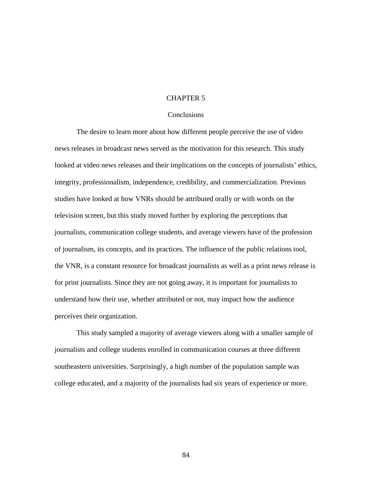# CHAPTER 5

# **Conclusions**

 The desire to learn more about how different people perceive the use of video news releases in broadcast news served as the motivation for this research. This study looked at video news releases and their implications on the concepts of journalists' ethics, integrity, professionalism, independence, credibility, and commercialization. Previous studies have looked at how VNRs should be attributed orally or with words on the television screen, but this study moved further by exploring the perceptions that journalists, communication college students, and average viewers have of the profession of journalism, its concepts, and its practices. The influence of the public relations tool, the VNR, is a constant resource for broadcast journalists as well as a print news release is for print journalists. Since they are not going away, it is important for journalists to understand how their use, whether attributed or not, may impact how the audience perceives their organization.

 This study sampled a majority of average viewers along with a smaller sample of journalists and college students enrolled in communication courses at three different southeastern universities. Surprisingly, a high number of the population sample was college educated, and a majority of the journalists had six years of experience or more.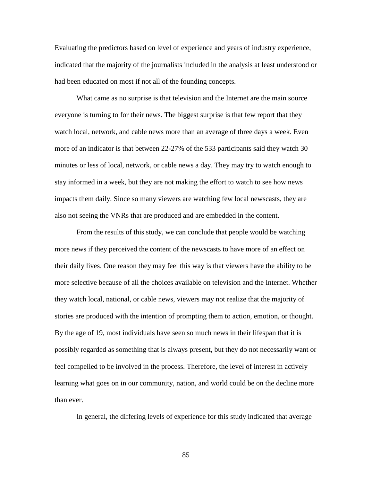Evaluating the predictors based on level of experience and years of industry experience, indicated that the majority of the journalists included in the analysis at least understood or had been educated on most if not all of the founding concepts.

 What came as no surprise is that television and the Internet are the main source everyone is turning to for their news. The biggest surprise is that few report that they watch local, network, and cable news more than an average of three days a week. Even more of an indicator is that between 22-27% of the 533 participants said they watch 30 minutes or less of local, network, or cable news a day. They may try to watch enough to stay informed in a week, but they are not making the effort to watch to see how news impacts them daily. Since so many viewers are watching few local newscasts, they are also not seeing the VNRs that are produced and are embedded in the content.

 From the results of this study, we can conclude that people would be watching more news if they perceived the content of the newscasts to have more of an effect on their daily lives. One reason they may feel this way is that viewers have the ability to be more selective because of all the choices available on television and the Internet. Whether they watch local, national, or cable news, viewers may not realize that the majority of stories are produced with the intention of prompting them to action, emotion, or thought. By the age of 19, most individuals have seen so much news in their lifespan that it is possibly regarded as something that is always present, but they do not necessarily want or feel compelled to be involved in the process. Therefore, the level of interest in actively learning what goes on in our community, nation, and world could be on the decline more than ever.

In general, the differing levels of experience for this study indicated that average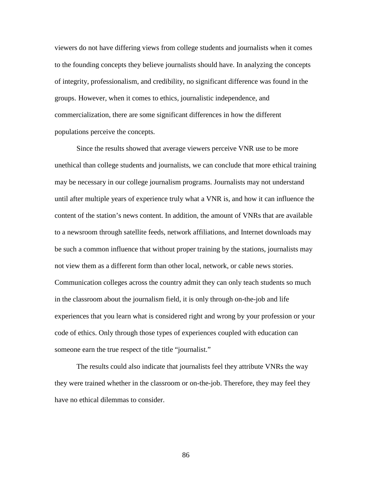viewers do not have differing views from college students and journalists when it comes to the founding concepts they believe journalists should have. In analyzing the concepts of integrity, professionalism, and credibility, no significant difference was found in the groups. However, when it comes to ethics, journalistic independence, and commercialization, there are some significant differences in how the different populations perceive the concepts.

 Since the results showed that average viewers perceive VNR use to be more unethical than college students and journalists, we can conclude that more ethical training may be necessary in our college journalism programs. Journalists may not understand until after multiple years of experience truly what a VNR is, and how it can influence the content of the station's news content. In addition, the amount of VNRs that are available to a newsroom through satellite feeds, network affiliations, and Internet downloads may be such a common influence that without proper training by the stations, journalists may not view them as a different form than other local, network, or cable news stories. Communication colleges across the country admit they can only teach students so much in the classroom about the journalism field, it is only through on-the-job and life experiences that you learn what is considered right and wrong by your profession or your code of ethics. Only through those types of experiences coupled with education can someone earn the true respect of the title "journalist."

 The results could also indicate that journalists feel they attribute VNRs the way they were trained whether in the classroom or on-the-job. Therefore, they may feel they have no ethical dilemmas to consider.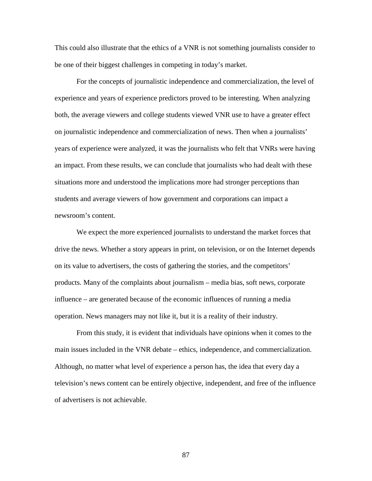This could also illustrate that the ethics of a VNR is not something journalists consider to be one of their biggest challenges in competing in today's market.

 For the concepts of journalistic independence and commercialization, the level of experience and years of experience predictors proved to be interesting. When analyzing both, the average viewers and college students viewed VNR use to have a greater effect on journalistic independence and commercialization of news. Then when a journalists' years of experience were analyzed, it was the journalists who felt that VNRs were having an impact. From these results, we can conclude that journalists who had dealt with these situations more and understood the implications more had stronger perceptions than students and average viewers of how government and corporations can impact a newsroom's content.

 We expect the more experienced journalists to understand the market forces that drive the news. Whether a story appears in print, on television, or on the Internet depends on its value to advertisers, the costs of gathering the stories, and the competitors' products. Many of the complaints about journalism – media bias, soft news, corporate influence – are generated because of the economic influences of running a media operation. News managers may not like it, but it is a reality of their industry.

 From this study, it is evident that individuals have opinions when it comes to the main issues included in the VNR debate – ethics, independence, and commercialization. Although, no matter what level of experience a person has, the idea that every day a television's news content can be entirely objective, independent, and free of the influence of advertisers is not achievable.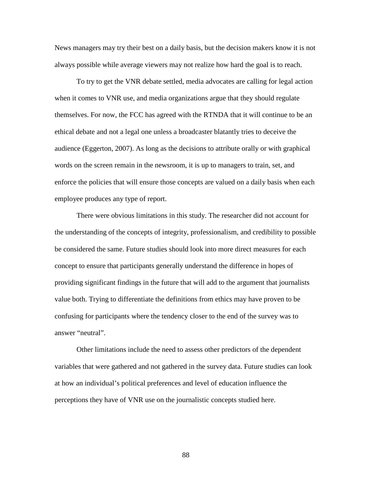News managers may try their best on a daily basis, but the decision makers know it is not always possible while average viewers may not realize how hard the goal is to reach.

 To try to get the VNR debate settled, media advocates are calling for legal action when it comes to VNR use, and media organizations argue that they should regulate themselves. For now, the FCC has agreed with the RTNDA that it will continue to be an ethical debate and not a legal one unless a broadcaster blatantly tries to deceive the audience (Eggerton, 2007). As long as the decisions to attribute orally or with graphical words on the screen remain in the newsroom, it is up to managers to train, set, and enforce the policies that will ensure those concepts are valued on a daily basis when each employee produces any type of report.

 There were obvious limitations in this study. The researcher did not account for the understanding of the concepts of integrity, professionalism, and credibility to possible be considered the same. Future studies should look into more direct measures for each concept to ensure that participants generally understand the difference in hopes of providing significant findings in the future that will add to the argument that journalists value both. Trying to differentiate the definitions from ethics may have proven to be confusing for participants where the tendency closer to the end of the survey was to answer "neutral".

 Other limitations include the need to assess other predictors of the dependent variables that were gathered and not gathered in the survey data. Future studies can look at how an individual's political preferences and level of education influence the perceptions they have of VNR use on the journalistic concepts studied here.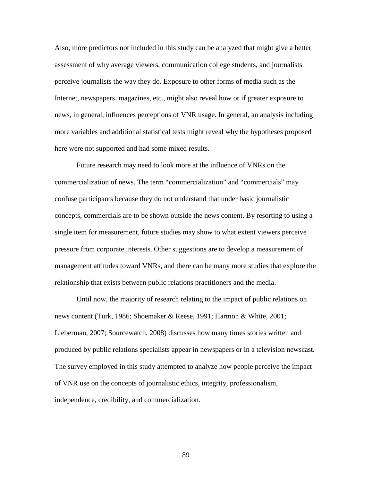Also, more predictors not included in this study can be analyzed that might give a better assessment of why average viewers, communication college students, and journalists perceive journalists the way they do. Exposure to other forms of media such as the Internet, newspapers, magazines, etc., might also reveal how or if greater exposure to news, in general, influences perceptions of VNR usage. In general, an analysis including more variables and additional statistical tests might reveal why the hypotheses proposed here were not supported and had some mixed results.

 Future research may need to look more at the influence of VNRs on the commercialization of news. The term "commercialization" and "commercials" may confuse participants because they do not understand that under basic journalistic concepts, commercials are to be shown outside the news content. By resorting to using a single item for measurement, future studies may show to what extent viewers perceive pressure from corporate interests. Other suggestions are to develop a measurement of management attitudes toward VNRs, and there can be many more studies that explore the relationship that exists between public relations practitioners and the media.

 Until now, the majority of research relating to the impact of public relations on news content (Turk, 1986; Shoemaker & Reese, 1991; Harmon & White, 2001; Lieberman, 2007; Sourcewatch, 2008) discusses how many times stories written and produced by public relations specialists appear in newspapers or in a television newscast. The survey employed in this study attempted to analyze how people perceive the impact of VNR use on the concepts of journalistic ethics, integrity, professionalism, independence, credibility, and commercialization.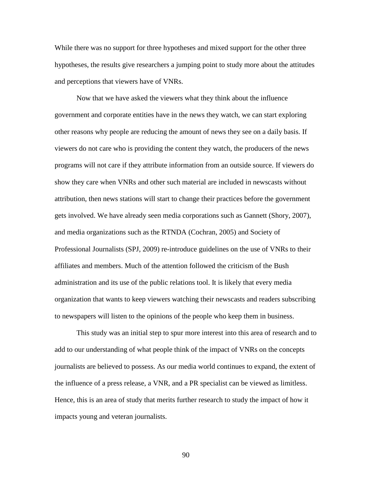While there was no support for three hypotheses and mixed support for the other three hypotheses, the results give researchers a jumping point to study more about the attitudes and perceptions that viewers have of VNRs.

 Now that we have asked the viewers what they think about the influence government and corporate entities have in the news they watch, we can start exploring other reasons why people are reducing the amount of news they see on a daily basis. If viewers do not care who is providing the content they watch, the producers of the news programs will not care if they attribute information from an outside source. If viewers do show they care when VNRs and other such material are included in newscasts without attribution, then news stations will start to change their practices before the government gets involved. We have already seen media corporations such as Gannett (Shory, 2007), and media organizations such as the RTNDA (Cochran, 2005) and Society of Professional Journalists (SPJ, 2009) re-introduce guidelines on the use of VNRs to their affiliates and members. Much of the attention followed the criticism of the Bush administration and its use of the public relations tool. It is likely that every media organization that wants to keep viewers watching their newscasts and readers subscribing to newspapers will listen to the opinions of the people who keep them in business.

 This study was an initial step to spur more interest into this area of research and to add to our understanding of what people think of the impact of VNRs on the concepts journalists are believed to possess. As our media world continues to expand, the extent of the influence of a press release, a VNR, and a PR specialist can be viewed as limitless. Hence, this is an area of study that merits further research to study the impact of how it impacts young and veteran journalists.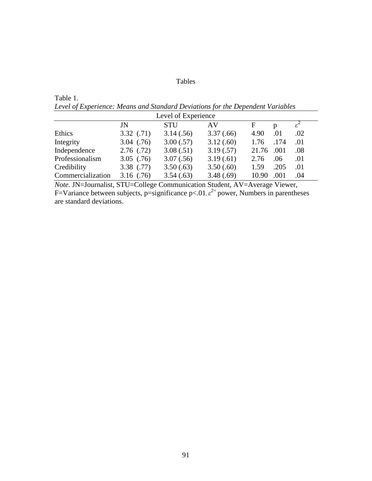# Tables

Table 1. *Level of Experience: Means and Standard Deviations for the Dependent Variables* 

| Level of Experience |              |            |            |       |      |                         |
|---------------------|--------------|------------|------------|-------|------|-------------------------|
|                     | JN           | <b>STU</b> | AV         | F     | D    | $\varepsilon^{\text{}}$ |
| Ethics              | 3.32(0.71)   | 3.14(.56)  | 3.37(.66)  | 4.90  | .01  | .02                     |
| Integrity           | 3.04(0.76)   | 3.00(.57)  | 3.12(.60)  | 1.76  | .174 | .01                     |
| Independence        | 2.76(0.72)   | 3.08(.51)  | 3.19(.57)  | 21.76 | .001 | .08                     |
| Professionalism     | $3.05$ (.76) | 3.07(.56)  | 3.19(0.61) | 2.76  | .06  | .01                     |
| Credibility         | 3.38(0.77)   | 3.50(.63)  | 3.50(.60)  | 1.59  | .205 | .01                     |
| Commercialization   | $3.16$ (.76) | 3.54(.63)  | 3.48(.69)  | 10.90 | .001 | .04                     |

*Note.* JN=Journalist, STU=College Communication Student, AV=Average Viewer, F=Variance between subjects, p=significance p<.01, $\varepsilon$ <sup>2=</sup> power, Numbers in parentheses are standard deviations.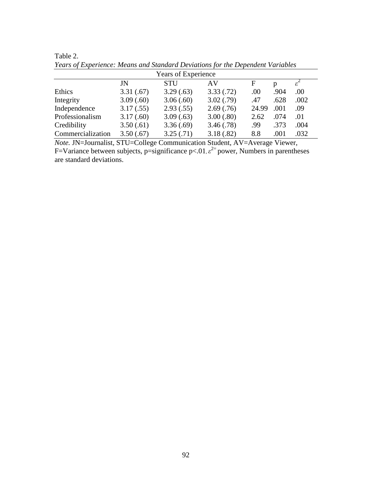| Years of Experience |           |           |           |       |      |               |
|---------------------|-----------|-----------|-----------|-------|------|---------------|
|                     | JN        | STU       | AV        | F     | D    | $\varepsilon$ |
| Ethics              | 3.31(.67) | 3.29(.63) | 3.33(.72) | .00   | .904 | .00           |
| Integrity           | 3.09(.60) | 3.06(.60) | 3.02(.79) | .47   | .628 | .002          |
| Independence        | 3.17(.55) | 2.93(.55) | 2.69(.76) | 24.99 | .001 | .09           |
| Professionalism     | 3.17(.60) | 3.09(.63) | 3.00(.80) | 2.62  | .074 | .01           |
| Credibility         | 3.50(.61) | 3.36(.69) | 3.46(.78) | .99   | .373 | .004          |
| Commercialization   | 3.50(.67) | 3.25(.71) | 3.18(.82) | 8.8   | .001 | .032          |

Table 2. *Years of Experience: Means and Standard Deviations for the Dependent Variables* 

*Note.* JN=Journalist, STU=College Communication Student, AV=Average Viewer, F=Variance between subjects, p=significance p<.01, $\varepsilon$ <sup>2=</sup> power, Numbers in parentheses are standard deviations.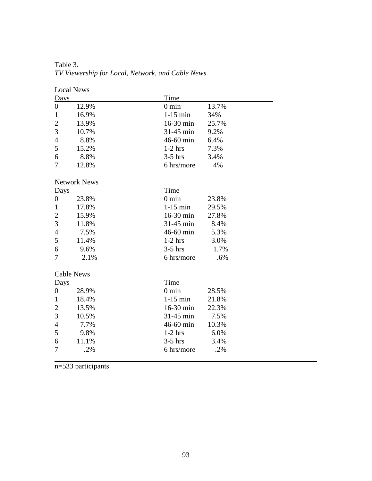Table 3. *TV Viewership for Local, Network, and Cable News* 

# Local News

| Days              |                     | Time            |       |
|-------------------|---------------------|-----------------|-------|
| $\boldsymbol{0}$  | 12.9%               | $0 \text{ min}$ | 13.7% |
| $\mathbf{1}$      | 16.9%               | $1-15$ min      | 34%   |
| $\overline{2}$    | 13.9%               | 16-30 min       | 25.7% |
| 3                 | 10.7%               | 31-45 min       | 9.2%  |
| 4                 | 8.8%                | 46-60 min       | 6.4%  |
| 5                 | 15.2%               | $1-2$ hrs       | 7.3%  |
| 6                 | 8.8%                | $3-5$ hrs       | 3.4%  |
| 7                 | 12.8%               | 6 hrs/more      | 4%    |
|                   | <b>Network News</b> |                 |       |
| Days              |                     | Time            |       |
| $\boldsymbol{0}$  | 23.8%               | $0 \text{ min}$ | 23.8% |
| $\mathbf{1}$      | 17.8%               | $1-15$ min      | 29.5% |
| $\overline{c}$    | 15.9%               | 16-30 min       | 27.8% |
| 3                 | 11.8%               | 31-45 min       | 8.4%  |
| $\overline{4}$    | 7.5%                | 46-60 min       | 5.3%  |
| 5                 | 11.4%               | $1-2$ hrs       | 3.0%  |
| 6                 | 9.6%                | $3-5$ hrs       | 1.7%  |
| 7                 | 2.1%                | 6 hrs/more      | .6%   |
| <b>Cable News</b> |                     |                 |       |
| Days              |                     | Time            |       |
| $\boldsymbol{0}$  | 28.9%               | $0 \text{ min}$ | 28.5% |
| $\mathbf{1}$      | 18.4%               | $1-15$ min      | 21.8% |
| $\overline{c}$    | 13.5%               | 16-30 min       | 22.3% |
| 3                 | 10.5%               | 31-45 min       | 7.5%  |
| 4                 | 7.7%                | 46-60 min       | 10.3% |
| 5                 | 9.8%                | $1-2$ hrs       | 6.0%  |
| 6                 | 11.1%               | $3-5$ hrs       | 3.4%  |
| 7                 | .2%                 | 6 hrs/more      | .2%   |
|                   |                     |                 |       |

n=533 participants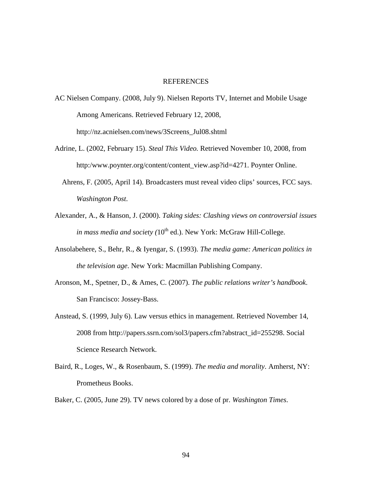# REFERENCES

- AC Nielsen Company. (2008, July 9). Nielsen Reports TV, Internet and Mobile Usage Among Americans. Retrieved February 12, 2008, http://nz.acnielsen.com/news/3Screens\_Jul08.shtml
- Adrine, L. (2002, February 15). *Steal This Video.* Retrieved November 10, 2008, from http:/www.poynter.org/content/content\_view.asp?id=4271. Poynter Online.
	- Ahrens, F. (2005, April 14). Broadcasters must reveal video clips' sources, FCC says. *Washington Post*.
- Alexander, A., & Hanson, J. (2000). *Taking sides: Clashing views on controversial issues in mass media and society (10<sup>th</sup> ed.).* New York: McGraw Hill-College.
- Ansolabehere, S., Behr, R., & Iyengar, S. (1993). *The media game: American politics in the television age*. New York: Macmillan Publishing Company.
- Aronson, M., Spetner, D., & Ames, C. (2007). *The public relations writer's handbook*. San Francisco: Jossey-Bass.
- Anstead, S. (1999, July 6). Law versus ethics in management. Retrieved November 14, 2008 from http://papers.ssrn.com/sol3/papers.cfm?abstract\_id=255298. Social Science Research Network.
- Baird, R., Loges, W., & Rosenbaum, S. (1999). *The media and morality*. Amherst, NY: Prometheus Books.
- Baker, C. (2005, June 29). TV news colored by a dose of pr. *Washington Times*.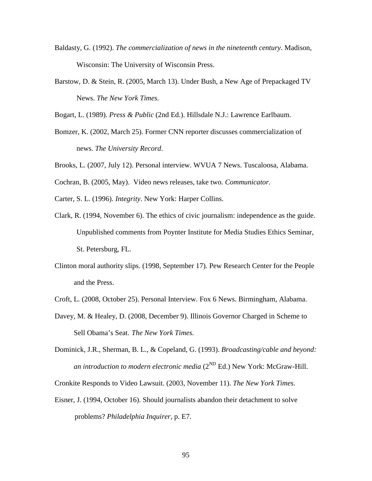- Baldasty, G. (1992). *The commercialization of news in the nineteenth century*. Madison, Wisconsin: The University of Wisconsin Press.
- Barstow, D. & Stein, R. (2005, March 13). Under Bush, a New Age of Prepackaged TV News. *The New York Times.*

Bogart, L. (1989). *Press & Public* (2nd Ed.). Hillsdale N.J.: Lawrence Earlbaum.

- Bomzer, K. (2002, March 25). Former CNN reporter discusses commercialization of news. *The University Record*.
- Brooks, L. (2007, July 12). Personal interview. WVUA 7 News. Tuscaloosa, Alabama.
- Cochran, B. (2005, May). Video news releases, take two. *Communicator*.
- Carter, S. L. (1996). *Integrity*. New York: Harper Collins.
- Clark, R. (1994, November 6). The ethics of civic journalism: independence as the guide. Unpublished comments from Poynter Institute for Media Studies Ethics Seminar, St. Petersburg, FL.
- Clinton moral authority slips. (1998, September 17). Pew Research Center for the People and the Press.
- Croft, L. (2008, October 25). Personal Interview. Fox 6 News. Birmingham, Alabama.
- Davey, M. & Healey, D. (2008, December 9). Illinois Governor Charged in Scheme to Sell Obama's Seat. *The New York Times.*
- Dominick, J.R., Sherman, B. L., & Copeland, G. (1993). *Broadcasting/cable and beyond: an introduction to modern electronic media* (2<sup>ND</sup> Ed.) New York: McGraw-Hill.

Cronkite Responds to Video Lawsuit. (2003, November 11). *The New York Times*.

Eisner, J. (1994, October 16). Should journalists abandon their detachment to solve problems? *Philadelphia Inquirer*, p. E7.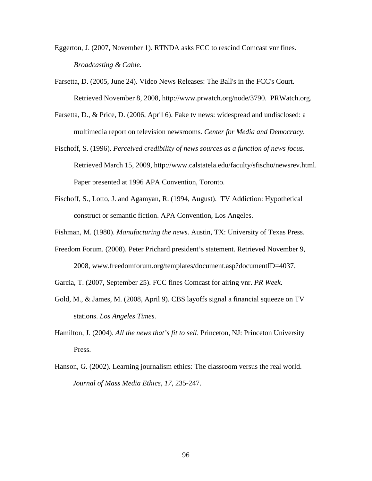- Eggerton, J. (2007, November 1). RTNDA asks FCC to rescind Comcast vnr fines. *Broadcasting & Cable.*
- Farsetta, D. (2005, June 24). Video News Releases: The Ball's in the FCC's Court. Retrieved November 8, 2008, http://www.prwatch.org/node/3790. PRWatch.org.
- Farsetta, D., & Price, D. (2006, April 6). Fake tv news: widespread and undisclosed: a multimedia report on television newsrooms. *Center for Media and Democracy*.
- Fischoff, S. (1996). *Perceived credibility of news sources as a function of news focus*. Retrieved March 15, 2009, http://www.calstatela.edu/faculty/sfischo/newsrev.html. Paper presented at 1996 APA Convention, Toronto.
- Fischoff, S., Lotto, J. and Agamyan, R. (1994, August). TV Addiction: Hypothetical construct or semantic fiction. APA Convention, Los Angeles.

Fishman, M. (1980). *Manufacturing the news*. Austin, TX: University of Texas Press.

- Freedom Forum. (2008). Peter Prichard president's statement. Retrieved November 9, 2008, www.freedomforum.org/templates/document.asp?documentID=4037.
- Garcia, T. (2007, September 25). FCC fines Comcast for airing vnr. *PR Week*.
- Gold, M., & James, M. (2008, April 9). CBS layoffs signal a financial squeeze on TV stations. *Los Angeles Times*.
- Hamilton, J. (2004). *All the news that's fit to sell*. Princeton, NJ: Princeton University Press.
- Hanson, G. (2002). Learning journalism ethics: The classroom versus the real world.  *Journal of Mass Media Ethics*, *17*, 235-247.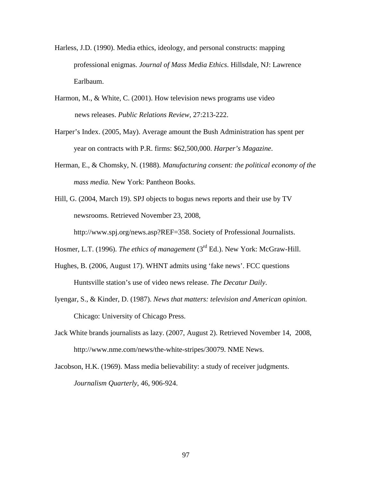- Harless, J.D. (1990). Media ethics, ideology, and personal constructs: mapping professional enigmas. *Journal of Mass Media Ethics*. Hillsdale, NJ: Lawrence Earlbaum.
- Harmon, M., & White, C. (2001). How television news programs use video news releases. *Public Relations Review,* 27:213-222.
- Harper's Index. (2005, May). Average amount the Bush Administration has spent per year on contracts with P.R. firms: \$62,500,000. *Harper's Magazine*.
- Herman, E., & Chomsky, N. (1988). *Manufacturing consent: the political economy of the mass media.* New York: Pantheon Books.
- Hill, G. (2004, March 19). SPJ objects to bogus news reports and their use by TV newsrooms. Retrieved November 23, 2008,

http://www.spj.org/news.asp?REF=358. Society of Professional Journalists.

Hosmer, L.T. (1996). *The ethics of management* (3<sup>rd</sup> Ed.). New York: McGraw-Hill.

- Hughes, B. (2006, August 17). WHNT admits using 'fake news'. FCC questions Huntsville station's use of video news release. *The Decatur Daily*.
- Iyengar, S., & Kinder, D. (1987). *News that matters: television and American opinion.*  Chicago: University of Chicago Press.
- Jack White brands journalists as lazy. (2007, August 2). Retrieved November 14, 2008, http://www.nme.com/news/the-white-stripes/30079. NME News.
- Jacobson, H.K. (1969). Mass media believability: a study of receiver judgments. *Journalism Quarterly*, 46, 906-924.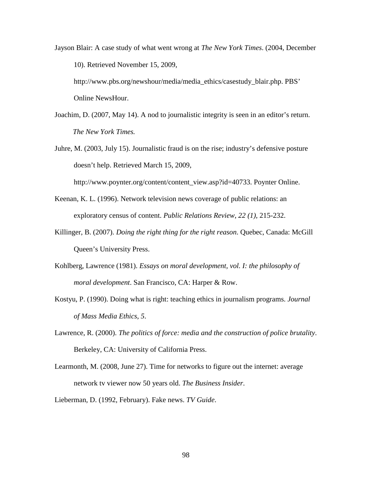Jayson Blair: A case study of what went wrong at *The New York Times*. (2004, December 10). Retrieved November 15, 2009,

http://www.pbs.org/newshour/media/media\_ethics/casestudy\_blair.php. PBS' Online NewsHour.

- Joachim, D. (2007, May 14). A nod to journalistic integrity is seen in an editor's return.  *The New York Times.*
- Juhre, M. (2003, July 15). Journalistic fraud is on the rise; industry's defensive posture doesn't help. Retrieved March 15, 2009,

http://www.poynter.org/content/content\_view.asp?id=40733. Poynter Online.

- Keenan, K. L. (1996). Network television news coverage of public relations: an exploratory census of content. *Public Relations Review*, *22 (1),* 215-232.
- Killinger, B. (2007). *Doing the right thing for the right reason*. Quebec, Canada: McGill Queen's University Press.
- Kohlberg, Lawrence (1981). *Essays on moral development, vol. I: the philosophy of moral development*. San Francisco, CA: Harper & Row.
- Kostyu, P. (1990). Doing what is right: teaching ethics in journalism programs. *Journal of Mass Media Ethics*, *5*.
- Lawrence, R. (2000). *The politics of force: media and the construction of police brutality*. Berkeley, CA: University of California Press.
- Learmonth, M. (2008, June 27). Time for networks to figure out the internet: average network tv viewer now 50 years old. *The Business Insider*.
- Lieberman, D. (1992, February). Fake news. *TV Guide*.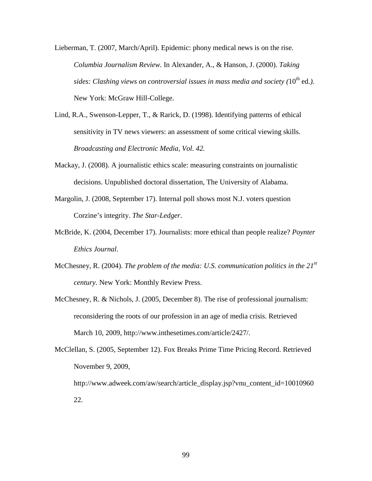Lieberman, T. (2007, March/April). Epidemic: phony medical news is on the rise. *Columbia Journalism Review.* In Alexander, A., & Hanson, J. (2000). *Taking sides: Clashing views on controversial issues in mass media and society (10<sup>th</sup> ed.).* New York: McGraw Hill-College.

- Lind, R.A., Swenson-Lepper, T., & Rarick, D. (1998). Identifying patterns of ethical sensitivity in TV news viewers: an assessment of some critical viewing skills. *Broadcasting and Electronic Media, Vol. 42.*
- Mackay, J. (2008). A journalistic ethics scale: measuring constraints on journalistic decisions. Unpublished doctoral dissertation, The University of Alabama.
- Margolin, J. (2008, September 17). Internal poll shows most N.J. voters question Corzine's integrity. *The Star-Ledger*.
- McBride, K. (2004, December 17). Journalists: more ethical than people realize? *Poynter Ethics Journal*.
- McChesney, R. (2004). *The problem of the media: U.S. communication politics in the 21st century*. New York: Monthly Review Press.
- McChesney, R. & Nichols, J. (2005, December 8). The rise of professional journalism: reconsidering the roots of our profession in an age of media crisis. Retrieved March 10, 2009, http://www.inthesetimes.com/article/2427/.
- McClellan, S. (2005, September 12). Fox Breaks Prime Time Pricing Record. Retrieved November 9, 2009,
	- http://www.adweek.com/aw/search/article\_display.jsp?vnu\_content\_id=10010960 22.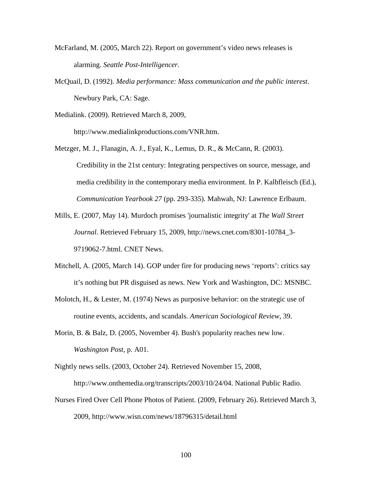- McFarland, M. (2005, March 22). Report on government's video news releases is alarming. *Seattle Post-Intelligencer.*
- McQuail, D. (1992). *Media performance: Mass communication and the public interest*. Newbury Park, CA: Sage.

Medialink. (2009). Retrieved March 8, 2009,

http://www.medialinkproductions.com/VNR.htm.

- Metzger, M. J., Flanagin, A. J., Eyal, K., Lemus, D. R., & McCann, R. (2003). Credibility in the 21st century: Integrating perspectives on source, message, and media credibility in the contemporary media environment. In P. Kalbfleisch (Ed.), *Communication Yearbook 27* (pp. 293-335). Mahwah, NJ: Lawrence Erlbaum.
- Mills, E. (2007, May 14). Murdoch promises 'journalistic integrity' at *The Wall Street Journal*. Retrieved February 15, 2009, http://news.cnet.com/8301-10784\_3- 9719062-7.html. CNET News.
- Mitchell, A. (2005, March 14). GOP under fire for producing news 'reports': critics say it's nothing but PR disguised as news. New York and Washington, DC: MSNBC.
- Molotch, H., & Lester, M. (1974) News as purposive behavior: on the strategic use of routine events, accidents, and scandals. *American Sociological Review*, 39.
- Morin, B. & Balz, D. (2005, November 4). Bush's popularity reaches new low. *Washington Post*, p. A01.
- Nightly news sells. (2003, October 24). Retrieved November 15, 2008, http://www.onthemedia.org/transcripts/2003/10/24/04. National Public Radio.
- Nurses Fired Over Cell Phone Photos of Patient. (2009, February 26). Retrieved March 3, 2009, http://www.wisn.com/news/18796315/detail.html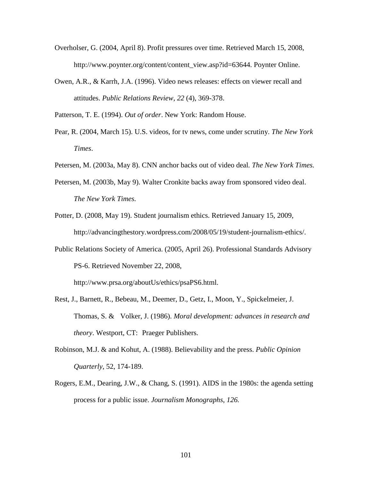- Overholser, G. (2004, April 8). Profit pressures over time. Retrieved March 15, 2008, http://www.poynter.org/content/content\_view.asp?id=63644. Poynter Online.
- Owen, A.R., & Karrh, J.A. (1996). Video news releases: effects on viewer recall and attitudes. *Public Relations Review*, *22* (4), 369-378.

Patterson, T. E. (1994). *Out of order*. New York: Random House.

- Pear, R. (2004, March 15). U.S. videos, for tv news, come under scrutiny. *The New York Times*.
- Petersen, M. (2003a, May 8). CNN anchor backs out of video deal*. The New York Times.*
- Petersen, M. (2003b, May 9). Walter Cronkite backs away from sponsored video deal. *The New York Times.*
- Potter, D. (2008, May 19). Student journalism ethics. Retrieved January 15, 2009, http://advancingthestory.wordpress.com/2008/05/19/student-journalism-ethics/.
- Public Relations Society of America. (2005, April 26). Professional Standards Advisory PS-6. Retrieved November 22, 2008,

http://www.prsa.org/aboutUs/ethics/psaPS6.html.

- Rest, J., Barnett, R., Bebeau, M., Deemer, D., Getz, I., Moon, Y., Spickelmeier, J. Thomas, S. & Volker, J. (1986). *Moral development: advances in research and theory*. Westport, CT: Praeger Publishers.
- Robinson, M.J. & and Kohut, A. (1988). Believability and the press. *Public Opinion Quarterly*, 52, 174-189.
- Rogers, E.M., Dearing, J.W., & Chang, S. (1991). AIDS in the 1980s: the agenda setting process for a public issue. *Journalism Monographs*, *126.*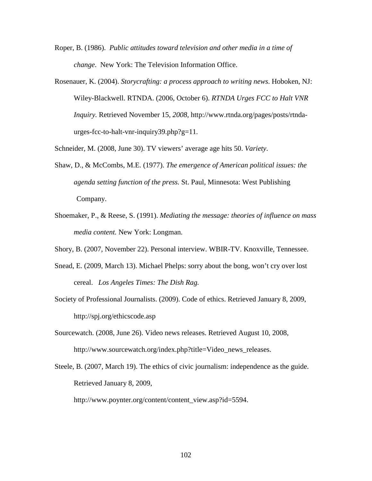- Roper, B. (1986). *Public attitudes toward television and other media in a time of change*. New York: The Television Information Office.
- Rosenauer, K. (2004). *Storycrafting: a process approach to writing news*. Hoboken, NJ: Wiley-Blackwell. RTNDA. (2006, October 6). *RTNDA Urges FCC to Halt VNR Inquiry.* Retrieved November 15, *2008,* http://www.rtnda.org/pages/posts/rtndaurges-fcc-to-halt-vnr-inquiry39.php?g=11*.*

Schneider, M. (2008, June 30). TV viewers' average age hits 50. *Variety*.

- Shaw, D., & McCombs, M.E. (1977). *The emergence of American political issues: the agenda setting function of the press.* St. Paul, Minnesota: West Publishing Company.
- Shoemaker, P., & Reese, S. (1991). *Mediating the message: theories of influence on mass media content.* New York: Longman.
- Shory, B. (2007, November 22). Personal interview. WBIR-TV. Knoxville, Tennessee.
- Snead, E. (2009, March 13). Michael Phelps: sorry about the bong, won't cry over lost cereal. *Los Angeles Times: The Dish Rag.*
- Society of Professional Journalists. (2009). Code of ethics. Retrieved January 8, 2009, http://spj.org/ethicscode.asp
- Sourcewatch. (2008, June 26). Video news releases. Retrieved August 10, 2008, http://www.sourcewatch.org/index.php?title=Video\_news\_releases.
- Steele, B. (2007, March 19). The ethics of civic journalism: independence as the guide. Retrieved January 8, 2009,

http://www.poynter.org/content/content\_view.asp?id=5594.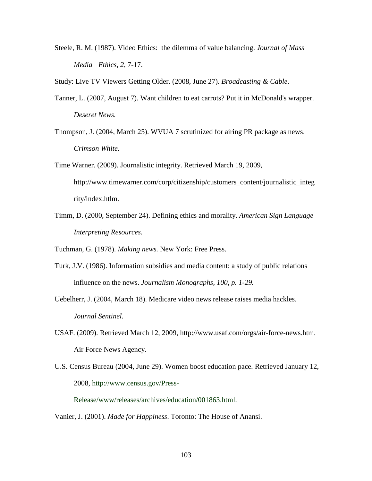Steele, R. M. (1987). Video Ethics: the dilemma of value balancing. *Journal of Mass Media Ethics*, *2*, 7-17.

Study: Live TV Viewers Getting Older. (2008, June 27). *Broadcasting & Cable*.

- Tanner, L. (2007, August 7). Want children to eat carrots? Put it in McDonald's wrapper. *Deseret News.*
- Thompson, J. (2004, March 25). WVUA 7 scrutinized for airing PR package as news. *Crimson White*.
- Time Warner. (2009). Journalistic integrity. Retrieved March 19, 2009, http://www.timewarner.com/corp/citizenship/customers\_content/journalistic\_integ rity/index.htlm.
- Timm, D. (2000, September 24). Defining ethics and morality. *American Sign Language Interpreting Resources*.

Tuchman, G. (1978). *Making news.* New York: Free Press.

- Turk, J.V. (1986). Information subsidies and media content: a study of public relations influence on the news. *Journalism Monographs, 100, p. 1-29.*
- Uebelherr, J. (2004, March 18). Medicare video news release raises media hackles. *Journal Sentinel.*
- USAF. (2009). Retrieved March 12, 2009, http://www.usaf.com/orgs/air-force-news.htm. Air Force News Agency.
- U.S. Census Bureau (2004, June 29). Women boost education pace. Retrieved January 12, 2008, http://www.census.gov/Press-

Release/www/releases/archives/education/001863.html.

Vanier, J. (2001). *Made for Happiness*. Toronto: The House of Anansi.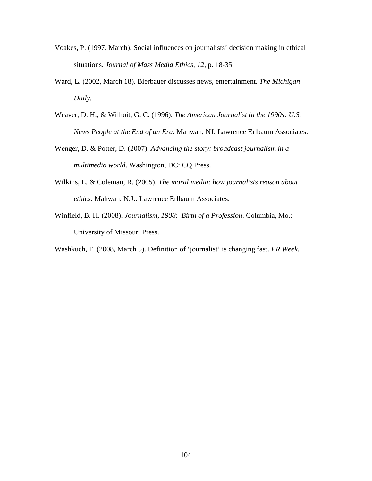- Voakes, P. (1997, March). Social influences on journalists' decision making in ethical situations. *Journal of Mass Media Ethics, 12,* p. 18-35.
- Ward, L. (2002, March 18). Bierbauer discusses news, entertainment. *The Michigan Daily.*
- Weaver, D. H., & Wilhoit, G. C. (1996). *The American Journalist in the 1990s: U.S. News People at the End of an Era*. Mahwah, NJ: Lawrence Erlbaum Associates.
- Wenger, D. & Potter, D. (2007). *Advancing the story: broadcast journalism in a multimedia world*. Washington, DC: CQ Press.
- Wilkins, L. & Coleman, R. (2005). *The moral media: how journalists reason about ethics*. Mahwah, N.J.: Lawrence Erlbaum Associates.
- Winfield, B. H. (2008). *Journalism, 1908*: *Birth of a Profession*. Columbia, Mo.: University of Missouri Press.

Washkuch, F. (2008, March 5). Definition of 'journalist' is changing fast. *PR Week*.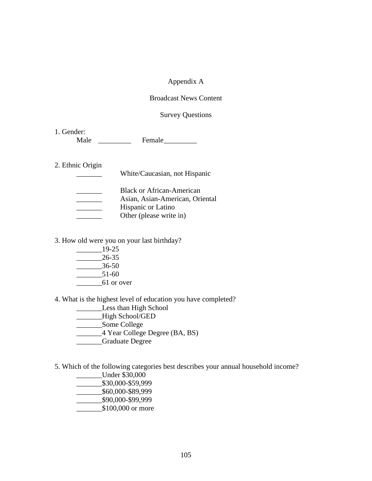# Appendix A

## Broadcast News Content

### Survey Questions

1. Gender:

Male \_\_\_\_\_\_\_\_\_\_ Female \_\_\_\_\_\_\_\_

## 2. Ethnic Origin

| <b>Black or African-American</b> |
|----------------------------------|
| Asian, Asian-American, Oriental  |
| <b>Hispanic or Latino</b>        |
| Other (please write in)          |

\_\_\_\_\_\_\_ White/Caucasian, not Hispanic

3. How old were you on your last birthday?

 $-$ 19-25  $-26-35$  \_\_\_\_\_\_\_36-50  $-$  51-60 \_\_\_\_\_\_\_61 or over

4. What is the highest level of education you have completed?

- **Less than High School**
- \_\_\_\_\_\_\_High School/GED
- \_\_\_\_\_\_\_Some College
- \_\_\_\_\_\_\_4 Year College Degree (BA, BS)
- \_\_\_\_\_\_\_Graduate Degree

5. Which of the following categories best describes your annual household income?

- \_\_\_\_\_\_\_Under \$30,000
- \_\_\_\_\_\_\_\$30,000-\$59,999
- \_\_\_\_\_\_\_\$60,000-\$89,999
- \_\_\_\_\_\_\_\$90,000-\$99,999
- \$100,000 or more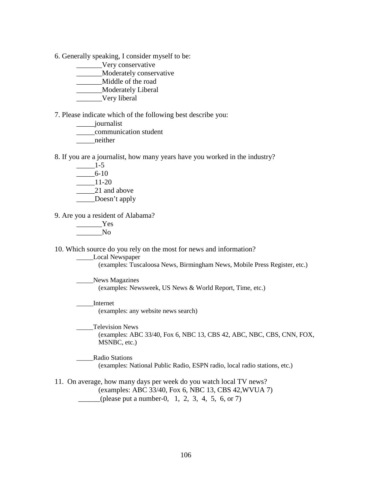6. Generally speaking, I consider myself to be:

\_\_\_\_\_\_\_Very conservative

\_\_\_\_\_\_\_Moderately conservative

\_\_\_\_\_\_\_Middle of the road

\_\_\_\_\_\_\_Moderately Liberal

\_\_\_\_\_\_\_Very liberal

7. Please indicate which of the following best describe you:

\_\_\_\_\_journalist

\_\_\_\_\_communication student

\_\_\_\_\_neither

8. If you are a journalist, how many years have you worked in the industry?

- $-$ 1-5  $-6-10$  \_\_\_\_\_11-20 21 and above
- \_\_\_\_\_\_Doesn't apply

9. Are you a resident of Alabama?

 \_\_\_\_\_\_\_Yes  $\sqrt{N}$ 

10. Which source do you rely on the most for news and information?

\_\_\_\_\_Local Newspaper

(examples: Tuscaloosa News, Birmingham News, Mobile Press Register, etc.)

News Magazines (examples: Newsweek, US News & World Report, Time, etc.)

 \_\_\_\_\_Internet (examples: any website news search)

\_\_\_\_\_Television News (examples: ABC 33/40, Fox 6, NBC 13, CBS 42, ABC, NBC, CBS, CNN, FOX, MSNBC, etc.)

 \_\_\_\_\_Radio Stations (examples: National Public Radio, ESPN radio, local radio stations, etc.)

11. On average, how many days per week do you watch local TV news? (examples: ABC 33/40, Fox 6, NBC 13, CBS 42,WVUA 7) (please put a number-0, 1, 2, 3, 4, 5, 6, or 7)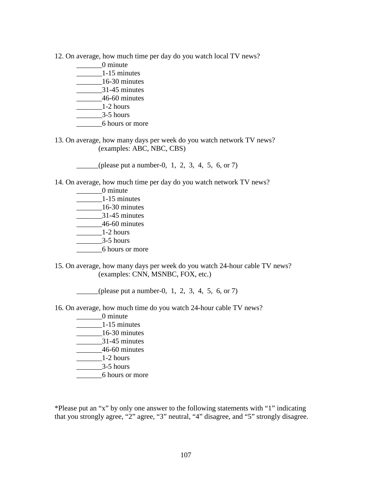- 12. On average, how much time per day do you watch local TV news?
	- \_\_\_\_\_\_\_0 minute
	- \_\_\_\_\_\_\_1-15 minutes
	- \_\_\_\_\_\_\_16-30 minutes
	- \_\_\_\_\_\_\_31-45 minutes
	- \_\_\_\_\_\_\_46-60 minutes  $1-2$  hours
	-
	- $\frac{3-5 \text{ hours}}{2}$
	- \_\_\_\_\_\_\_6 hours or more
- 13. On average, how many days per week do you watch network TV news? (examples: ABC, NBC, CBS)
	- $\frac{1}{2}$  (please put a number-0, 1, 2, 3, 4, 5, 6, or 7)
- 14. On average, how much time per day do you watch network TV news?
	- \_\_\_\_\_\_\_0 minute  $\frac{1-15}{2}$  minutes \_\_\_\_\_\_\_16-30 minutes \_\_\_\_\_\_\_31-45 minutes \_\_\_\_\_\_\_46-60 minutes  $\frac{1-2 \text{ hours}}{2}$  $-$  3-5 hours \_\_\_\_\_\_\_6 hours or more
- 15. On average, how many days per week do you watch 24-hour cable TV news? (examples: CNN, MSNBC, FOX, etc.)
	- (please put a number-0, 1, 2, 3, 4, 5, 6, or 7)
- 16. On average, how much time do you watch 24-hour cable TV news?
	- \_\_\_\_\_\_\_0 minute \_\_\_\_\_\_\_1-15 minutes \_\_\_\_\_\_\_16-30 minutes \_\_\_\_\_\_\_31-45 minutes \_\_\_\_\_\_\_46-60 minutes  $1-2$  hours  $3-5$  hours \_\_\_\_\_\_\_6 hours or more

\*Please put an "x" by only one answer to the following statements with "1" indicating that you strongly agree, "2" agree, "3" neutral, "4" disagree, and "5" strongly disagree.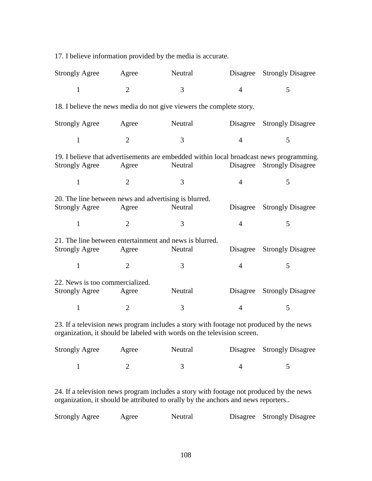17. I believe information provided by the media is accurate.

| <b>Strongly Agree</b>           | Agree          | Neutral                                                                                            |                | Disagree Strongly Disagree |
|---------------------------------|----------------|----------------------------------------------------------------------------------------------------|----------------|----------------------------|
| $\mathbf{1}$                    | $\overline{2}$ | 3                                                                                                  | $\overline{4}$ | 5                          |
|                                 |                | 18. I believe the news media do not give viewers the complete story.                               |                |                            |
| <b>Strongly Agree</b>           | Agree          | Neutral                                                                                            |                | Disagree Strongly Disagree |
| $\mathbf{1}$                    | $\overline{2}$ | 3                                                                                                  | $\overline{4}$ | 5                          |
| <b>Strongly Agree</b>           | Agree          | 19. I believe that advertisements are embedded within local broadcast news programming.<br>Neutral | Disagree       | <b>Strongly Disagree</b>   |
| $\mathbf{1}$                    | $\overline{2}$ | 3                                                                                                  | $\overline{4}$ | 5                          |
|                                 |                | 20. The line between news and advertising is blurred.                                              |                |                            |
| <b>Strongly Agree</b>           | Agree          | Neutral                                                                                            | Disagree       | <b>Strongly Disagree</b>   |
| $\mathbf{1}$                    | $\overline{2}$ | 3                                                                                                  | $\overline{4}$ | 5                          |
|                                 |                | 21. The line between entertainment and news is blurred.                                            |                |                            |
| <b>Strongly Agree</b>           | Agree          | Neutral                                                                                            |                | Disagree Strongly Disagree |
| $\mathbf{1}$                    | $\overline{2}$ | 3                                                                                                  | $\overline{4}$ | 5                          |
| 22. News is too commercialized. |                |                                                                                                    |                |                            |
| <b>Strongly Agree</b>           | Agree          | Neutral                                                                                            |                | Disagree Strongly Disagree |
| $\mathbf{1}$                    | $\overline{2}$ | 3                                                                                                  | $\overline{4}$ | 5                          |
|                                 |                | 23. If a television news program includes a story with footage not produced by the news            |                |                            |

23. If a television news program includes a story with footage not produced by the news organization, it should be labeled with words on the television screen.

| <b>Strongly Agree</b> | Agree | Neutral | Disagree Strongly Disagree |
|-----------------------|-------|---------|----------------------------|
|                       |       |         |                            |

24. If a television news program includes a story with footage not produced by the news organization, it should be attributed to orally by the anchors and news reporters..

| <b>Strongly Agree</b> | Agree | Neutral |  | Disagree Strongly Disagree |
|-----------------------|-------|---------|--|----------------------------|
|-----------------------|-------|---------|--|----------------------------|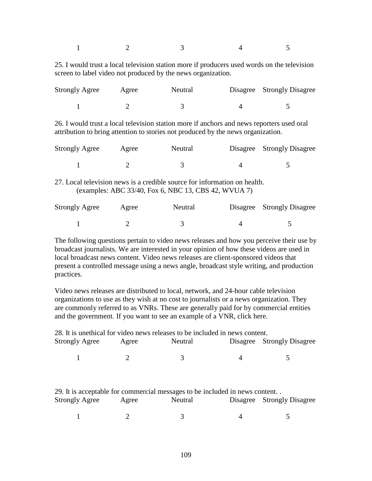$1 \t 2 \t 3 \t 4 \t 5$ 

25. I would trust a local television station more if producers used words on the television screen to label video not produced by the news organization.

| <b>Strongly Agree</b> | Agree | Neutral | Disagree Strongly Disagree |
|-----------------------|-------|---------|----------------------------|
|                       |       |         |                            |

26. I would trust a local television station more if anchors and news reporters used oral attribution to bring attention to stories not produced by the news organization.

| <b>Strongly Agree</b> | Agree | Neutral                                                                   | Disagree Strongly Disagree |
|-----------------------|-------|---------------------------------------------------------------------------|----------------------------|
|                       |       |                                                                           |                            |
|                       |       | 27. Local television news is a credible source for information on health. |                            |

(examples: ABC 33/40, Fox 6, NBC 13, CBS 42, WVUA 7)

| <b>Strongly Agree</b> | Agree | Neutral | Disagree Strongly Disagree |
|-----------------------|-------|---------|----------------------------|
|                       |       |         |                            |

The following questions pertain to video news releases and how you perceive their use by broadcast journalists. We are interested in your opinion of how these videos are used in local broadcast news content. Video news releases are client-sponsored videos that present a controlled message using a news angle, broadcast style writing, and production practices.

Video news releases are distributed to local, network, and 24-hour cable television organizations to use as they wish at no cost to journalists or a news organization. They are commonly referred to as VNRs. These are generally paid for by commercial entities and the government. If you want to see an example of a VNR, click here.

|                       |       | 28. It is unethical for video news releases to be included in news content. |          |                          |
|-----------------------|-------|-----------------------------------------------------------------------------|----------|--------------------------|
| <b>Strongly Agree</b> | Agree | Neutral                                                                     | Disagree | <b>Strongly Disagree</b> |
|                       |       |                                                                             | 4        |                          |
|                       |       | 29. It is acceptable for commercial messages to be included in news content |          |                          |
| <b>Strongly Agree</b> | Agree | Neutral                                                                     | Disagree | <b>Strongly Disagree</b> |
|                       |       |                                                                             |          |                          |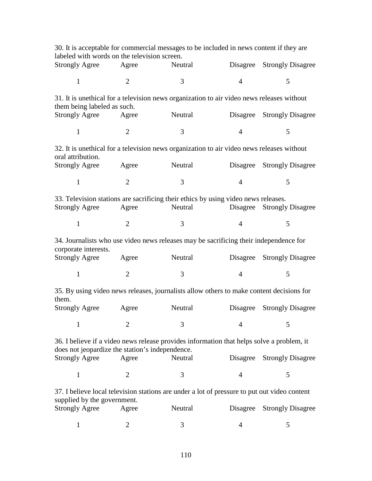| labeled with words on the television screen.    |                | 30. It is acceptable for commercial messages to be included in news content if they are       |                |                            |
|-------------------------------------------------|----------------|-----------------------------------------------------------------------------------------------|----------------|----------------------------|
| <b>Strongly Agree</b>                           | Agree          | Neutral                                                                                       |                | Disagree Strongly Disagree |
| $\mathbf{1}$                                    | $\overline{2}$ | 3                                                                                             | $\overline{4}$ | 5                          |
| them being labeled as such.                     |                | 31. It is unethical for a television news organization to air video news releases without     |                |                            |
| <b>Strongly Agree</b>                           | Agree          | Neutral                                                                                       |                | Disagree Strongly Disagree |
| $\mathbf{1}$                                    | 2              | 3                                                                                             | $\overline{4}$ | 5                          |
| oral attribution.                               |                | 32. It is unethical for a television news organization to air video news releases without     |                |                            |
| <b>Strongly Agree</b>                           | Agree          | Neutral                                                                                       |                | Disagree Strongly Disagree |
| $\mathbf{1}$                                    | $\overline{2}$ | 3                                                                                             | $\overline{4}$ | 5                          |
| <b>Strongly Agree</b>                           | Agree          | 33. Television stations are sacrificing their ethics by using video news releases.<br>Neutral |                | Disagree Strongly Disagree |
| $\mathbf{1}$                                    | $\overline{2}$ | 3                                                                                             | $\overline{4}$ | 5                          |
| corporate interests.                            |                | 34. Journalists who use video news releases may be sacrificing their independence for         |                |                            |
| <b>Strongly Agree</b>                           | Agree          | Neutral                                                                                       |                | Disagree Strongly Disagree |
| $\mathbf{1}$                                    | 2              | 3                                                                                             | $\overline{4}$ | 5                          |
| them.                                           |                | 35. By using video news releases, journalists allow others to make content decisions for      |                |                            |
| <b>Strongly Agree</b>                           | Agree          | Neutral                                                                                       |                | Disagree Strongly Disagree |
| $\mathbf{1}$                                    | $\overline{2}$ | 3                                                                                             | $\overline{4}$ | 5                          |
| does not jeopardize the station's independence. |                | 36. I believe if a video news release provides information that helps solve a problem, it     |                |                            |
| <b>Strongly Agree</b>                           | Agree          | Neutral                                                                                       | Disagree       | <b>Strongly Disagree</b>   |
| 1                                               | $\overline{2}$ | 3                                                                                             | $\overline{4}$ | 5                          |
| supplied by the government.                     |                | 37. I believe local television stations are under a lot of pressure to put out video content  |                |                            |
| <b>Strongly Agree</b>                           | Agree          | Neutral                                                                                       | Disagree       | <b>Strongly Disagree</b>   |
| $\mathbf{1}$                                    | $\overline{2}$ | 3                                                                                             | 4              | 5                          |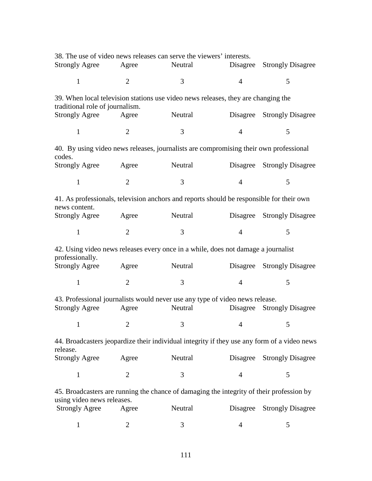|                                 |                                     |                                     | Disagree Strongly Disagree                                                                                                                                                                                                                                                                                                                                                                                                                                                                                                                                                                                                                                                                                                                                                                                                                                           |
|---------------------------------|-------------------------------------|-------------------------------------|----------------------------------------------------------------------------------------------------------------------------------------------------------------------------------------------------------------------------------------------------------------------------------------------------------------------------------------------------------------------------------------------------------------------------------------------------------------------------------------------------------------------------------------------------------------------------------------------------------------------------------------------------------------------------------------------------------------------------------------------------------------------------------------------------------------------------------------------------------------------|
| $\overline{2}$                  | 3                                   | $\overline{4}$                      | 5                                                                                                                                                                                                                                                                                                                                                                                                                                                                                                                                                                                                                                                                                                                                                                                                                                                                    |
| traditional role of journalism. |                                     |                                     |                                                                                                                                                                                                                                                                                                                                                                                                                                                                                                                                                                                                                                                                                                                                                                                                                                                                      |
| Agree                           |                                     |                                     |                                                                                                                                                                                                                                                                                                                                                                                                                                                                                                                                                                                                                                                                                                                                                                                                                                                                      |
| $2^{\circ}$                     | 3                                   | $\overline{4}$                      | 5                                                                                                                                                                                                                                                                                                                                                                                                                                                                                                                                                                                                                                                                                                                                                                                                                                                                    |
|                                 |                                     |                                     |                                                                                                                                                                                                                                                                                                                                                                                                                                                                                                                                                                                                                                                                                                                                                                                                                                                                      |
| Agree                           |                                     |                                     |                                                                                                                                                                                                                                                                                                                                                                                                                                                                                                                                                                                                                                                                                                                                                                                                                                                                      |
| $\overline{2}$                  | 3                                   | $\overline{4}$                      | 5                                                                                                                                                                                                                                                                                                                                                                                                                                                                                                                                                                                                                                                                                                                                                                                                                                                                    |
|                                 |                                     |                                     |                                                                                                                                                                                                                                                                                                                                                                                                                                                                                                                                                                                                                                                                                                                                                                                                                                                                      |
| Agree                           |                                     |                                     |                                                                                                                                                                                                                                                                                                                                                                                                                                                                                                                                                                                                                                                                                                                                                                                                                                                                      |
| 2                               | 3                                   | $\overline{4}$                      | 5                                                                                                                                                                                                                                                                                                                                                                                                                                                                                                                                                                                                                                                                                                                                                                                                                                                                    |
|                                 |                                     |                                     |                                                                                                                                                                                                                                                                                                                                                                                                                                                                                                                                                                                                                                                                                                                                                                                                                                                                      |
| Agree                           |                                     |                                     | Disagree Strongly Disagree                                                                                                                                                                                                                                                                                                                                                                                                                                                                                                                                                                                                                                                                                                                                                                                                                                           |
| $\overline{2}$                  | 3                                   | $\overline{4}$                      | 5                                                                                                                                                                                                                                                                                                                                                                                                                                                                                                                                                                                                                                                                                                                                                                                                                                                                    |
| Agree                           | Neutral                             | Disagree                            | <b>Strongly Disagree</b>                                                                                                                                                                                                                                                                                                                                                                                                                                                                                                                                                                                                                                                                                                                                                                                                                                             |
|                                 |                                     | $\sim$ $\sim$                       |                                                                                                                                                                                                                                                                                                                                                                                                                                                                                                                                                                                                                                                                                                                                                                                                                                                                      |
|                                 |                                     |                                     |                                                                                                                                                                                                                                                                                                                                                                                                                                                                                                                                                                                                                                                                                                                                                                                                                                                                      |
| Agree                           | Neutral                             | Disagree                            | <b>Strongly Disagree</b>                                                                                                                                                                                                                                                                                                                                                                                                                                                                                                                                                                                                                                                                                                                                                                                                                                             |
| $\overline{2}$                  | 3                                   | $\overline{4}$                      | 5                                                                                                                                                                                                                                                                                                                                                                                                                                                                                                                                                                                                                                                                                                                                                                                                                                                                    |
|                                 |                                     |                                     |                                                                                                                                                                                                                                                                                                                                                                                                                                                                                                                                                                                                                                                                                                                                                                                                                                                                      |
| Agree                           | Neutral                             | Disagree                            | <b>Strongly Disagree</b>                                                                                                                                                                                                                                                                                                                                                                                                                                                                                                                                                                                                                                                                                                                                                                                                                                             |
| $\overline{c}$                  | 3                                   | 4                                   | 5                                                                                                                                                                                                                                                                                                                                                                                                                                                                                                                                                                                                                                                                                                                                                                                                                                                                    |
|                                 | Agree<br>using video news releases. | Neutral<br>$\sim$ 1 $\sim$ 2 $\sim$ | 38. The use of video news releases can serve the viewers' interests.<br>39. When local television stations use video news releases, they are changing the<br>Neutral Disagree Strongly Disagree<br>40. By using video news releases, journalists are compromising their own professional<br>Neutral Disagree Strongly Disagree<br>41. As professionals, television anchors and reports should be responsible for their own<br>Neutral Disagree Strongly Disagree<br>42. Using video news releases every once in a while, does not damage a journalist<br><b>Neutral</b><br>43. Professional journalists would never use any type of video news release.<br>$\overline{3}$<br>44. Broadcasters jeopardize their individual integrity if they use any form of a video news<br>45. Broadcasters are running the chance of damaging the integrity of their profession by |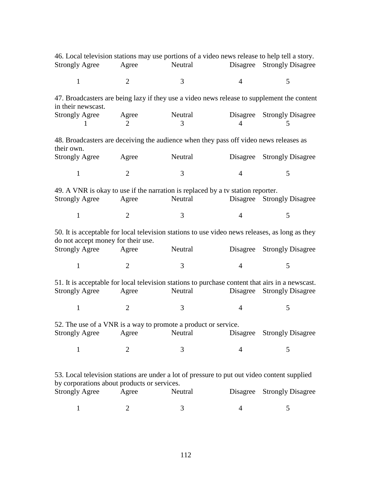| <b>Strongly Agree</b>                       | Agree          | 46. Local television stations may use portions of a video news release to help tell a story.<br>Neutral    |                | Disagree Strongly Disagree      |
|---------------------------------------------|----------------|------------------------------------------------------------------------------------------------------------|----------------|---------------------------------|
| $\mathbf{1}$                                | 2              | 3                                                                                                          | $\overline{4}$ | 5                               |
| in their newscast.                          |                | 47. Broadcasters are being lazy if they use a video news release to supplement the content                 |                |                                 |
| <b>Strongly Agree</b><br>$\mathbf{1}$       | Agree<br>2     | Neutral<br>3                                                                                               | $\overline{4}$ | Disagree Strongly Disagree<br>5 |
| their own.                                  |                | 48. Broadcasters are deceiving the audience when they pass off video news releases as                      |                |                                 |
| <b>Strongly Agree</b>                       | Agree          | Neutral                                                                                                    |                | Disagree Strongly Disagree      |
| $\mathbf{1}$                                | $\overline{2}$ | 3                                                                                                          | $\overline{4}$ | 5                               |
| <b>Strongly Agree</b>                       | Agree          | 49. A VNR is okay to use if the narration is replaced by a tv station reporter.<br>Neutral Disagree        |                | <b>Strongly Disagree</b>        |
| $\mathbf{1}$                                | $\overline{2}$ | 3                                                                                                          | $\overline{4}$ | 5                               |
| do not accept money for their use.          |                | 50. It is acceptable for local television stations to use video news releases, as long as they             |                |                                 |
| Strongly Agree Agree                        |                | Neutral                                                                                                    |                | Disagree Strongly Disagree      |
| $\mathbf{1}$                                | $\overline{2}$ | 3                                                                                                          | $\overline{4}$ | 5                               |
| <b>Strongly Agree</b>                       | Agree          | 51. It is acceptable for local television stations to purchase content that airs in a newscast.<br>Neutral | Disagree       | <b>Strongly Disagree</b>        |
| $\mathbf{1}$                                | $\overline{2}$ | 3                                                                                                          | $\overline{4}$ | 5                               |
| <b>Strongly Agree</b>                       | Agree          | 52. The use of a VNR is a way to promote a product or service.<br>Neutral                                  |                | Disagree Strongly Disagree      |
| $\mathbf{1}$                                | $\overline{2}$ | 3                                                                                                          | $\overline{4}$ | 5                               |
| by corporations about products or services. |                | 53. Local television stations are under a lot of pressure to put out video content supplied                |                |                                 |
| <b>Strongly Agree</b>                       | Agree          | Neutral                                                                                                    |                | Disagree Strongly Disagree      |
|                                             | 2              | 3                                                                                                          | 4              | 5                               |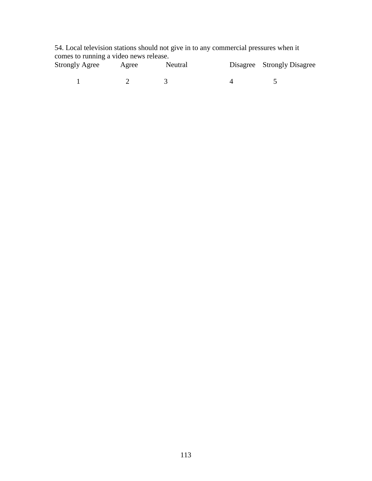54. Local television stations should not give in to any commercial pressures when it comes to running a video news release.

| <b>Strongly Agree</b> | Agree | Neutral | Disagree Strongly Disagree |
|-----------------------|-------|---------|----------------------------|
|                       |       |         |                            |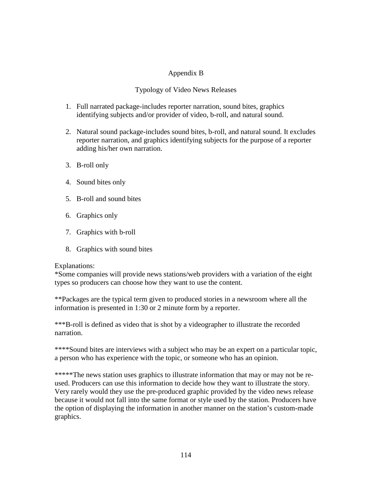## Appendix B

## Typology of Video News Releases

- 1. Full narrated package-includes reporter narration, sound bites, graphics identifying subjects and/or provider of video, b-roll, and natural sound.
- 2. Natural sound package-includes sound bites, b-roll, and natural sound. It excludes reporter narration, and graphics identifying subjects for the purpose of a reporter adding his/her own narration.
- 3. B-roll only
- 4. Sound bites only
- 5. B-roll and sound bites
- 6. Graphics only
- 7. Graphics with b-roll
- 8. Graphics with sound bites

## Explanations:

\*Some companies will provide news stations/web providers with a variation of the eight types so producers can choose how they want to use the content.

\*\*Packages are the typical term given to produced stories in a newsroom where all the information is presented in 1:30 or 2 minute form by a reporter.

\*\*\*B-roll is defined as video that is shot by a videographer to illustrate the recorded narration.

\*\*\*\*Sound bites are interviews with a subject who may be an expert on a particular topic, a person who has experience with the topic, or someone who has an opinion.

\*\*\*\*\*The news station uses graphics to illustrate information that may or may not be reused. Producers can use this information to decide how they want to illustrate the story. Very rarely would they use the pre-produced graphic provided by the video news release because it would not fall into the same format or style used by the station. Producers have the option of displaying the information in another manner on the station's custom-made graphics.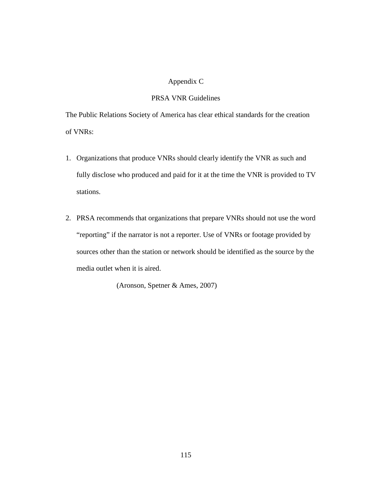## Appendix C

#### PRSA VNR Guidelines

The Public Relations Society of America has clear ethical standards for the creation of VNRs:

- 1. Organizations that produce VNRs should clearly identify the VNR as such and fully disclose who produced and paid for it at the time the VNR is provided to TV stations.
- 2. PRSA recommends that organizations that prepare VNRs should not use the word "reporting" if the narrator is not a reporter. Use of VNRs or footage provided by sources other than the station or network should be identified as the source by the media outlet when it is aired.

(Aronson, Spetner & Ames, 2007)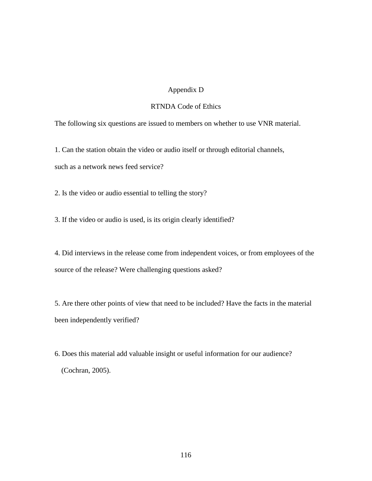#### Appendix D

## RTNDA Code of Ethics

The following six questions are issued to members on whether to use VNR material.

1. Can the station obtain the video or audio itself or through editorial channels,

such as a network news feed service?

2. Is the video or audio essential to telling the story?

3. If the video or audio is used, is its origin clearly identified?

4. Did interviews in the release come from independent voices, or from employees of the source of the release? Were challenging questions asked?

5. Are there other points of view that need to be included? Have the facts in the material been independently verified?

6. Does this material add valuable insight or useful information for our audience? (Cochran, 2005).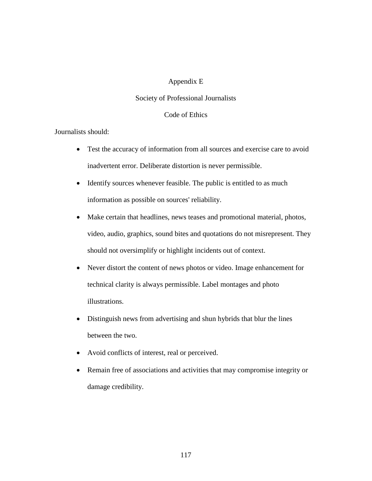#### Appendix E

#### Society of Professional Journalists

#### Code of Ethics

#### Journalists should:

- Test the accuracy of information from all sources and exercise care to avoid inadvertent error. Deliberate distortion is never permissible.
- Identify sources whenever feasible. The public is entitled to as much information as possible on sources' reliability.
- Make certain that headlines, news teases and promotional material, photos, video, audio, graphics, sound bites and quotations do not misrepresent. They should not oversimplify or highlight incidents out of context.
- Never distort the content of news photos or video. Image enhancement for technical clarity is always permissible. Label montages and photo illustrations.
- Distinguish news from advertising and shun hybrids that blur the lines between the two.
- Avoid conflicts of interest, real or perceived.
- Remain free of associations and activities that may compromise integrity or damage credibility.